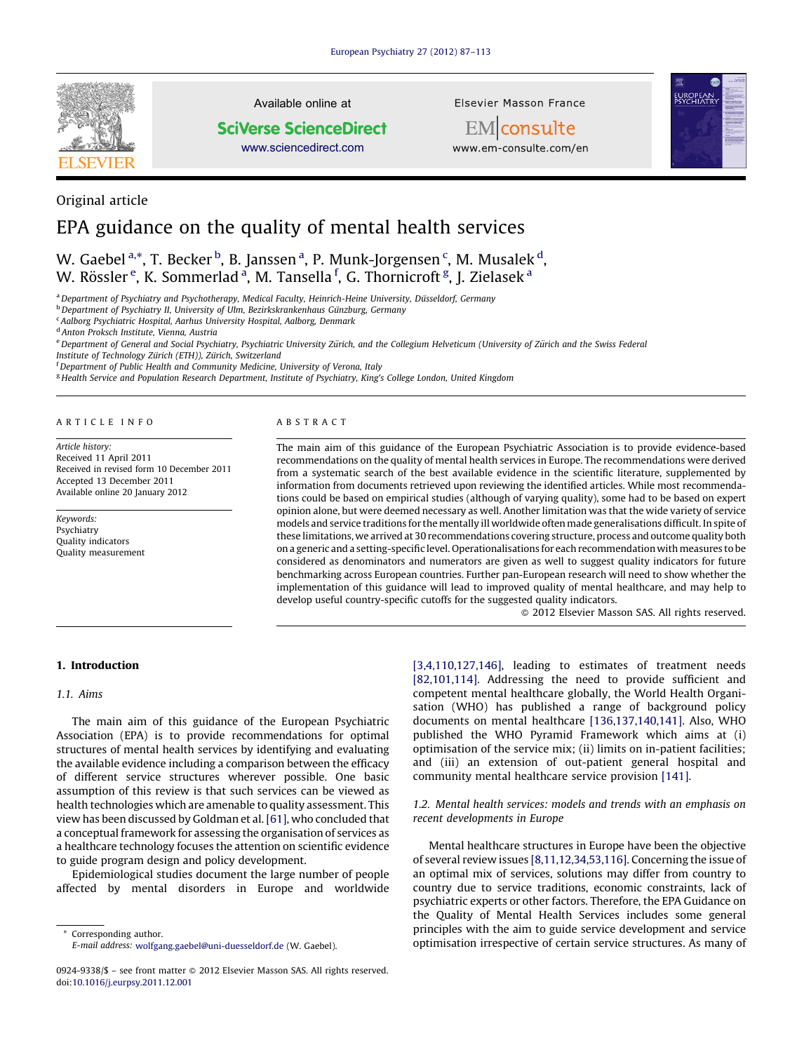

Original article

Available online at

**SciVerse ScienceDirect** [www.sciencedirect.com](http://www.sciencedirect.com/science/journal/09249338)

**Elsevier Masson France** 



EMconsulte www.em-consulte.com/en

# EPA guidance on the quality of mental health services

W. Gaebel <sup>a,</sup>\*, T. Becker <sup>b</sup>, B. Janssen <sup>a</sup>, P. Munk-Jorgensen <sup>c</sup>, M. Musalek <sup>d</sup>, W. Rössler <sup>e</sup>, K. Sommerlad <sup>a</sup>, M. Tansella <sup>f</sup>, G. Thornicroft <sup>g</sup>, J. Zielasek <sup>a</sup>

a Department of Psychiatry and Psychotherapy, Medical Faculty, Heinrich-Heine University, Düsseldorf, Germany

<sup>b</sup> Department of Psychiatry II, University of Ulm, Bezirkskrankenhaus Günzburg, Germany

<sup>c</sup> Aalborg Psychiatric Hospital, Aarhus University Hospital, Aalborg, Denmark

<sup>d</sup> Anton Proksch Institute, Vienna, Austria

e Department of General and Social Psychiatry, Psychiatric University Zürich, and the Collegium Helveticum (University of Zürich and the Swiss Federal

Institute of Technology Zürich (ETH)), Zürich, Switzerland

<sup>f</sup> Department of Public Health and Community Medicine, University of Verona, Italy

<sup>g</sup> Health Service and Population Research Department, Institute of Psychiatry, King's College London, United Kingdom

#### A R T I C L E I N F O

Article history: Received 11 April 2011 Received in revised form 10 December 2011 Accepted 13 December 2011 Available online 20 January 2012

Keywords: Psychiatry Quality indicators Quality measurement

#### A B S T R A C T

The main aim of this guidance of the European Psychiatric Association is to provide evidence-based recommendations on the quality of mental health services in Europe. The recommendations were derived from a systematic search of the best available evidence in the scientific literature, supplemented by information from documents retrieved upon reviewing the identified articles. While most recommendations could be based on empirical studies (although of varying quality), some had to be based on expert opinion alone, but were deemed necessary as well. Another limitation was that the wide variety of service models and service traditions for the mentally ill worldwide often made generalisations difficult. In spite of these limitations, we arrived at 30 recommendations covering structure, process and outcome quality both on a generic and a setting-specific level. Operationalisations for each recommendation with measures to be considered as denominators and numerators are given as well to suggest quality indicators for future benchmarking across European countries. Further pan-European research will need to show whether the implementation of this guidance will lead to improved quality of mental healthcare, and may help to develop useful country-specific cutoffs for the suggested quality indicators.

 $\odot$  2012 Elsevier Masson SAS. All rights reserved.

# 1. Introduction

# 1.1. Aims

The main aim of this guidance of the European Psychiatric Association (EPA) is to provide recommendations for optimal structures of mental health services by identifying and evaluating the available evidence including a comparison between the efficacy of different service structures wherever possible. One basic assumption of this review is that such services can be viewed as health technologies which are amenable to quality assessment. This view has been discussed by Goldman et al. [\[61\]](#page-25-0), who concluded that a conceptual framework for assessing the organisation of services as a healthcare technology focuses the attention on scientific evidence to guide program design and policy development.

Epidemiological studies document the large number of people affected by mental disorders in Europe and worldwide

Corresponding author. E-mail address: [wolfgang.gaebel@uni-duesseldorf.de](mailto:wolfgang.gaebel@uni-duesseldorf.de) (W. Gaebel). [\[3,4,110,127,146\]](#page-24-0), leading to estimates of treatment needs [\[82,101,114\].](#page-25-0) Addressing the need to provide sufficient and competent mental healthcare globally, the World Health Organisation (WHO) has published a range of background policy documents on mental healthcare [\[136,137,140,141\]](#page-26-0). Also, WHO published the WHO Pyramid Framework which aims at (i) optimisation of the service mix; (ii) limits on in-patient facilities; and (iii) an extension of out-patient general hospital and community mental healthcare service provision [\[141\]](#page-26-0).

# 1.2. Mental health services: models and trends with an emphasis on recent developments in Europe

Mental healthcare structures in Europe have been the objective of several review issues [\[8,11,12,34,53,116\].](#page-24-0) Concerning the issue of an optimal mix of services, solutions may differ from country to country due to service traditions, economic constraints, lack of psychiatric experts or other factors. Therefore, the EPA Guidance on the Quality of Mental Health Services includes some general principles with the aim to guide service development and service optimisation irrespective of certain service structures. As many of

<sup>0924-9338/\$ –</sup> see front matter © 2012 Elsevier Masson SAS. All rights reserved. doi:[10.1016/j.eurpsy.2011.12.001](http://dx.doi.org/10.1016/j.eurpsy.2011.12.001)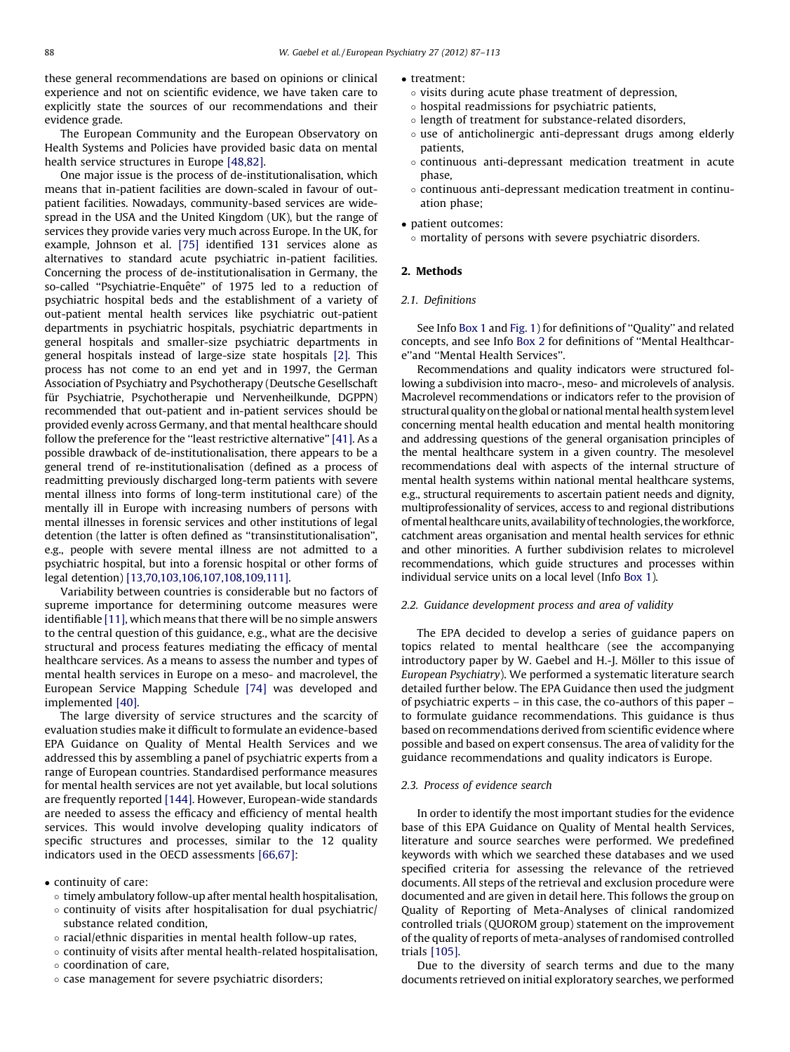<span id="page-1-0"></span>these general recommendations are based on opinions or clinical experience and not on scientific evidence, we have taken care to explicitly state the sources of our recommendations and their evidence grade.

The European Community and the European Observatory on Health Systems and Policies have provided basic data on mental health service structures in Europe [\[48,82\].](#page-25-0)

One major issue is the process of de-institutionalisation, which means that in-patient facilities are down-scaled in favour of outpatient facilities. Nowadays, community-based services are widespread in the USA and the United Kingdom (UK), but the range of services they provide varies very much across Europe. In the UK, for example, Johnson et al. [\[75\]](#page-25-0) identified 131 services alone as alternatives to standard acute psychiatric in-patient facilities. Concerning the process of de-institutionalisation in Germany, the so-called "Psychiatrie-Enquête" of 1975 led to a reduction of psychiatric hospital beds and the establishment of a variety of out-patient mental health services like psychiatric out-patient departments in psychiatric hospitals, psychiatric departments in general hospitals and smaller-size psychiatric departments in general hospitals instead of large-size state hospitals [\[2\]](#page-24-0). This process has not come to an end yet and in 1997, the German Association of Psychiatry and Psychotherapy (Deutsche Gesellschaft für Psychiatrie, Psychotherapie und Nervenheilkunde, DGPPN) recommended that out-patient and in-patient services should be provided evenly across Germany, and that mental healthcare should follow the preference for the ''least restrictive alternative'' [\[41\].](#page-25-0) As a possible drawback of de-institutionalisation, there appears to be a general trend of re-institutionalisation (defined as a process of readmitting previously discharged long-term patients with severe mental illness into forms of long-term institutional care) of the mentally ill in Europe with increasing numbers of persons with mental illnesses in forensic services and other institutions of legal detention (the latter is often defined as ''transinstitutionalisation'', e.g., people with severe mental illness are not admitted to a psychiatric hospital, but into a forensic hospital or other forms of legal detention) [\[13,70,103,106,107,108,109,111\].](#page-24-0)

Variability between countries is considerable but no factors of supreme importance for determining outcome measures were identifiable  $[11]$ , which means that there will be no simple answers to the central question of this guidance, e.g., what are the decisive structural and process features mediating the efficacy of mental healthcare services. As a means to assess the number and types of mental health services in Europe on a meso- and macrolevel, the European Service Mapping Schedule [\[74\]](#page-25-0) was developed and implemented [\[40\]](#page-25-0).

The large diversity of service structures and the scarcity of evaluation studies make it difficult to formulate an evidence-based EPA Guidance on Quality of Mental Health Services and we addressed this by assembling a panel of psychiatric experts from a range of European countries. Standardised performance measures for mental health services are not yet available, but local solutions are frequently reported [\[144\].](#page-26-0) However, European-wide standards are needed to assess the efficacy and efficiency of mental health services. This would involve developing quality indicators of specific structures and processes, similar to the 12 quality indicators used in the OECD assessments [\[66,67\]](#page-25-0):

- continuity of care:
	- timely ambulatory follow-up after mental health hospitalisation,
	- $\circ$  continuity of visits after hospitalisation for dual psychiatric/ substance related condition,
	- racial/ethnic disparities in mental health follow-up rates,
	- continuity of visits after mental health-related hospitalisation,
	- coordination of care,
	- case management for severe psychiatric disorders;
- treatment:
	- visits during acute phase treatment of depression,
	- hospital readmissions for psychiatric patients,
	- length of treatment for substance-related disorders,
	- use of anticholinergic anti-depressant drugs among elderly patients,
	- continuous anti-depressant medication treatment in acute phase,
	- continuous anti-depressant medication treatment in continuation phase;
- patient outcomes:
	- mortality of persons with severe psychiatric disorders.

## 2. Methods

## 2.1. Definitions

See Info [Box](#page-2-0) 1 and [Fig.](#page-3-0) 1) for definitions of ''Quality'' and related concepts, and see Info [Box](#page-4-0) 2 for definitions of ''Mental Healthcare''and ''Mental Health Services''.

Recommendations and quality indicators were structured following a subdivision into macro-, meso- and microlevels of analysis. Macrolevel recommendations or indicators refer to the provision of structural quality on the global or national mental health system level concerning mental health education and mental health monitoring and addressing questions of the general organisation principles of the mental healthcare system in a given country. The mesolevel recommendations deal with aspects of the internal structure of mental health systems within national mental healthcare systems, e.g., structural requirements to ascertain patient needs and dignity, multiprofessionality of services, access to and regional distributions of mental healthcare units, availability of technologies, the workforce, catchment areas organisation and mental health services for ethnic and other minorities. A further subdivision relates to microlevel recommendations, which guide structures and processes within individual service units on a local level (Info [Box](#page-2-0) 1).

## 2.2. Guidance development process and area of validity

The EPA decided to develop a series of guidance papers on topics related to mental healthcare (see the accompanying introductory paper by W. Gaebel and H.-J. Möller to this issue of European Psychiatry). We performed a systematic literature search detailed further below. The EPA Guidance then used the judgment of psychiatric experts – in this case, the co-authors of this paper – to formulate guidance recommendations. This guidance is thus based on recommendations derived from scientific evidence where possible and based on expert consensus. The area of validity for the guidance recommendations and quality indicators is Europe.

## 2.3. Process of evidence search

In order to identify the most important studies for the evidence base of this EPA Guidance on Quality of Mental health Services, literature and source searches were performed. We predefined keywords with which we searched these databases and we used specified criteria for assessing the relevance of the retrieved documents. All steps of the retrieval and exclusion procedure were documented and are given in detail here. This follows the group on Quality of Reporting of Meta-Analyses of clinical randomized controlled trials (QUOROM group) statement on the improvement of the quality of reports of meta-analyses of randomised controlled trials [\[105\]](#page-26-0).

Due to the diversity of search terms and due to the many documents retrieved on initial exploratory searches, we performed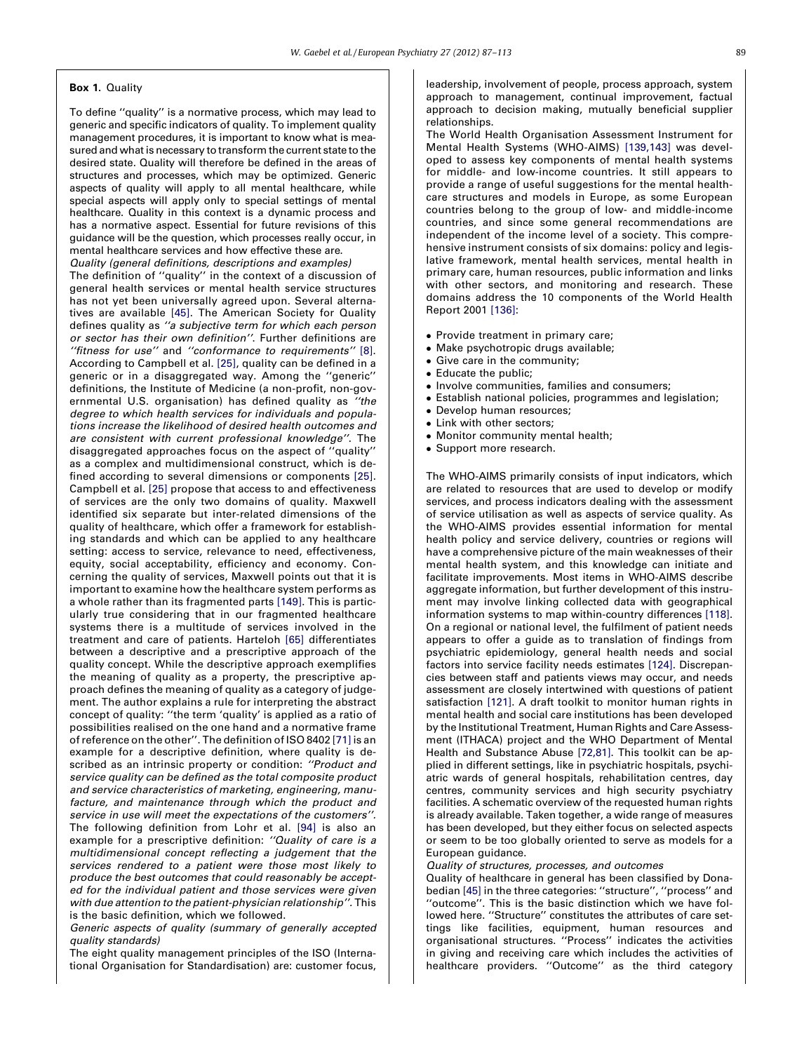## <span id="page-2-0"></span>Box 1. Quality

To define ''quality'' is a normative process, which may lead to generic and specific indicators of quality. To implement quality management procedures, it is important to know what is measured and what is necessary to transform the current state to the desired state. Quality will therefore be defined in the areas of structures and processes, which may be optimized. Generic aspects of quality will apply to all mental healthcare, while special aspects will apply only to special settings of mental healthcare. Quality in this context is a dynamic process and has a normative aspect. Essential for future revisions of this guidance will be the question, which processes really occur, in mental healthcare services and how effective these are.

Quality (general definitions, descriptions and examples) The definition of ''quality'' in the context of a discussion of general health services or mental health service structures has not yet been universally agreed upon. Several alternatives are available [\[45\]](#page-25-0). The American Society for Quality defines quality as ''a subjective term for which each person or sector has their own definition''. Further definitions are ''fitness for use'' and ''conformance to requirements'' [\[8\]](#page-24-0). According to Campbell et al. [\[25\]](#page-24-0), quality can be defined in a generic or in a disaggregated way. Among the ''generic'' definitions, the Institute of Medicine (a non-profit, non-governmental U.S. organisation) has defined quality as ''the degree to which health services for individuals and populations increase the likelihood of desired health outcomes and are consistent with current professional knowledge''. The disaggregated approaches focus on the aspect of ''quality'' as a complex and multidimensional construct, which is defined according to several dimensions or components [\[25\]](#page-24-0). Campbell et al. [\[25\]](#page-24-0) propose that access to and effectiveness of services are the only two domains of quality. Maxwell identified six separate but inter-related dimensions of the quality of healthcare, which offer a framework for establishing standards and which can be applied to any healthcare setting: access to service, relevance to need, effectiveness, equity, social acceptability, efficiency and economy. Concerning the quality of services, Maxwell points out that it is important to examine how the healthcare system performs as a whole rather than its fragmented parts [\[149\].](#page-26-0) This is particularly true considering that in our fragmented healthcare systems there is a multitude of services involved in the treatment and care of patients. Harteloh [\[65\]](#page-25-0) differentiates between a descriptive and a prescriptive approach of the quality concept. While the descriptive approach exemplifies the meaning of quality as a property, the prescriptive approach defines the meaning of quality as a category of judgement. The author explains a rule for interpreting the abstract concept of quality: ''the term 'quality' is applied as a ratio of possibilities realised on the one hand and a normative frame ofreference on the other''. The definition of ISO 8402 [\[71\]](#page-25-0) is an example for a descriptive definition, where quality is described as an intrinsic property or condition: "Product and service quality can be defined as the total composite product and service characteristics of marketing, engineering, manufacture, and maintenance through which the product and service in use will meet the expectations of the customers''. The following definition from Lohr et al. [\[94\]](#page-26-0) is also an example for a prescriptive definition: "Quality of care is a multidimensional concept reflecting a judgement that the services rendered to a patient were those most likely to produce the best outcomes that could reasonably be accepted for the individual patient and those services were given with due attention to the patient-physician relationship''. This is the basic definition, which we followed.

Generic aspects of quality (summary of generally accepted quality standards)

The eight quality management principles of the ISO (International Organisation for Standardisation) are: customer focus, leadership, involvement of people, process approach, system approach to management, continual improvement, factual approach to decision making, mutually beneficial supplier relationships.

The World Health Organisation Assessment Instrument for Mental Health Systems (WHO-AIMS) [\[139,143\]](#page-26-0) was developed to assess key components of mental health systems for middle- and low-income countries. It still appears to provide a range of useful suggestions for the mental healthcare structures and models in Europe, as some European countries belong to the group of low- and middle-income countries, and since some general recommendations are independent of the income level of a society. This comprehensive instrument consists of six domains: policy and legislative framework, mental health services, mental health in primary care, human resources, public information and links with other sectors, and monitoring and research. These domains address the 10 components of the World Health Report 2001 [\[136\]:](#page-26-0)

- Provide treatment in primary care;
- Make psychotropic drugs available;
- Give care in the community;
- Educate the public;
- $\bullet$  Involve communities, families and consumers;
- Establish national policies, programmes and legislation;
- Develop human resources;
- Link with other sectors;
- Monitor community mental health;
- Support more research.

The WHO-AIMS primarily consists of input indicators, which are related to resources that are used to develop or modify services, and process indicators dealing with the assessment of service utilisation as well as aspects of service quality. As the WHO-AIMS provides essential information for mental health policy and service delivery, countries or regions will have a comprehensive picture of the main weaknesses of their mental health system, and this knowledge can initiate and facilitate improvements. Most items in WHO-AIMS describe aggregate information, but further development of this instrument may involve linking collected data with geographical information systems to map within-country differences [\[118\]](#page-26-0). On a regional or national level, the fulfilment of patient needs appears to offer a guide as to translation of findings from psychiatric epidemiology, general health needs and social factors into service facility needs estimates [\[124\]](#page-26-0). Discrepancies between staff and patients views may occur, and needs assessment are closely intertwined with questions of patient satisfaction [\[121\].](#page-26-0) A draft toolkit to monitor human rights in mental health and social care institutions has been developed by the Institutional Treatment, Human Rights and Care Assessment (ITHACA) project and the WHO Department of Mental Health and Substance Abuse [\[72,81\].](#page-25-0) This toolkit can be applied in different settings, like in psychiatric hospitals, psychiatric wards of general hospitals, rehabilitation centres, day centres, community services and high security psychiatry facilities. A schematic overview of the requested human rights is already available. Taken together, a wide range of measures has been developed, but they either focus on selected aspects or seem to be too globally oriented to serve as models for a European guidance.

Quality of structures, processes, and outcomes

Quality of healthcare in general has been classified by Donabedian [\[45\]](#page-25-0) in the three categories: ''structure'', ''process'' and "outcome". This is the basic distinction which we have followed here. ''Structure'' constitutes the attributes of care settings like facilities, equipment, human resources and organisational structures. ''Process'' indicates the activities in giving and receiving care which includes the activities of healthcare providers. ''Outcome'' as the third category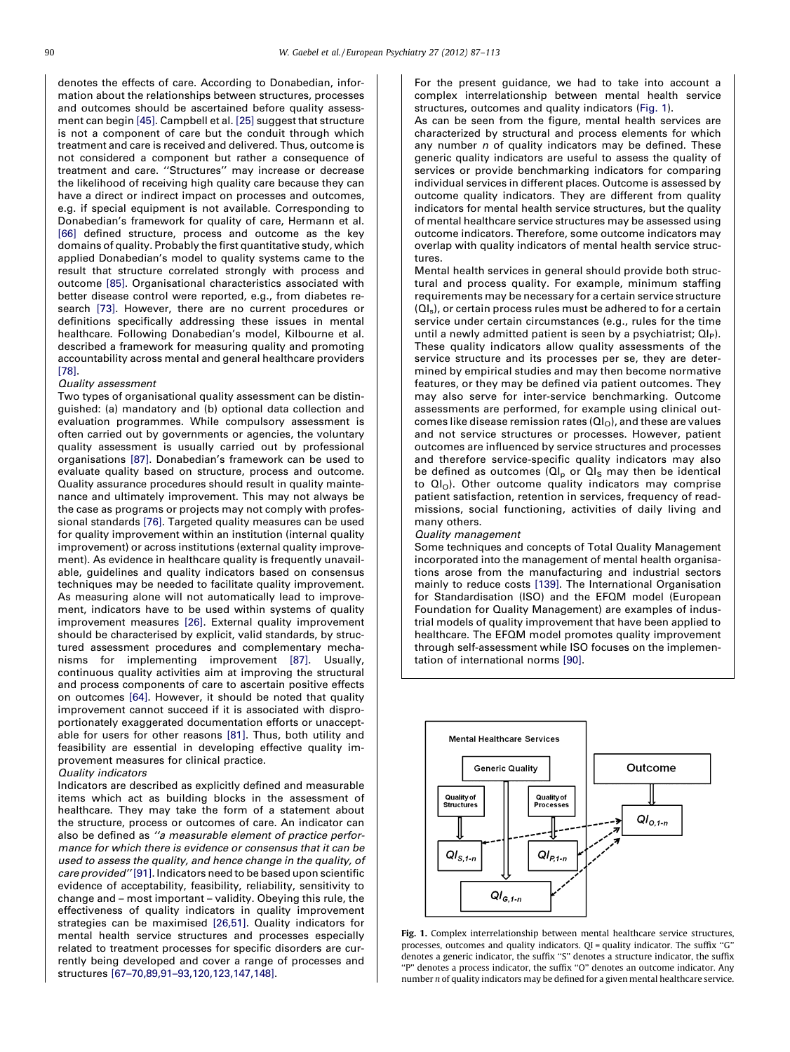<span id="page-3-0"></span>denotes the effects of care. According to Donabedian, information about the relationships between structures, processes and outcomes should be ascertained before quality assessment can begin [\[45\].](#page-25-0) Campbell et al. [\[25\]](#page-24-0) suggest that structure is not a component of care but the conduit through which treatment and care is received and delivered. Thus, outcome is not considered a component but rather a consequence of treatment and care. ''Structures'' may increase or decrease the likelihood of receiving high quality care because they can have a direct or indirect impact on processes and outcomes, e.g. if special equipment is not available. Corresponding to Donabedian's framework for quality of care, Hermann et al. [\[66\]](#page-25-0) defined structure, process and outcome as the key domains of quality. Probably the first quantitative study, which applied Donabedian's model to quality systems came to the result that structure correlated strongly with process and outcome [\[85\]](#page-25-0). Organisational characteristics associated with better disease control were reported, e.g., from diabetes research [\[73\].](#page-25-0) However, there are no current procedures or definitions specifically addressing these issues in mental healthcare. Following Donabedian's model, Kilbourne et al. described a framework for measuring quality and promoting accountability across mental and general healthcare providers [\[78\].](#page-25-0)

#### Quality assessment

Two types of organisational quality assessment can be distinguished: (a) mandatory and (b) optional data collection and evaluation programmes. While compulsory assessment is often carried out by governments or agencies, the voluntary quality assessment is usually carried out by professional organisations [\[87\]](#page-25-0). Donabedian's framework can be used to evaluate quality based on structure, process and outcome. Quality assurance procedures should result in quality maintenance and ultimately improvement. This may not always be the case as programs or projects may not comply with professional standards [\[76\]](#page-25-0). Targeted quality measures can be used for quality improvement within an institution (internal quality improvement) or across institutions (external quality improvement). As evidence in healthcare quality is frequently unavailable, guidelines and quality indicators based on consensus techniques may be needed to facilitate quality improvement. As measuring alone will not automatically lead to improvement, indicators have to be used within systems of quality improvement measures [\[26\]](#page-24-0). External quality improvement should be characterised by explicit, valid standards, by structured assessment procedures and complementary mechanisms for implementing improvement [\[87\]](#page-25-0). Usually, continuous quality activities aim at improving the structural and process components of care to ascertain positive effects on outcomes [\[64\]](#page-25-0). However, it should be noted that quality improvement cannot succeed if it is associated with disproportionately exaggerated documentation efforts or unacceptable for users for other reasons [\[81\]](#page-25-0). Thus, both utility and feasibility are essential in developing effective quality improvement measures for clinical practice.

#### Quality indicators

Indicators are described as explicitly defined and measurable items which act as building blocks in the assessment of healthcare. They may take the form of a statement about the structure, process or outcomes of care. An indicator can also be defined as ''a measurable element of practice performance for which there is evidence or consensus that it can be used to assess the quality, and hence change in the quality, of care provided'' [\[91\].](#page-25-0) Indicators need to be based upon scientific evidence of acceptability, feasibility, reliability, sensitivity to change and – most important – validity. Obeying this rule, the effectiveness of quality indicators in quality improvement strategies can be maximised [\[26,51\].](#page-24-0) Quality indicators for mental health service structures and processes especially related to treatment processes for specific disorders are currently being developed and cover a range of processes and structures [\[67–70,89,91–93,120,123,147,148\].](#page-25-0)

For the present guidance, we had to take into account a complex interrelationship between mental health service structures, outcomes and quality indicators (Fig. 1).

As can be seen from the figure, mental health services are characterized by structural and process elements for which any number  $n$  of quality indicators may be defined. These generic quality indicators are useful to assess the quality of services or provide benchmarking indicators for comparing individual services in different places. Outcome is assessed by outcome quality indicators. They are different from quality indicators for mental health service structures, but the quality of mental healthcare service structures may be assessed using outcome indicators. Therefore, some outcome indicators may overlap with quality indicators of mental health service structures.

Mental health services in general should provide both structural and process quality. For example, minimum staffing requirements may be necessary for a certain service structure (QIs), or certain process rules must be adhered to for a certain service under certain circumstances (e.g., rules for the time until a newly admitted patient is seen by a psychiatrist;  $Q|_P$ ). These quality indicators allow quality assessments of the service structure and its processes per se, they are determined by empirical studies and may then become normative features, or they may be defined via patient outcomes. They may also serve for inter-service benchmarking. Outcome assessments are performed, for example using clinical outcomes like disease remission rates  $(QI<sub>O</sub>)$ , and these are values and not service structures or processes. However, patient outcomes are influenced by service structures and processes and therefore service-specific quality indicators may also be defined as outcomes  $(QI_p)$  or  $QI_s$  may then be identical to  $QI<sub>o</sub>$ ). Other outcome quality indicators may comprise patient satisfaction, retention in services, frequency of readmissions, social functioning, activities of daily living and many others.

#### Quality management

Some techniques and concepts of Total Quality Management incorporated into the management of mental health organisations arose from the manufacturing and industrial sectors mainly to reduce costs [\[139\].](#page-26-0) The International Organisation for Standardisation (ISO) and the EFQM model (European Foundation for Quality Management) are examples of industrial models of quality improvement that have been applied to healthcare. The EFQM model promotes quality improvement through self-assessment while ISO focuses on the implementation of international norms [\[90\].](#page-25-0)



Fig. 1. Complex interrelationship between mental healthcare service structures, processes, outcomes and quality indicators. QI = quality indicator. The suffix ''G'' denotes a generic indicator, the suffix ''S'' denotes a structure indicator, the suffix "P" denotes a process indicator, the suffix "O" denotes an outcome indicator. Any number n of quality indicators may be defined for a given mental healthcare service.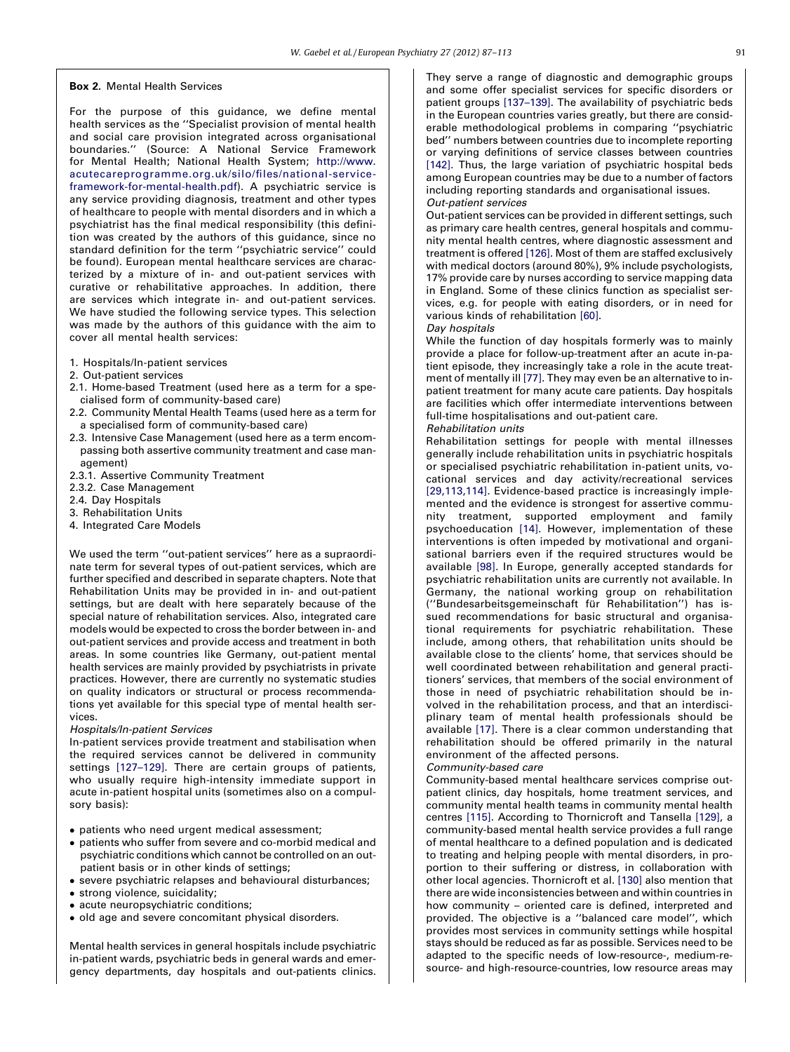## <span id="page-4-0"></span>Box 2. Mental Health Services

For the purpose of this guidance, we define mental health services as the ''Specialist provision of mental health and social care provision integrated across organisational boundaries.'' (Source: A National Service Framework for Mental Health; National Health System; [http://www.](http://www.who.int/mental_health/evidence/AIMS_WHO_2_2.pdf) [acutecareprogramme.org.uk/silo/files/national-service](http://www.who.int/mental_health/evidence/AIMS_WHO_2_2.pdf)[framework-for-mental-health.pdf\)](http://www.who.int/mental_health/evidence/AIMS_WHO_2_2.pdf). A psychiatric service is any service providing diagnosis, treatment and other types of healthcare to people with mental disorders and in which a psychiatrist has the final medical responsibility (this definition was created by the authors of this guidance, since no standard definition for the term ''psychiatric service'' could be found). European mental healthcare services are characterized by a mixture of in- and out-patient services with curative or rehabilitative approaches. In addition, there are services which integrate in- and out-patient services. We have studied the following service types. This selection was made by the authors of this guidance with the aim to cover all mental health services:

- 1. Hospitals/In-patient services
- 2. Out-patient services
- 2.1. Home-based Treatment (used here as a term for a specialised form of community-based care)
- 2.2. Community Mental Health Teams (used here as a term for a specialised form of community-based care)
- 2.3. Intensive Case Management (used here as a term encompassing both assertive community treatment and case management)
- 2.3.1. Assertive Community Treatment
- 2.3.2. Case Management
- 2.4. Day Hospitals
- 3. Rehabilitation Units
- 4. Integrated Care Models

We used the term ''out-patient services'' here as a supraordinate term for several types of out-patient services, which are further specified and described in separate chapters. Note that Rehabilitation Units may be provided in in- and out-patient settings, but are dealt with here separately because of the special nature of rehabilitation services. Also, integrated care models would be expected to cross the border between in- and out-patient services and provide access and treatment in both areas. In some countries like Germany, out-patient mental health services are mainly provided by psychiatrists in private practices. However, there are currently no systematic studies on quality indicators or structural or process recommendations yet available for this special type of mental health services.

# Hospitals/In-patient Services

In-patient services provide treatment and stabilisation when the required services cannot be delivered in community settings [\[127–129\]](#page-26-0). There are certain groups of patients, who usually require high-intensity immediate support in acute in-patient hospital units (sometimes also on a compulsory basis):

- patients who need urgent medical assessment;
- patients who suffer from severe and co-morbid medical and psychiatric conditions which cannot be controlled on an outpatient basis or in other kinds of settings;
- severe psychiatric relapses and behavioural disturbances;
- strong violence, suicidality;
- acute neuropsychiatric conditions;
- old age and severe concomitant physical disorders.

Mental health services in general hospitals include psychiatric in-patient wards, psychiatric beds in general wards and emergency departments, day hospitals and out-patients clinics.

They serve a range of diagnostic and demographic groups and some offer specialist services for specific disorders or patient groups [\[137–139\]](#page-26-0). The availability of psychiatric beds in the European countries varies greatly, but there are considerable methodological problems in comparing ''psychiatric bed'' numbers between countries due to incomplete reporting or varying definitions of service classes between countries [\[142\].](#page-26-0) Thus, the large variation of psychiatric hospital beds among European countries may be due to a number of factors including reporting standards and organisational issues. Out-patient services

Out-patient services can be provided in different settings, such as primary care health centres, general hospitals and community mental health centres, where diagnostic assessment and treatment is offered [\[126\].](#page-26-0) Most of them are staffed exclusively with medical doctors (around 80%), 9% include psychologists, 17% provide care by nurses according to service mapping data in England. Some of these clinics function as specialist services, e.g. for people with eating disorders, or in need for various kinds of rehabilitation [\[60\]](#page-25-0).

Day hospitals

While the function of day hospitals formerly was to mainly provide a place for follow-up-treatment after an acute in-patient episode, they increasingly take a role in the acute treatment of mentally ill [\[77\].](#page-25-0) They may even be an alternative to inpatient treatment for many acute care patients. Day hospitals are facilities which offer intermediate interventions between full-time hospitalisations and out-patient care.

## Rehabilitation units

Rehabilitation settings for people with mental illnesses generally include rehabilitation units in psychiatric hospitals or specialised psychiatric rehabilitation in-patient units, vocational services and day activity/recreational services [\[29,113,114\].](#page-24-0) Evidence-based practice is increasingly implemented and the evidence is strongest for assertive community treatment, supported employment and family psychoeducation [\[14\]](#page-24-0). However, implementation of these interventions is often impeded by motivational and organisational barriers even if the required structures would be available [\[98\].](#page-26-0) In Europe, generally accepted standards for psychiatric rehabilitation units are currently not available. In Germany, the national working group on rehabilitation ("Bundesarbeitsgemeinschaft für Rehabilitation") has issued recommendations for basic structural and organisational requirements for psychiatric rehabilitation. These include, among others, that rehabilitation units should be available close to the clients' home, that services should be well coordinated between rehabilitation and general practitioners' services, that members of the social environment of those in need of psychiatric rehabilitation should be involved in the rehabilitation process, and that an interdisciplinary team of mental health professionals should be available [\[17\]](#page-24-0). There is a clear common understanding that rehabilitation should be offered primarily in the natural environment of the affected persons.

Community-based care

Community-based mental healthcare services comprise outpatient clinics, day hospitals, home treatment services, and community mental health teams in community mental health centres [\[115\]](#page-26-0). According to Thornicroft and Tansella [\[129\],](#page-26-0) a community-based mental health service provides a full range of mental healthcare to a defined population and is dedicated to treating and helping people with mental disorders, in proportion to their suffering or distress, in collaboration with other local agencies. Thornicroft et al. [\[130\]](#page-26-0) also mention that there are wide inconsistencies between and within countries in how community – oriented care is defined, interpreted and provided. The objective is a ''balanced care model'', which provides most services in community settings while hospital stays should be reduced as far as possible. Services need to be adapted to the specific needs of low-resource-, medium-resource- and high-resource-countries, low resource areas may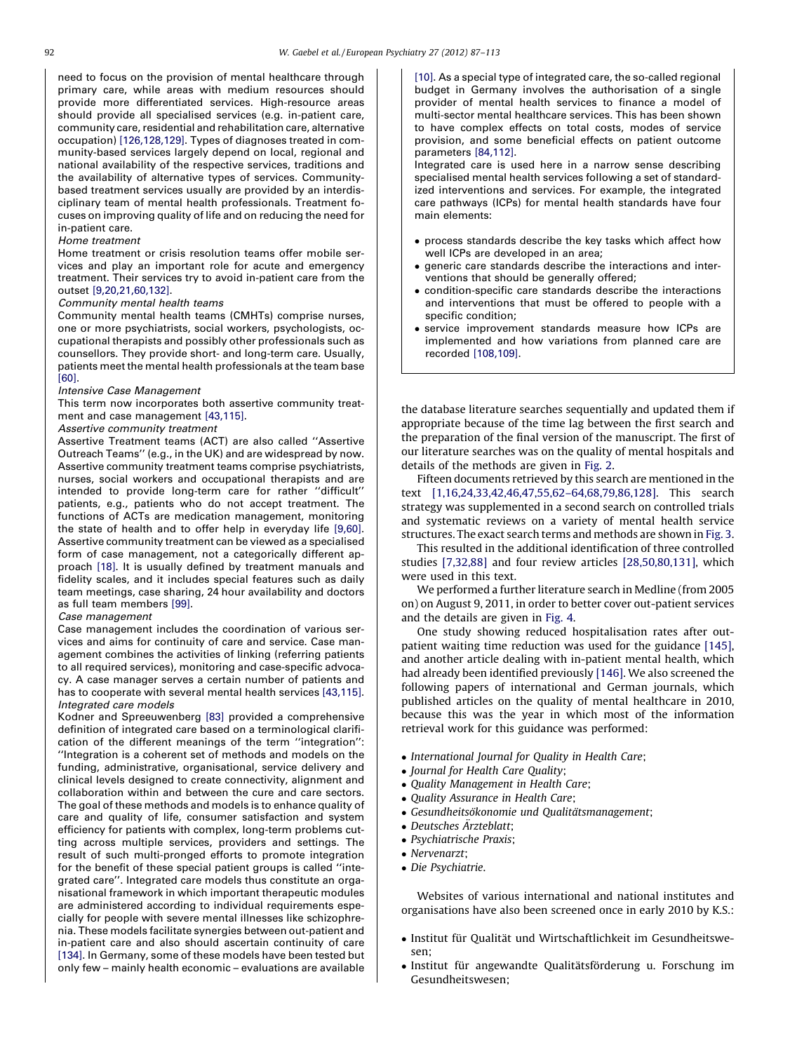need to focus on the provision of mental healthcare through primary care, while areas with medium resources should provide more differentiated services. High-resource areas should provide all specialised services (e.g. in-patient care, community care, residential and rehabilitation care, alternative occupation) [\[126,128,129\]](#page-26-0). Types of diagnoses treated in community-based services largely depend on local, regional and national availability of the respective services, traditions and the availability of alternative types of services. Communitybased treatment services usually are provided by an interdisciplinary team of mental health professionals. Treatment focuses on improving quality of life and on reducing the need for in-patient care.

#### Home treatment

Home treatment or crisis resolution teams offer mobile services and play an important role for acute and emergency treatment. Their services try to avoid in-patient care from the outset [\[9,20,21,60,132\].](#page-24-0)

## Community mental health teams

Community mental health teams (CMHTs) comprise nurses, one or more psychiatrists, social workers, psychologists, occupational therapists and possibly other professionals such as counsellors. They provide short- and long-term care. Usually, patients meet the mental health professionals at the team base [\[60\].](#page-25-0)

#### Intensive Case Management

This term now incorporates both assertive community treatment and case management [\[43,115\]](#page-25-0).

# Assertive community treatment

Assertive Treatment teams (ACT) are also called ''Assertive Outreach Teams'' (e.g., in the UK) and are widespread by now. Assertive community treatment teams comprise psychiatrists, nurses, social workers and occupational therapists and are intended to provide long-term care for rather ''difficult'' patients, e.g., patients who do not accept treatment. The functions of ACTs are medication management, monitoring the state of health and to offer help in everyday life [\[9,60\].](#page-24-0) Assertive community treatment can be viewed as a specialised form of case management, not a categorically different approach [\[18\]](#page-24-0). It is usually defined by treatment manuals and fidelity scales, and it includes special features such as daily team meetings, case sharing, 24 hour availability and doctors as full team members [\[99\]](#page-26-0).

## Case management

Case management includes the coordination of various services and aims for continuity of care and service. Case management combines the activities of linking (referring patients to all required services), monitoring and case-specific advocacy. A case manager serves a certain number of patients and has to cooperate with several mental health services [\[43,115\].](#page-25-0) Integrated care models

Kodner and Spreeuwenberg [\[83\]](#page-25-0) provided a comprehensive definition of integrated care based on a terminological clarification of the different meanings of the term ''integration'': ''Integration is a coherent set of methods and models on the funding, administrative, organisational, service delivery and clinical levels designed to create connectivity, alignment and collaboration within and between the cure and care sectors. The goal of these methods and models is to enhance quality of care and quality of life, consumer satisfaction and system efficiency for patients with complex, long-term problems cutting across multiple services, providers and settings. The result of such multi-pronged efforts to promote integration for the benefit of these special patient groups is called ''integrated care''. Integrated care models thus constitute an organisational framework in which important therapeutic modules are administered according to individual requirements especially for people with severe mental illnesses like schizophrenia. These models facilitate synergies between out-patient and in-patient care and also should ascertain continuity of care [\[134\]](#page-26-0). In Germany, some of these models have been tested but only few – mainly health economic – evaluations are available

[\[10\].](#page-24-0) As a special type of integrated care, the so-called regional budget in Germany involves the authorisation of a single provider of mental health services to finance a model of multi-sector mental healthcare services. This has been shown to have complex effects on total costs, modes of service provision, and some beneficial effects on patient outcome parameters [\[84,112\]](#page-25-0).

Integrated care is used here in a narrow sense describing specialised mental health services following a set of standardized interventions and services. For example, the integrated care pathways (ICPs) for mental health standards have four main elements:

- process standards describe the key tasks which affect how well ICPs are developed in an area;
- generic care standards describe the interactions and interventions that should be generally offered;
- condition-specific care standards describe the interactions and interventions that must be offered to people with a specific condition;
- service improvement standards measure how ICPs are implemented and how variations from planned care are recorded [\[108,109\].](#page-26-0)

the database literature searches sequentially and updated them if appropriate because of the time lag between the first search and the preparation of the final version of the manuscript. The first of our literature searches was on the quality of mental hospitals and details of the methods are given in [Fig.](#page-6-0) 2.

Fifteen documents retrieved by this search are mentioned in the text [\[1,16,24,33,42,46,47,55,62–64,68,79,86,128\].](#page-24-0) This search strategy was supplemented in a second search on controlled trials and systematic reviews on a variety of mental health service structures. The exact search terms and methods are shown in [Fig.](#page-7-0) 3.

This resulted in the additional identification of three controlled studies [\[7,32,88\]](#page-24-0) and four review articles [\[28,50,80,131\],](#page-24-0) which were used in this text.

We performed a further literature search in Medline (from 2005 on) on August 9, 2011, in order to better cover out-patient services and the details are given in [Fig.](#page-8-0) 4.

One study showing reduced hospitalisation rates after outpatient waiting time reduction was used for the guidance [\[145\],](#page-26-0) and another article dealing with in-patient mental health, which had already been identified previously [\[146\]](#page-26-0). We also screened the following papers of international and German journals, which published articles on the quality of mental healthcare in 2010, because this was the year in which most of the information retrieval work for this guidance was performed:

- International Journal for Quality in Health Care;
- Journal for Health Care Quality;
- Quality Management in Health Care;
- Quality Assurance in Health Care;
- Gesundheitsökonomie und Qualitätsmanagement;
- Deutsches Ärzteblatt;
- Psychiatrische Praxis;
- Nervenarzt;
- Die Psychiatrie.

Websites of various international and national institutes and organisations have also been screened once in early 2010 by K.S.:

- Institut für Qualität und Wirtschaftlichkeit im Gesundheitswesen;
- Institut für angewandte Qualitätsförderung u. Forschung im Gesundheitswesen;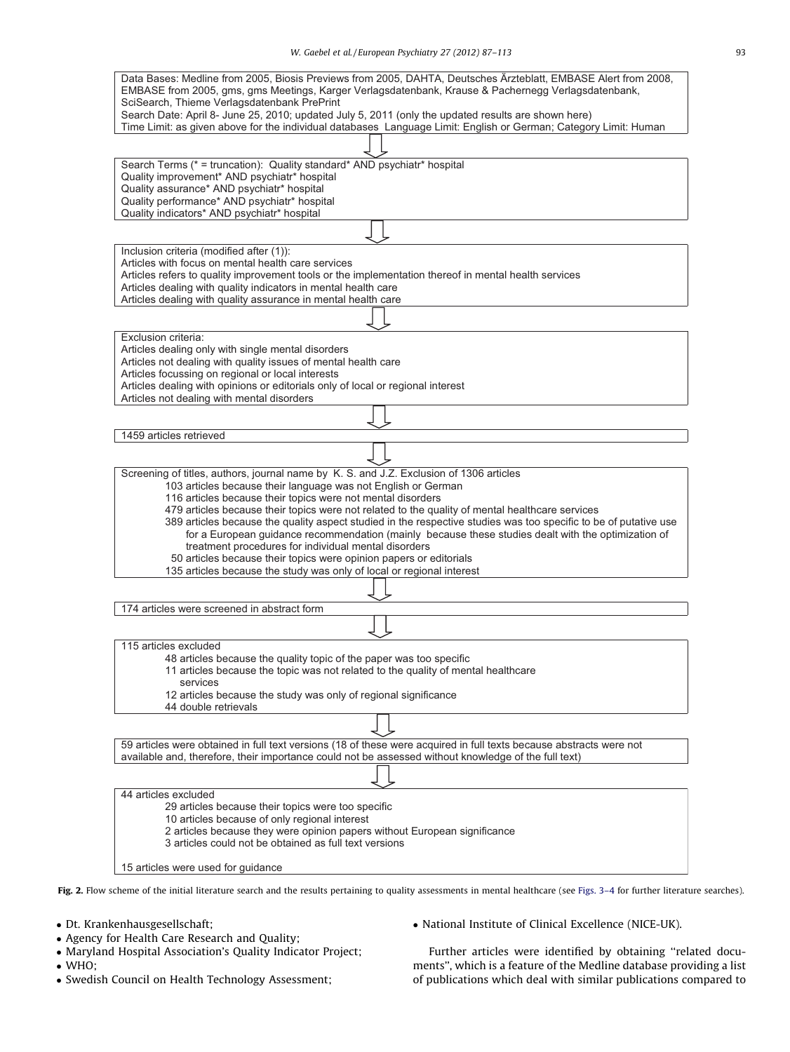<span id="page-6-0"></span>

|                                                                                                                               | EMBASE from 2005, gms, gms Meetings, Karger Verlagsdatenbank, Krause & Pachernegg Verlagsdatenbank,                 |
|-------------------------------------------------------------------------------------------------------------------------------|---------------------------------------------------------------------------------------------------------------------|
|                                                                                                                               | Search Date: April 8- June 25, 2010; updated July 5, 2011 (only the updated results are shown here)                 |
|                                                                                                                               | Time Limit: as given above for the individual databases Language Limit: English or German; Category Limit: Human    |
|                                                                                                                               |                                                                                                                     |
| Search Terms (* = truncation): Quality standard* AND psychiatr* hospital                                                      |                                                                                                                     |
| Quality improvement* AND psychiatr* hospital<br>Quality assurance* AND psychiatr* hospital                                    |                                                                                                                     |
| Quality performance* AND psychiatr* hospital                                                                                  |                                                                                                                     |
| Quality indicators* AND psychiatr* hospital                                                                                   |                                                                                                                     |
|                                                                                                                               |                                                                                                                     |
| Inclusion criteria (modified after (1)):                                                                                      |                                                                                                                     |
| Articles with focus on mental health care services                                                                            |                                                                                                                     |
| Articles refers to quality improvement tools or the implementation thereof in mental health services                          |                                                                                                                     |
| Articles dealing with quality indicators in mental health care                                                                |                                                                                                                     |
| Articles dealing with quality assurance in mental health care                                                                 |                                                                                                                     |
|                                                                                                                               |                                                                                                                     |
| Exclusion criteria:                                                                                                           |                                                                                                                     |
| Articles dealing only with single mental disorders                                                                            |                                                                                                                     |
| Articles not dealing with quality issues of mental health care                                                                |                                                                                                                     |
| Articles focussing on regional or local interests                                                                             |                                                                                                                     |
| Articles dealing with opinions or editorials only of local or regional interest<br>Articles not dealing with mental disorders |                                                                                                                     |
|                                                                                                                               |                                                                                                                     |
|                                                                                                                               |                                                                                                                     |
| 1459 articles retrieved                                                                                                       |                                                                                                                     |
|                                                                                                                               |                                                                                                                     |
| Screening of titles, authors, journal name by K. S. and J.Z. Exclusion of 1306 articles                                       |                                                                                                                     |
| 103 articles because their language was not English or German                                                                 |                                                                                                                     |
| 116 articles because their topics were not mental disorders                                                                   |                                                                                                                     |
|                                                                                                                               | 479 articles because their topics were not related to the quality of mental healthcare services                     |
|                                                                                                                               | 389 articles because the quality aspect studied in the respective studies was too specific to be of putative use    |
| treatment procedures for individual mental disorders                                                                          | for a European guidance recommendation (mainly because these studies dealt with the optimization of                 |
| 50 articles because their topics were opinion papers or editorials                                                            |                                                                                                                     |
| 135 articles because the study was only of local or regional interest                                                         |                                                                                                                     |
|                                                                                                                               |                                                                                                                     |
|                                                                                                                               |                                                                                                                     |
|                                                                                                                               |                                                                                                                     |
| 174 articles were screened in abstract form                                                                                   |                                                                                                                     |
|                                                                                                                               |                                                                                                                     |
| 115 articles excluded                                                                                                         |                                                                                                                     |
| 48 articles because the quality topic of the paper was too specific                                                           |                                                                                                                     |
| 11 articles because the topic was not related to the quality of mental healthcare<br>services                                 |                                                                                                                     |
| 12 articles because the study was only of regional significance                                                               |                                                                                                                     |
| 44 double retrievals                                                                                                          |                                                                                                                     |
|                                                                                                                               |                                                                                                                     |
|                                                                                                                               | 59 articles were obtained in full text versions (18 of these were acquired in full texts because abstracts were not |
| available and, therefore, their importance could not be assessed without knowledge of the full text)                          |                                                                                                                     |
|                                                                                                                               |                                                                                                                     |
| 44 articles excluded                                                                                                          |                                                                                                                     |
| 29 articles because their topics were too specific                                                                            |                                                                                                                     |
| 10 articles because of only regional interest                                                                                 |                                                                                                                     |
| 2 articles because they were opinion papers without European significance                                                     |                                                                                                                     |
| 3 articles could not be obtained as full text versions                                                                        |                                                                                                                     |

Fig. 2. Flow scheme of the initial literature search and the results pertaining to quality assessments in mental healthcare (see [Figs.](#page-7-0) 3-4 for further literature searches).

- Dt. Krankenhausgesellschaft;
- Agency for Health Care Research and Quality;
- Maryland Hospital Association's Quality Indicator Project;
- WHO;
- Swedish Council on Health Technology Assessment;
- National Institute of Clinical Excellence (NICE-UK).

Further articles were identified by obtaining "related documents'', which is a feature of the Medline database providing a list of publications which deal with similar publications compared to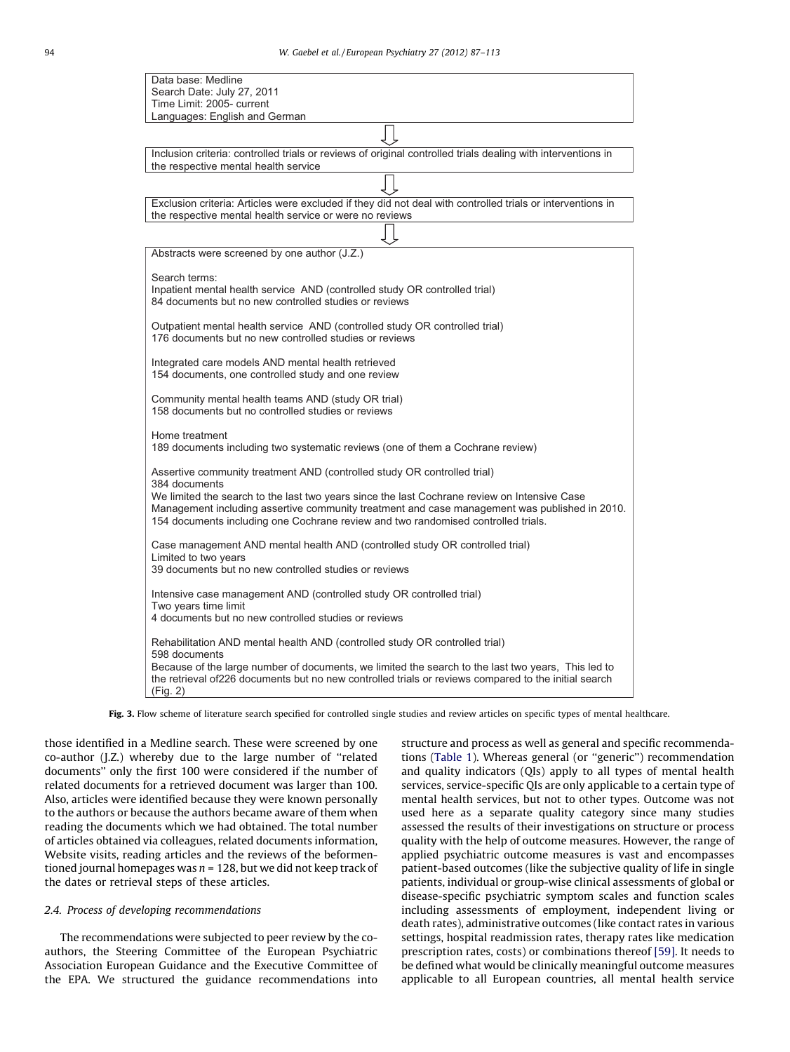<span id="page-7-0"></span>

Fig. 3. Flow scheme of literature search specified for controlled single studies and review articles on specific types of mental healthcare.

those identified in a Medline search. These were screened by one co-author (J.Z.) whereby due to the large number of ''related documents'' only the first 100 were considered if the number of related documents for a retrieved document was larger than 100. Also, articles were identified because they were known personally to the authors or because the authors became aware of them when reading the documents which we had obtained. The total number of articles obtained via colleagues, related documents information, Website visits, reading articles and the reviews of the beformentioned journal homepages was  $n = 128$ , but we did not keep track of the dates or retrieval steps of these articles.

## 2.4. Process of developing recommendations

The recommendations were subjected to peer review by the coauthors, the Steering Committee of the European Psychiatric Association European Guidance and the Executive Committee of the EPA. We structured the guidance recommendations into

structure and process as well as general and specific recommendations ([Table](#page-10-0) 1). Whereas general (or ''generic'') recommendation and quality indicators (QIs) apply to all types of mental health services, service-specific QIs are only applicable to a certain type of mental health services, but not to other types. Outcome was not used here as a separate quality category since many studies assessed the results of their investigations on structure or process quality with the help of outcome measures. However, the range of applied psychiatric outcome measures is vast and encompasses patient-based outcomes (like the subjective quality of life in single patients, individual or group-wise clinical assessments of global or disease-specific psychiatric symptom scales and function scales including assessments of employment, independent living or death rates), administrative outcomes (like contact rates in various settings, hospital readmission rates, therapy rates like medication prescription rates, costs) or combinations thereof [\[59\]](#page-25-0). It needs to be defined what would be clinically meaningful outcome measures applicable to all European countries, all mental health service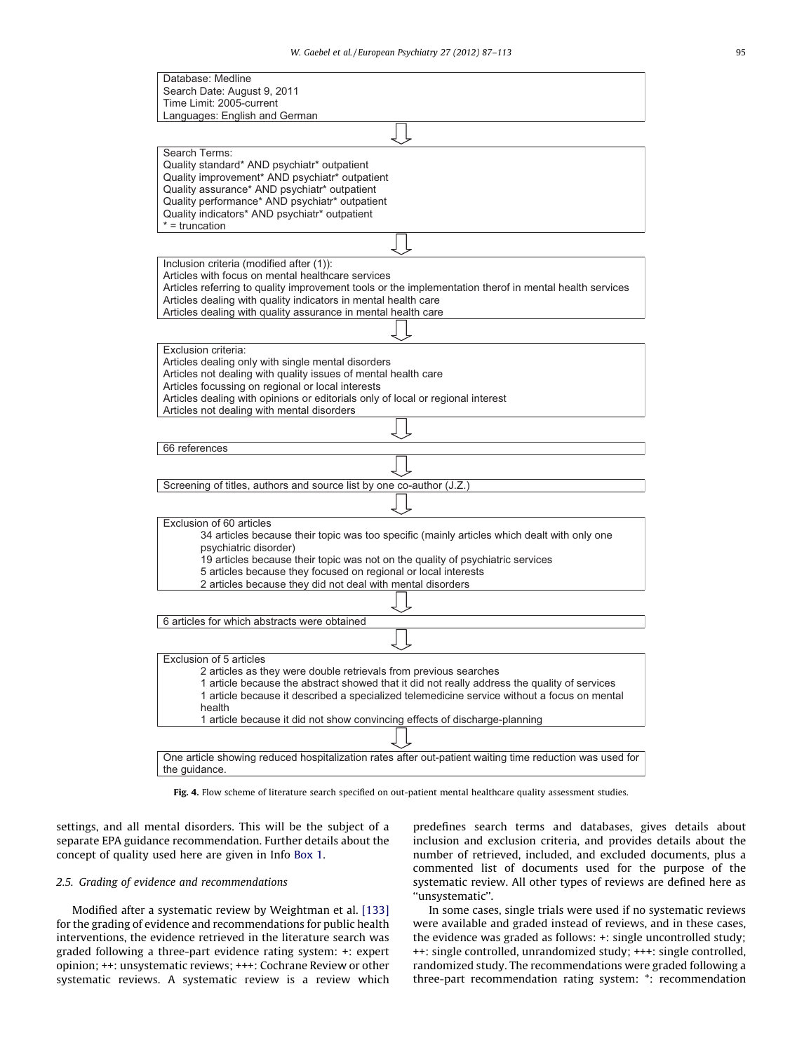<span id="page-8-0"></span>

Fig. 4. Flow scheme of literature search specified on out-patient mental healthcare quality assessment studies.

settings, and all mental disorders. This will be the subject of a separate EPA guidance recommendation. Further details about the concept of quality used here are given in Info [Box](#page-2-0) 1.

## 2.5. Grading of evidence and recommendations

Modified after a systematic review by Weightman et al. [\[133\]](#page-26-0) for the grading of evidence and recommendations for public health interventions, the evidence retrieved in the literature search was graded following a three-part evidence rating system: +: expert opinion; ++: unsystematic reviews; +++: Cochrane Review or other systematic reviews. A systematic review is a review which predefines search terms and databases, gives details about inclusion and exclusion criteria, and provides details about the number of retrieved, included, and excluded documents, plus a commented list of documents used for the purpose of the systematic review. All other types of reviews are defined here as ''unsystematic''.

In some cases, single trials were used if no systematic reviews were available and graded instead of reviews, and in these cases, the evidence was graded as follows: +: single uncontrolled study; ++: single controlled, unrandomized study; +++: single controlled, randomized study. The recommendations were graded following a three-part recommendation rating system: \*: recommendation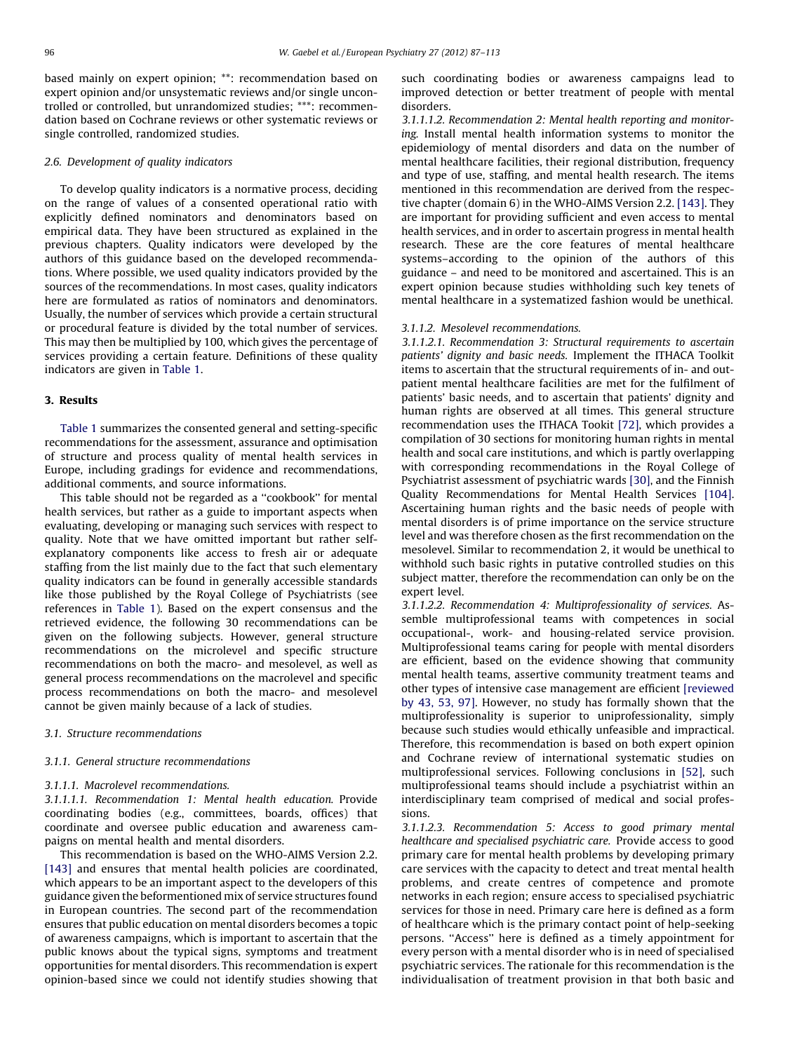<span id="page-9-0"></span>based mainly on expert opinion; \*\*: recommendation based on expert opinion and/or unsystematic reviews and/or single uncontrolled or controlled, but unrandomized studies; \*\*\*: recommendation based on Cochrane reviews or other systematic reviews or single controlled, randomized studies.

# 2.6. Development of quality indicators

To develop quality indicators is a normative process, deciding on the range of values of a consented operational ratio with explicitly defined nominators and denominators based on empirical data. They have been structured as explained in the previous chapters. Quality indicators were developed by the authors of this guidance based on the developed recommendations. Where possible, we used quality indicators provided by the sources of the recommendations. In most cases, quality indicators here are formulated as ratios of nominators and denominators. Usually, the number of services which provide a certain structural or procedural feature is divided by the total number of services. This may then be multiplied by 100, which gives the percentage of services providing a certain feature. Definitions of these quality indicators are given in [Table](#page-10-0) 1.

## 3. Results

[Table](#page-10-0) 1 summarizes the consented general and setting-specific recommendations for the assessment, assurance and optimisation of structure and process quality of mental health services in Europe, including gradings for evidence and recommendations, additional comments, and source informations.

This table should not be regarded as a ''cookbook'' for mental health services, but rather as a guide to important aspects when evaluating, developing or managing such services with respect to quality. Note that we have omitted important but rather selfexplanatory components like access to fresh air or adequate staffing from the list mainly due to the fact that such elementary quality indicators can be found in generally accessible standards like those published by the Royal College of Psychiatrists (see references in [Table](#page-10-0) 1). Based on the expert consensus and the retrieved evidence, the following 30 recommendations can be given on the following subjects. However, general structure recommendations on the microlevel and specific structure recommendations on both the macro- and mesolevel, as well as general process recommendations on the macrolevel and specific process recommendations on both the macro- and mesolevel cannot be given mainly because of a lack of studies.

## 3.1. Structure recommendations

## 3.1.1. General structure recommendations

## 3.1.1.1. Macrolevel recommendations.

3.1.1.1.1. Recommendation 1: Mental health education. Provide coordinating bodies (e.g., committees, boards, offices) that coordinate and oversee public education and awareness campaigns on mental health and mental disorders.

This recommendation is based on the WHO-AIMS Version 2.2. [\[143\]](#page-26-0) and ensures that mental health policies are coordinated, which appears to be an important aspect to the developers of this guidance given the beformentioned mix of service structures found in European countries. The second part of the recommendation ensures that public education on mental disorders becomes a topic of awareness campaigns, which is important to ascertain that the public knows about the typical signs, symptoms and treatment opportunities for mental disorders. This recommendation is expert opinion-based since we could not identify studies showing that such coordinating bodies or awareness campaigns lead to improved detection or better treatment of people with mental disorders.

3.1.1.1.2. Recommendation 2: Mental health reporting and monitoring. Install mental health information systems to monitor the epidemiology of mental disorders and data on the number of mental healthcare facilities, their regional distribution, frequency and type of use, staffing, and mental health research. The items mentioned in this recommendation are derived from the respective chapter (domain 6) in the WHO-AIMS Version 2.2. [\[143\]](#page-26-0). They are important for providing sufficient and even access to mental health services, and in order to ascertain progress in mental health research. These are the core features of mental healthcare systems–according to the opinion of the authors of this guidance – and need to be monitored and ascertained. This is an expert opinion because studies withholding such key tenets of mental healthcare in a systematized fashion would be unethical.

## 3.1.1.2. Mesolevel recommendations.

3.1.1.2.1. Recommendation 3: Structural requirements to ascertain patients' dignity and basic needs. Implement the ITHACA Toolkit items to ascertain that the structural requirements of in- and outpatient mental healthcare facilities are met for the fulfilment of patients' basic needs, and to ascertain that patients' dignity and human rights are observed at all times. This general structure recommendation uses the ITHACA Tookit [\[72\],](#page-25-0) which provides a compilation of 30 sections for monitoring human rights in mental health and socal care institutions, and which is partly overlapping with corresponding recommendations in the Royal College of Psychiatrist assessment of psychiatric wards [\[30\]](#page-24-0), and the Finnish Quality Recommendations for Mental Health Services [\[104\].](#page-26-0) Ascertaining human rights and the basic needs of people with mental disorders is of prime importance on the service structure level and was therefore chosen as the first recommendation on the mesolevel. Similar to recommendation 2, it would be unethical to withhold such basic rights in putative controlled studies on this subject matter, therefore the recommendation can only be on the expert level.

3.1.1.2.2. Recommendation 4: Multiprofessionality of services. Assemble multiprofessional teams with competences in social occupational-, work- and housing-related service provision. Multiprofessional teams caring for people with mental disorders are efficient, based on the evidence showing that community mental health teams, assertive community treatment teams and other types of intensive case management are efficient [\[reviewed](#page-25-0) by 43, 53, [97\]](#page-25-0). However, no study has formally shown that the multiprofessionality is superior to uniprofessionality, simply because such studies would ethically unfeasible and impractical. Therefore, this recommendation is based on both expert opinion and Cochrane review of international systematic studies on multiprofessional services. Following conclusions in [\[52\],](#page-25-0) such multiprofessional teams should include a psychiatrist within an interdisciplinary team comprised of medical and social professions.

3.1.1.2.3. Recommendation 5: Access to good primary mental healthcare and specialised psychiatric care. Provide access to good primary care for mental health problems by developing primary care services with the capacity to detect and treat mental health problems, and create centres of competence and promote networks in each region; ensure access to specialised psychiatric services for those in need. Primary care here is defined as a form of healthcare which is the primary contact point of help-seeking persons. ''Access'' here is defined as a timely appointment for every person with a mental disorder who is in need of specialised psychiatric services. The rationale for this recommendation is the individualisation of treatment provision in that both basic and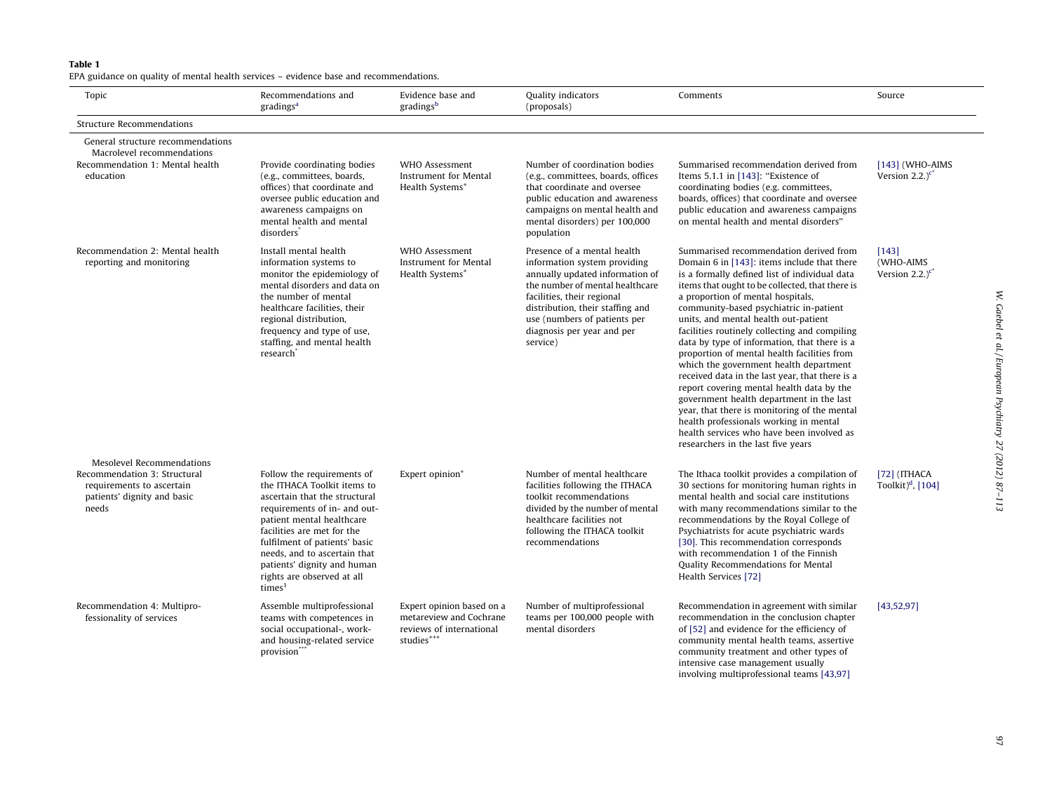## <span id="page-10-0"></span>Table 1

EPA guidance on quality of mental health services – evidence base and recommendations.

| Topic                                                                                                                          | Recommendations and<br>gradings <sup>a</sup>                                                                                                                                                                                                                                                                                              | Evidence base and<br>gradingsb                                                                             | Quality indicators<br>(proposals)                                                                                                                                                                                                                                             | Comments                                                                                                                                                                                                                                                                                                                                                                                                                                                                                                                                                                                                                                                                                                                                                                                                                            | Source                                               |
|--------------------------------------------------------------------------------------------------------------------------------|-------------------------------------------------------------------------------------------------------------------------------------------------------------------------------------------------------------------------------------------------------------------------------------------------------------------------------------------|------------------------------------------------------------------------------------------------------------|-------------------------------------------------------------------------------------------------------------------------------------------------------------------------------------------------------------------------------------------------------------------------------|-------------------------------------------------------------------------------------------------------------------------------------------------------------------------------------------------------------------------------------------------------------------------------------------------------------------------------------------------------------------------------------------------------------------------------------------------------------------------------------------------------------------------------------------------------------------------------------------------------------------------------------------------------------------------------------------------------------------------------------------------------------------------------------------------------------------------------------|------------------------------------------------------|
| <b>Structure Recommendations</b>                                                                                               |                                                                                                                                                                                                                                                                                                                                           |                                                                                                            |                                                                                                                                                                                                                                                                               |                                                                                                                                                                                                                                                                                                                                                                                                                                                                                                                                                                                                                                                                                                                                                                                                                                     |                                                      |
| General structure recommendations<br>Macrolevel recommendations                                                                |                                                                                                                                                                                                                                                                                                                                           |                                                                                                            |                                                                                                                                                                                                                                                                               |                                                                                                                                                                                                                                                                                                                                                                                                                                                                                                                                                                                                                                                                                                                                                                                                                                     |                                                      |
| Recommendation 1: Mental health<br>education                                                                                   | Provide coordinating bodies<br>(e.g., committees, boards,<br>offices) that coordinate and<br>oversee public education and<br>awareness campaigns on<br>mental health and mental<br>disorders <sup>®</sup>                                                                                                                                 | <b>WHO</b> Assessment<br>Instrument for Mental<br>Health Systems <sup>+</sup>                              | Number of coordination bodies<br>(e.g., committees, boards, offices<br>that coordinate and oversee<br>public education and awareness<br>campaigns on mental health and<br>mental disorders) per 100,000<br>population                                                         | Summarised recommendation derived from<br>Items $5.1.1$ in $[143]$ : "Existence of<br>coordinating bodies (e.g. committees,<br>boards, offices) that coordinate and oversee<br>public education and awareness campaigns<br>on mental health and mental disorders"                                                                                                                                                                                                                                                                                                                                                                                                                                                                                                                                                                   | $[143]$ (WHO-AIMS<br>Version $2.2.$ ) <sup>c*</sup>  |
| Recommendation 2: Mental health<br>reporting and monitoring                                                                    | Install mental health<br>information systems to<br>monitor the epidemiology of<br>mental disorders and data on<br>the number of mental<br>healthcare facilities, their<br>regional distribution,<br>frequency and type of use,<br>staffing, and mental health<br>research                                                                 | <b>WHO Assessment</b><br>Instrument for Mental<br>Health Systems <sup>+</sup>                              | Presence of a mental health<br>information system providing<br>annually updated information of<br>the number of mental healthcare<br>facilities, their regional<br>distribution, their staffing and<br>use (numbers of patients per<br>diagnosis per year and per<br>service) | Summarised recommendation derived from<br>Domain 6 in [143]: items include that there<br>is a formally defined list of individual data<br>items that ought to be collected, that there is<br>a proportion of mental hospitals,<br>community-based psychiatric in-patient<br>units, and mental health out-patient<br>facilities routinely collecting and compiling<br>data by type of information, that there is a<br>proportion of mental health facilities from<br>which the government health department<br>received data in the last year, that there is a<br>report covering mental health data by the<br>government health department in the last<br>year, that there is monitoring of the mental<br>health professionals working in mental<br>health services who have been involved as<br>researchers in the last five years | [143]<br>(WHO-AIMS<br>Version $2.2$ .) <sup>c*</sup> |
| Mesolevel Recommendations<br>Recommendation 3: Structural<br>requirements to ascertain<br>patients' dignity and basic<br>needs | Follow the requirements of<br>the ITHACA Toolkit items to<br>ascertain that the structural<br>requirements of in- and out-<br>patient mental healthcare<br>facilities are met for the<br>fulfilment of patients' basic<br>needs, and to ascertain that<br>patients' dignity and human<br>rights are observed at all<br>times <sup>1</sup> | Expert opinion <sup>+</sup>                                                                                | Number of mental healthcare<br>facilities following the ITHACA<br>toolkit recommendations<br>divided by the number of mental<br>healthcare facilities not<br>following the ITHACA toolkit<br>recommendations                                                                  | The Ithaca toolkit provides a compilation of<br>30 sections for monitoring human rights in<br>mental health and social care institutions<br>with many recommendations similar to the<br>recommendations by the Royal College of<br>Psychiatrists for acute psychiatric wards<br>[30]. This recommendation corresponds<br>with recommendation 1 of the Finnish<br>Quality Recommendations for Mental<br>Health Services [72]                                                                                                                                                                                                                                                                                                                                                                                                         | [72] (ITHACA<br>Toolkit) <sup>d</sup> , [104]        |
| Recommendation 4: Multipro-<br>fessionality of services                                                                        | Assemble multiprofessional<br>teams with competences in<br>social occupational-, work-<br>and housing-related service<br>provision <sup>®</sup>                                                                                                                                                                                           | Expert opinion based on a<br>metareview and Cochrane<br>reviews of international<br>studies <sup>+++</sup> | Number of multiprofessional<br>teams per 100,000 people with<br>mental disorders                                                                                                                                                                                              | Recommendation in agreement with similar<br>recommendation in the conclusion chapter<br>of [52] and evidence for the efficiency of<br>community mental health teams, assertive<br>community treatment and other types of<br>intensive case management usually<br>involving multiprofessional teams [43,97]                                                                                                                                                                                                                                                                                                                                                                                                                                                                                                                          | [43,52,97]                                           |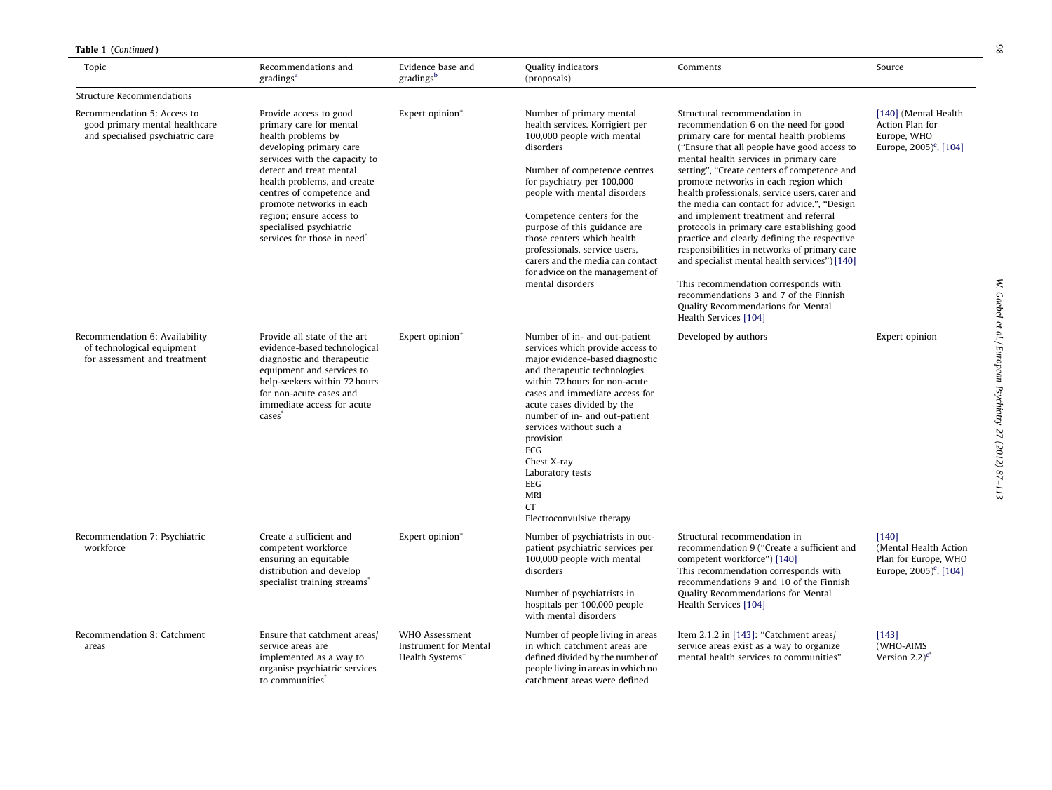# Table 1 (Continued )

| Topic                                                                                             | Recommendations and<br>gradings <sup>a</sup>                                                                                                                                                                                                                                                                                                             | Evidence base and<br>gradings <sup>b</sup>                             | Quality indicators<br>(proposals)                                                                                                                                                                                                                                                                                                                                                                                            | Comments                                                                                                                                                                                                                                                                                                                                                                                                                                                                                                                                                                                                                                                                                                                                                                                     | Source                                                                                          |
|---------------------------------------------------------------------------------------------------|----------------------------------------------------------------------------------------------------------------------------------------------------------------------------------------------------------------------------------------------------------------------------------------------------------------------------------------------------------|------------------------------------------------------------------------|------------------------------------------------------------------------------------------------------------------------------------------------------------------------------------------------------------------------------------------------------------------------------------------------------------------------------------------------------------------------------------------------------------------------------|----------------------------------------------------------------------------------------------------------------------------------------------------------------------------------------------------------------------------------------------------------------------------------------------------------------------------------------------------------------------------------------------------------------------------------------------------------------------------------------------------------------------------------------------------------------------------------------------------------------------------------------------------------------------------------------------------------------------------------------------------------------------------------------------|-------------------------------------------------------------------------------------------------|
| <b>Structure Recommendations</b>                                                                  |                                                                                                                                                                                                                                                                                                                                                          |                                                                        |                                                                                                                                                                                                                                                                                                                                                                                                                              |                                                                                                                                                                                                                                                                                                                                                                                                                                                                                                                                                                                                                                                                                                                                                                                              |                                                                                                 |
| Recommendation 5: Access to<br>good primary mental healthcare<br>and specialised psychiatric care | Provide access to good<br>primary care for mental<br>health problems by<br>developing primary care<br>services with the capacity to<br>detect and treat mental<br>health problems, and create<br>centres of competence and<br>promote networks in each<br>region; ensure access to<br>specialised psychiatric<br>services for those in need <sup>*</sup> | Expert opinion <sup>+</sup>                                            | Number of primary mental<br>health services. Korrigiert per<br>100,000 people with mental<br>disorders<br>Number of competence centres<br>for psychiatry per 100,000<br>people with mental disorders<br>Competence centers for the<br>purpose of this guidance are<br>those centers which health<br>professionals, service users,<br>carers and the media can contact<br>for advice on the management of<br>mental disorders | Structural recommendation in<br>recommendation 6 on the need for good<br>primary care for mental health problems<br>("Ensure that all people have good access to<br>mental health services in primary care<br>setting", "Create centers of competence and<br>promote networks in each region which<br>health professionals, service users, carer and<br>the media can contact for advice.", "Design<br>and implement treatment and referral<br>protocols in primary care establishing good<br>practice and clearly defining the respective<br>responsibilities in networks of primary care<br>and specialist mental health services") [140]<br>This recommendation corresponds with<br>recommendations 3 and 7 of the Finnish<br>Quality Recommendations for Mental<br>Health Services [104] | [140] (Mental Health<br>Action Plan for<br>Europe, WHO<br>Europe, 2005) <sup>e</sup> , [104]    |
| Recommendation 6: Availability<br>of technological equipment<br>for assessment and treatment      | Provide all state of the art<br>evidence-based technological<br>diagnostic and therapeutic<br>equipment and services to<br>help-seekers within 72 hours<br>for non-acute cases and<br>immediate access for acute<br>cases <sup>®</sup>                                                                                                                   | Expert opinion <sup>+</sup>                                            | Number of in- and out-patient<br>services which provide access to<br>major evidence-based diagnostic<br>and therapeutic technologies<br>within 72 hours for non-acute<br>cases and immediate access for<br>acute cases divided by the<br>number of in- and out-patient<br>services without such a<br>provision<br>ECG<br>Chest X-ray<br>Laboratory tests<br><b>EEG</b><br>MRI<br><b>CT</b><br>Electroconvulsive therapy      | Developed by authors                                                                                                                                                                                                                                                                                                                                                                                                                                                                                                                                                                                                                                                                                                                                                                         | Expert opinion                                                                                  |
| Recommendation 7: Psychiatric<br>workforce                                                        | Create a sufficient and<br>competent workforce<br>ensuring an equitable<br>distribution and develop<br>specialist training streams <sup>®</sup>                                                                                                                                                                                                          | Expert opinion <sup>+</sup>                                            | Number of psychiatrists in out-<br>patient psychiatric services per<br>100,000 people with mental<br>disorders<br>Number of psychiatrists in<br>hospitals per 100,000 people<br>with mental disorders                                                                                                                                                                                                                        | Structural recommendation in<br>recommendation 9 ("Create a sufficient and<br>competent workforce") [140]<br>This recommendation corresponds with<br>recommendations 9 and 10 of the Finnish<br>Quality Recommendations for Mental<br>Health Services [104]                                                                                                                                                                                                                                                                                                                                                                                                                                                                                                                                  | $[140]$<br>(Mental Health Action<br>Plan for Europe, WHO<br>Europe, $2005$ <sup>e</sup> , [104] |
| Recommendation 8: Catchment<br>areas                                                              | Ensure that catchment areas/<br>service areas are<br>implemented as a way to<br>organise psychiatric services<br>to communities <sup>®</sup>                                                                                                                                                                                                             | WHO Assessment<br>Instrument for Mental<br>Health Systems <sup>+</sup> | Number of people living in areas<br>in which catchment areas are<br>defined divided by the number of<br>people living in areas in which no<br>catchment areas were defined                                                                                                                                                                                                                                                   | Item 2.1.2 in $[143]$ : "Catchment areas/<br>service areas exist as a way to organize<br>mental health services to communities"                                                                                                                                                                                                                                                                                                                                                                                                                                                                                                                                                                                                                                                              | [143]<br>(WHO-AIMS<br>Version $2.2$ <sup>c</sup>                                                |

 $\frac{38}{1}$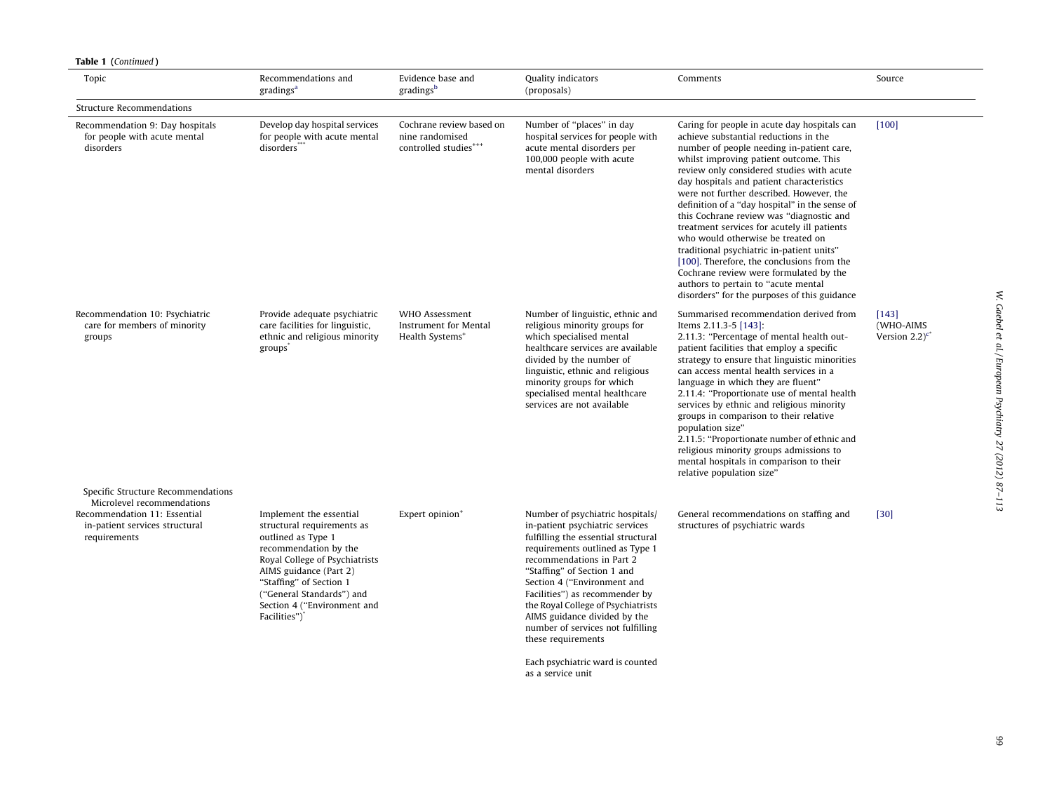Table 1 (Continued)

| Topic                                                                                                                                              | Recommendations and<br>gradings <sup>a</sup>                                                                                                                                                                                                                                         | Evidence base and<br>gradings <sup>b</sup>                                       | Quality indicators<br>(proposals)                                                                                                                                                                                                                                                                                                                                                                                                               | Comments                                                                                                                                                                                                                                                                                                                                                                                                                                                                                                                                                                                                                                                                                                                         | Source                                           |
|----------------------------------------------------------------------------------------------------------------------------------------------------|--------------------------------------------------------------------------------------------------------------------------------------------------------------------------------------------------------------------------------------------------------------------------------------|----------------------------------------------------------------------------------|-------------------------------------------------------------------------------------------------------------------------------------------------------------------------------------------------------------------------------------------------------------------------------------------------------------------------------------------------------------------------------------------------------------------------------------------------|----------------------------------------------------------------------------------------------------------------------------------------------------------------------------------------------------------------------------------------------------------------------------------------------------------------------------------------------------------------------------------------------------------------------------------------------------------------------------------------------------------------------------------------------------------------------------------------------------------------------------------------------------------------------------------------------------------------------------------|--------------------------------------------------|
| <b>Structure Recommendations</b>                                                                                                                   |                                                                                                                                                                                                                                                                                      |                                                                                  |                                                                                                                                                                                                                                                                                                                                                                                                                                                 |                                                                                                                                                                                                                                                                                                                                                                                                                                                                                                                                                                                                                                                                                                                                  |                                                  |
| Recommendation 9: Day hospitals<br>for people with acute mental<br>disorders                                                                       | Develop day hospital services<br>for people with acute mental<br>disorders**                                                                                                                                                                                                         | Cochrane review based on<br>nine randomised<br>controlled studies <sup>+++</sup> | Number of "places" in day<br>hospital services for people with<br>acute mental disorders per<br>100,000 people with acute<br>mental disorders                                                                                                                                                                                                                                                                                                   | Caring for people in acute day hospitals can<br>achieve substantial reductions in the<br>number of people needing in-patient care,<br>whilst improving patient outcome. This<br>review only considered studies with acute<br>day hospitals and patient characteristics<br>were not further described. However, the<br>definition of a "day hospital" in the sense of<br>this Cochrane review was "diagnostic and<br>treatment services for acutely ill patients<br>who would otherwise be treated on<br>traditional psychiatric in-patient units"<br>[100]. Therefore, the conclusions from the<br>Cochrane review were formulated by the<br>authors to pertain to "acute mental<br>disorders" for the purposes of this guidance | $[100]$                                          |
| Recommendation 10: Psychiatric<br>care for members of minority<br>groups                                                                           | Provide adequate psychiatric<br>care facilities for linguistic,<br>ethnic and religious minority<br>groups                                                                                                                                                                           | WHO Assessment<br>Instrument for Mental<br>Health Systems <sup>+</sup>           | Number of linguistic, ethnic and<br>religious minority groups for<br>which specialised mental<br>healthcare services are available<br>divided by the number of<br>linguistic, ethnic and religious<br>minority groups for which<br>specialised mental healthcare<br>services are not available                                                                                                                                                  | Summarised recommendation derived from<br>Items 2.11.3-5 [143]:<br>2.11.3: "Percentage of mental health out-<br>patient facilities that employ a specific<br>strategy to ensure that linguistic minorities<br>can access mental health services in a<br>language in which they are fluent"<br>2.11.4: "Proportionate use of mental health<br>services by ethnic and religious minority<br>groups in comparison to their relative<br>population size"<br>2.11.5: "Proportionate number of ethnic and<br>religious minority groups admissions to<br>mental hospitals in comparison to their<br>relative population size"                                                                                                           | [143]<br>(WHO-AIMS<br>Version $2.2$ <sup>c</sup> |
| Specific Structure Recommendations<br>Microlevel recommendations<br>Recommendation 11: Essential<br>in-patient services structural<br>requirements | Implement the essential<br>structural requirements as<br>outlined as Type 1<br>recommendation by the<br>Royal College of Psychiatrists<br>AIMS guidance (Part 2)<br>"Staffing" of Section 1<br>("General Standards") and<br>Section 4 ("Environment and<br>Facilities") <sup>*</sup> | Expert opinion <sup>+</sup>                                                      | Number of psychiatric hospitals/<br>in-patient psychiatric services<br>fulfilling the essential structural<br>requirements outlined as Type 1<br>recommendations in Part 2<br>"Staffing" of Section 1 and<br>Section 4 ("Environment and<br>Facilities") as recommender by<br>the Royal College of Psychiatrists<br>AIMS guidance divided by the<br>number of services not fulfilling<br>these requirements<br>Each psychiatric ward is counted | General recommendations on staffing and<br>structures of psychiatric wards                                                                                                                                                                                                                                                                                                                                                                                                                                                                                                                                                                                                                                                       | $[30]$                                           |

as a service unit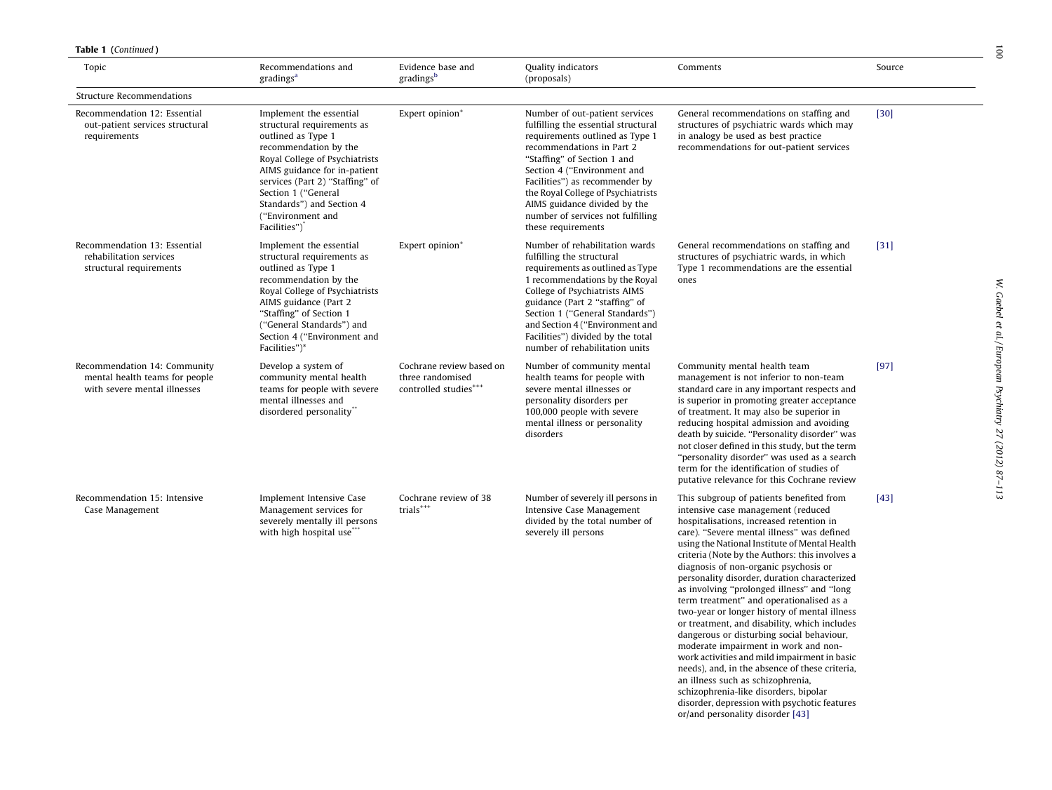Table 1 (Continued )

| Topic                                                                                          | Recommendations and<br>gradings <sup>a</sup>                                                                                                                                                                                                                                                        | Evidence base and<br>gradingsb                                                    | Quality indicators<br>(proposals)                                                                                                                                                                                                                                                                                                                                      | Comments                                                                                                                                                                                                                                                                                                                                                                                                                                                                                                                                                                                                                                                                                                                                                                                                                            | Source |
|------------------------------------------------------------------------------------------------|-----------------------------------------------------------------------------------------------------------------------------------------------------------------------------------------------------------------------------------------------------------------------------------------------------|-----------------------------------------------------------------------------------|------------------------------------------------------------------------------------------------------------------------------------------------------------------------------------------------------------------------------------------------------------------------------------------------------------------------------------------------------------------------|-------------------------------------------------------------------------------------------------------------------------------------------------------------------------------------------------------------------------------------------------------------------------------------------------------------------------------------------------------------------------------------------------------------------------------------------------------------------------------------------------------------------------------------------------------------------------------------------------------------------------------------------------------------------------------------------------------------------------------------------------------------------------------------------------------------------------------------|--------|
| Structure Recommendations                                                                      |                                                                                                                                                                                                                                                                                                     |                                                                                   |                                                                                                                                                                                                                                                                                                                                                                        |                                                                                                                                                                                                                                                                                                                                                                                                                                                                                                                                                                                                                                                                                                                                                                                                                                     |        |
| Recommendation 12: Essential<br>out-patient services structural<br>requirements                | Implement the essential<br>structural requirements as<br>outlined as Type 1<br>recommendation by the<br>Royal College of Psychiatrists<br>AIMS guidance for in-patient<br>services (Part 2) "Staffing" of<br>Section 1 ("General<br>Standards") and Section 4<br>("Environment and<br>Facilities")* | Expert opinion <sup>+</sup>                                                       | Number of out-patient services<br>fulfilling the essential structural<br>requirements outlined as Type 1<br>recommendations in Part 2<br>"Staffing" of Section 1 and<br>Section 4 ("Environment and<br>Facilities") as recommender by<br>the Royal College of Psychiatrists<br>AIMS guidance divided by the<br>number of services not fulfilling<br>these requirements | General recommendations on staffing and<br>structures of psychiatric wards which may<br>in analogy be used as best practice<br>recommendations for out-patient services                                                                                                                                                                                                                                                                                                                                                                                                                                                                                                                                                                                                                                                             | $[30]$ |
| Recommendation 13: Essential<br>rehabilitation services<br>structural requirements             | Implement the essential<br>structural requirements as<br>outlined as Type 1<br>recommendation by the<br>Royal College of Psychiatrists<br>AIMS guidance (Part 2<br>"Staffing" of Section 1<br>("General Standards") and<br>Section 4 ("Environment and<br>Facilities")*                             | Expert opinion <sup>+</sup>                                                       | Number of rehabilitation wards<br>fulfilling the structural<br>requirements as outlined as Type<br>1 recommendations by the Royal<br>College of Psychiatrists AIMS<br>guidance (Part 2 "staffing" of<br>Section 1 ("General Standards")<br>and Section 4 ("Environment and<br>Facilities") divided by the total<br>number of rehabilitation units                      | General recommendations on staffing and<br>structures of psychiatric wards, in which<br>Type 1 recommendations are the essential<br>ones                                                                                                                                                                                                                                                                                                                                                                                                                                                                                                                                                                                                                                                                                            | $[31]$ |
| Recommendation 14: Community<br>mental health teams for people<br>with severe mental illnesses | Develop a system of<br>community mental health<br>teams for people with severe<br>mental illnesses and<br>disordered personality"                                                                                                                                                                   | Cochrane review based on<br>three randomised<br>controlled studies <sup>+++</sup> | Number of community mental<br>health teams for people with<br>severe mental illnesses or<br>personality disorders per<br>100,000 people with severe<br>mental illness or personality<br>disorders                                                                                                                                                                      | Community mental health team<br>management is not inferior to non-team<br>standard care in any important respects and<br>is superior in promoting greater acceptance<br>of treatment. It may also be superior in<br>reducing hospital admission and avoiding<br>death by suicide. "Personality disorder" was<br>not closer defined in this study, but the term<br>"personality disorder" was used as a search<br>term for the identification of studies of<br>putative relevance for this Cochrane review                                                                                                                                                                                                                                                                                                                           | $[97]$ |
| Recommendation 15: Intensive<br>Case Management                                                | Implement Intensive Case<br>Management services for<br>severely mentally ill persons<br>with high hospital use"                                                                                                                                                                                     | Cochrane review of 38<br>$trials$ <sup>***</sup>                                  | Number of severely ill persons in<br>Intensive Case Management<br>divided by the total number of<br>severely ill persons                                                                                                                                                                                                                                               | This subgroup of patients benefited from<br>intensive case management (reduced<br>hospitalisations, increased retention in<br>care). "Severe mental illness" was defined<br>using the National Institute of Mental Health<br>criteria (Note by the Authors: this involves a<br>diagnosis of non-organic psychosis or<br>personality disorder, duration characterized<br>as involving "prolonged illness" and "long<br>term treatment" and operationalised as a<br>two-year or longer history of mental illness<br>or treatment, and disability, which includes<br>dangerous or disturbing social behaviour,<br>moderate impairment in work and non-<br>work activities and mild impairment in basic<br>needs), and, in the absence of these criteria,<br>an illness such as schizophrenia,<br>schizophrenia-like disorders, bipolar | $[43]$ |

W. Gaebel et al. / European Psychiatry 27 (2012) 87–113 100

disorder, depression with psychotic features or/and personality disorder [\[43\]](#page-25-0)

 $\overline{\mathtt{S}}$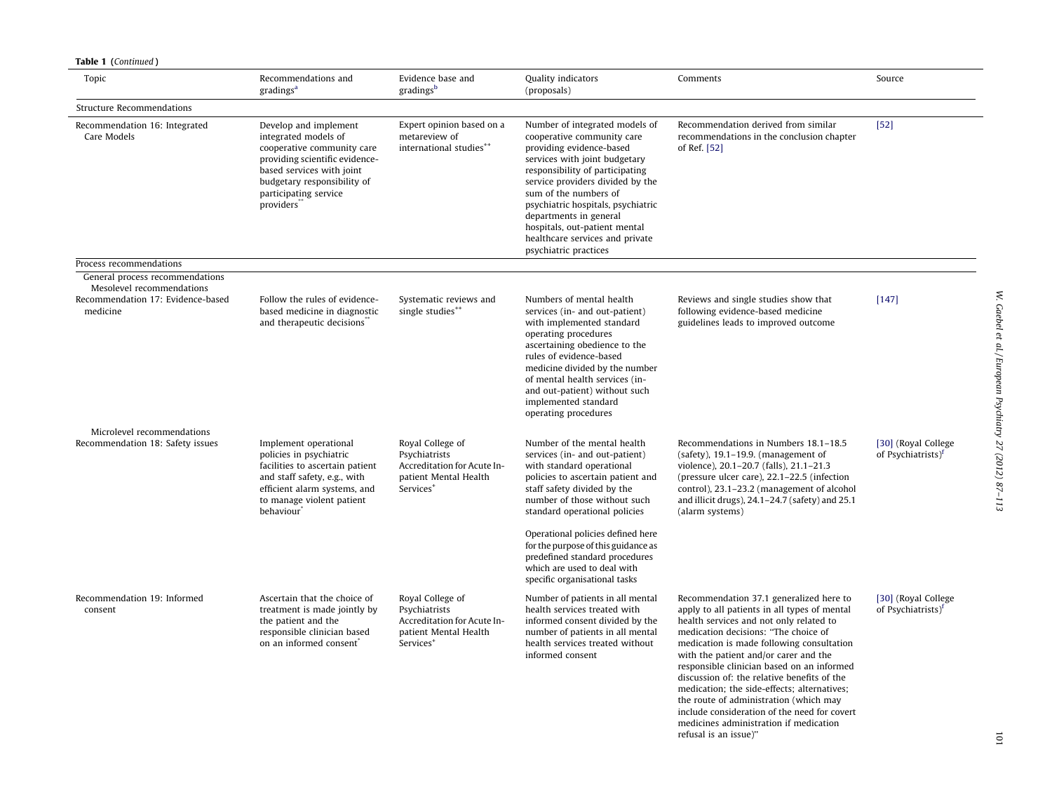# Table 1 (Continued)

| Topic                                                          | Recommendations and<br>gradings <sup>a</sup>                                                                                                                                                                     | Evidence base and<br>gradingsb                                                                                     | Quality indicators<br>(proposals)                                                                                                                                                                                                                                                                                                                                                      | Comments                                                                                                                                                                                                                                                                                                                                                                                                                                                                                               | Source                                                 |
|----------------------------------------------------------------|------------------------------------------------------------------------------------------------------------------------------------------------------------------------------------------------------------------|--------------------------------------------------------------------------------------------------------------------|----------------------------------------------------------------------------------------------------------------------------------------------------------------------------------------------------------------------------------------------------------------------------------------------------------------------------------------------------------------------------------------|--------------------------------------------------------------------------------------------------------------------------------------------------------------------------------------------------------------------------------------------------------------------------------------------------------------------------------------------------------------------------------------------------------------------------------------------------------------------------------------------------------|--------------------------------------------------------|
| <b>Structure Recommendations</b>                               |                                                                                                                                                                                                                  |                                                                                                                    |                                                                                                                                                                                                                                                                                                                                                                                        |                                                                                                                                                                                                                                                                                                                                                                                                                                                                                                        |                                                        |
| Recommendation 16: Integrated<br>Care Models                   | Develop and implement<br>integrated models of<br>cooperative community care<br>providing scientific evidence-<br>based services with joint<br>budgetary responsibility of<br>participating service<br>providers" | Expert opinion based on a<br>metareview of<br>international studies <sup>++</sup>                                  | Number of integrated models of<br>cooperative community care<br>providing evidence-based<br>services with joint budgetary<br>responsibility of participating<br>service providers divided by the<br>sum of the numbers of<br>psychiatric hospitals, psychiatric<br>departments in general<br>hospitals, out-patient mental<br>healthcare services and private<br>psychiatric practices | Recommendation derived from similar<br>recommendations in the conclusion chapter<br>of Ref. [52]                                                                                                                                                                                                                                                                                                                                                                                                       | $[52]$                                                 |
| Process recommendations                                        |                                                                                                                                                                                                                  |                                                                                                                    |                                                                                                                                                                                                                                                                                                                                                                                        |                                                                                                                                                                                                                                                                                                                                                                                                                                                                                                        |                                                        |
| General process recommendations<br>Mesolevel recommendations   |                                                                                                                                                                                                                  |                                                                                                                    |                                                                                                                                                                                                                                                                                                                                                                                        |                                                                                                                                                                                                                                                                                                                                                                                                                                                                                                        |                                                        |
| Recommendation 17: Evidence-based<br>medicine                  | Follow the rules of evidence-<br>based medicine in diagnostic<br>and therapeutic decisions"                                                                                                                      | Systematic reviews and<br>single studies <sup>++</sup>                                                             | Numbers of mental health<br>services (in- and out-patient)<br>with implemented standard<br>operating procedures<br>ascertaining obedience to the<br>rules of evidence-based<br>medicine divided by the number<br>of mental health services (in-<br>and out-patient) without such<br>implemented standard<br>operating procedures                                                       | Reviews and single studies show that<br>following evidence-based medicine<br>guidelines leads to improved outcome                                                                                                                                                                                                                                                                                                                                                                                      | [147]                                                  |
| Microlevel recommendations<br>Recommendation 18: Safety issues | Implement operational<br>policies in psychiatric<br>facilities to ascertain patient<br>and staff safety, e.g., with<br>efficient alarm systems, and<br>to manage violent patient<br>behaviour                    | Royal College of<br>Psychiatrists<br>Accreditation for Acute In-<br>patient Mental Health<br>Services <sup>+</sup> | Number of the mental health<br>services (in- and out-patient)<br>with standard operational<br>policies to ascertain patient and<br>staff safety divided by the<br>number of those without such<br>standard operational policies<br>Operational policies defined here                                                                                                                   | Recommendations in Numbers 18.1-18.5<br>(safety), $19.1-19.9$ . (management of<br>violence), 20.1-20.7 (falls), 21.1-21.3<br>(pressure ulcer care), 22.1-22.5 (infection<br>control), 23.1-23.2 (management of alcohol<br>and illicit drugs), $24.1 - 24.7$ (safety) and $25.1$<br>(alarm systems)                                                                                                                                                                                                     | [30] (Royal College)<br>of Psychiatrists) <sup>f</sup> |
|                                                                |                                                                                                                                                                                                                  |                                                                                                                    | for the purpose of this guidance as<br>predefined standard procedures<br>which are used to deal with<br>specific organisational tasks                                                                                                                                                                                                                                                  |                                                                                                                                                                                                                                                                                                                                                                                                                                                                                                        |                                                        |
| Recommendation 19: Informed<br>consent                         | Ascertain that the choice of<br>treatment is made jointly by<br>the patient and the<br>responsible clinician based<br>on an informed consent <sup>®</sup>                                                        | Royal College of<br>Psychiatrists<br>Accreditation for Acute In-<br>patient Mental Health<br>Services <sup>+</sup> | Number of patients in all mental<br>health services treated with<br>informed consent divided by the<br>number of patients in all mental<br>health services treated without<br>informed consent                                                                                                                                                                                         | Recommendation 37.1 generalized here to<br>apply to all patients in all types of mental<br>health services and not only related to<br>medication decisions: "The choice of<br>medication is made following consultation<br>with the patient and/or carer and the<br>responsible clinician based on an informed<br>discussion of: the relative benefits of the<br>medication; the side-effects; alternatives;<br>the route of administration (which may<br>include consideration of the need for covert | [30] (Royal College)<br>of Psychiatrists) <sup>f</sup> |

medicines administration if medication

refusal is an issue)''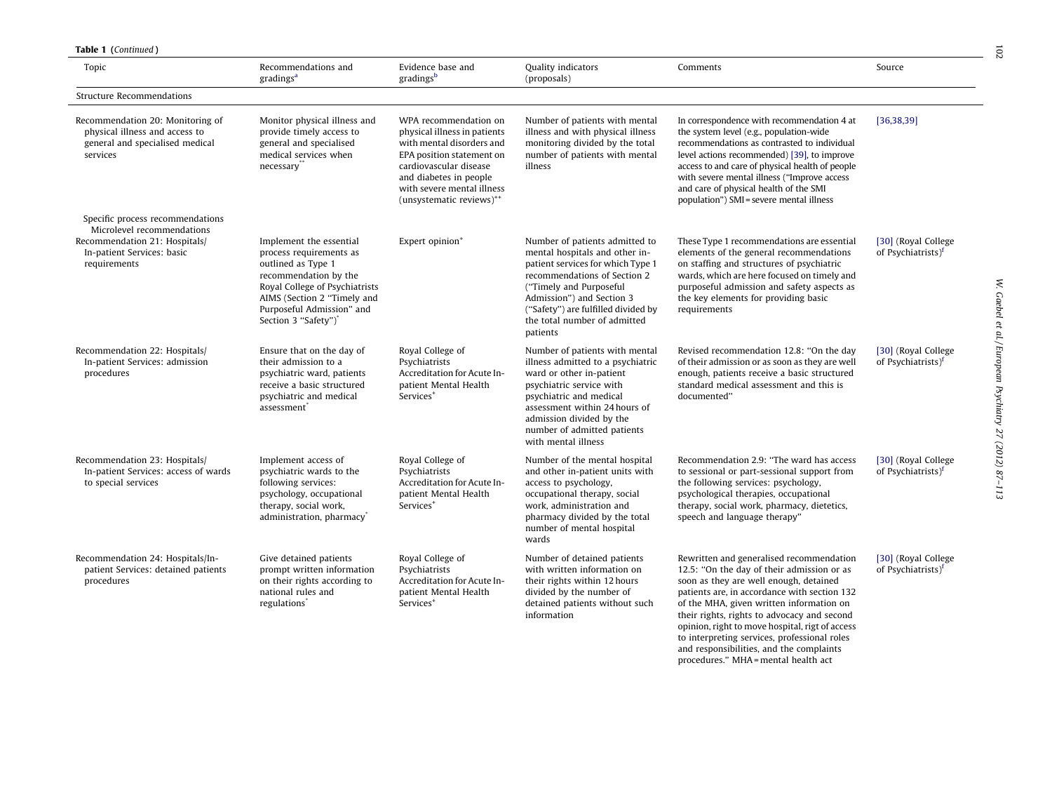# Table 1 (Continued )

| Topic                                                                                                                                         | Recommendations and<br>gradings <sup>a</sup>                                                                                                                                                                                        | Evidence base and<br>gradingsb                                                                                                                                                                                                            | Quality indicators<br>(proposals)                                                                                                                                                                                                                                                | Comments                                                                                                                                                                                                                                                                                                                                                                       | Source                                                 |
|-----------------------------------------------------------------------------------------------------------------------------------------------|-------------------------------------------------------------------------------------------------------------------------------------------------------------------------------------------------------------------------------------|-------------------------------------------------------------------------------------------------------------------------------------------------------------------------------------------------------------------------------------------|----------------------------------------------------------------------------------------------------------------------------------------------------------------------------------------------------------------------------------------------------------------------------------|--------------------------------------------------------------------------------------------------------------------------------------------------------------------------------------------------------------------------------------------------------------------------------------------------------------------------------------------------------------------------------|--------------------------------------------------------|
| <b>Structure Recommendations</b>                                                                                                              |                                                                                                                                                                                                                                     |                                                                                                                                                                                                                                           |                                                                                                                                                                                                                                                                                  |                                                                                                                                                                                                                                                                                                                                                                                |                                                        |
| Recommendation 20: Monitoring of<br>physical illness and access to<br>general and specialised medical<br>services                             | Monitor physical illness and<br>provide timely access to<br>general and specialised<br>medical services when<br>necessary**                                                                                                         | WPA recommendation on<br>physical illness in patients<br>with mental disorders and<br>EPA position statement on<br>cardiovascular disease<br>and diabetes in people<br>with severe mental illness<br>(unsystematic reviews) <sup>++</sup> | Number of patients with mental<br>illness and with physical illness<br>monitoring divided by the total<br>number of patients with mental<br>illness                                                                                                                              | In correspondence with recommendation 4 at<br>the system level (e.g., population-wide<br>recommendations as contrasted to individual<br>level actions recommended) [39], to improve<br>access to and care of physical health of people<br>with severe mental illness ("Improve access<br>and care of physical health of the SMI<br>population") SMI = severe mental illness    | [36, 38, 39]                                           |
| Specific process recommendations<br>Microlevel recommendations<br>Recommendation 21: Hospitals/<br>In-patient Services: basic<br>requirements | Implement the essential<br>process requirements as<br>outlined as Type 1<br>recommendation by the<br>Royal College of Psychiatrists<br>AIMS (Section 2 "Timely and<br>Purposeful Admission" and<br>Section 3 "Safety") <sup>*</sup> | Expert opinion <sup>+</sup>                                                                                                                                                                                                               | Number of patients admitted to<br>mental hospitals and other in-<br>patient services for which Type 1<br>recommendations of Section 2<br>("Timely and Purposeful<br>Admission") and Section 3<br>("Safety") are fulfilled divided by<br>the total number of admitted<br>patients | These Type 1 recommendations are essential<br>elements of the general recommendations<br>on staffing and structures of psychiatric<br>wards, which are here focused on timely and<br>purposeful admission and safety aspects as<br>the key elements for providing basic<br>requirements                                                                                        | [30] (Royal College<br>of Psychiatrists) <sup>f</sup>  |
| Recommendation 22: Hospitals/<br>In-patient Services: admission<br>procedures                                                                 | Ensure that on the day of<br>their admission to a<br>psychiatric ward, patients<br>receive a basic structured<br>psychiatric and medical<br>assessment <sup>®</sup>                                                                 | Royal College of<br>Psychiatrists<br>Accreditation for Acute In-<br>patient Mental Health<br>Services <sup>+</sup>                                                                                                                        | Number of patients with mental<br>illness admitted to a psychiatric<br>ward or other in-patient<br>psychiatric service with<br>psychiatric and medical<br>assessment within 24 hours of<br>admission divided by the<br>number of admitted patients<br>with mental illness        | Revised recommendation 12.8: "On the day<br>of their admission or as soon as they are well<br>enough, patients receive a basic structured<br>standard medical assessment and this is<br>documented"                                                                                                                                                                            | [30] (Royal College)<br>of Psychiatrists) <sup>f</sup> |
| Recommendation 23: Hospitals/<br>In-patient Services: access of wards<br>to special services                                                  | Implement access of<br>psychiatric wards to the<br>following services:<br>psychology, occupational<br>therapy, social work,<br>administration, pharmacy <sup>®</sup>                                                                | Royal College of<br>Psychiatrists<br>Accreditation for Acute In-<br>patient Mental Health<br>Services <sup>+</sup>                                                                                                                        | Number of the mental hospital<br>and other in-patient units with<br>access to psychology,<br>occupational therapy, social<br>work, administration and<br>pharmacy divided by the total<br>number of mental hospital<br>wards                                                     | Recommendation 2.9: "The ward has access<br>to sessional or part-sessional support from<br>the following services: psychology,<br>psychological therapies, occupational<br>therapy, social work, pharmacy, dietetics,<br>speech and language therapy"                                                                                                                          | [30] (Royal College<br>of Psychiatrists) <sup>f</sup>  |
| Recommendation 24: Hospitals/In-<br>patient Services: detained patients<br>procedures                                                         | Give detained patients<br>prompt written information<br>on their rights according to<br>national rules and<br>regulations <sup>®</sup>                                                                                              | Royal College of<br>Psychiatrists<br>Accreditation for Acute In-<br>patient Mental Health<br>Services <sup>+</sup>                                                                                                                        | Number of detained patients<br>with written information on<br>their rights within 12 hours<br>divided by the number of<br>detained patients without such<br>information                                                                                                          | Rewritten and generalised recommendation<br>12.5: "On the day of their admission or as<br>soon as they are well enough, detained<br>patients are, in accordance with section 132<br>of the MHA, given written information on<br>their rights, rights to advocacy and second<br>opinion, right to move hospital, rigt of access<br>to interpreting services, professional roles | [30] (Royal College)<br>of Psychiatrists) <sup>f</sup> |

and responsibilities, and the complaints procedures.'' MHA <sup>=</sup> mental health act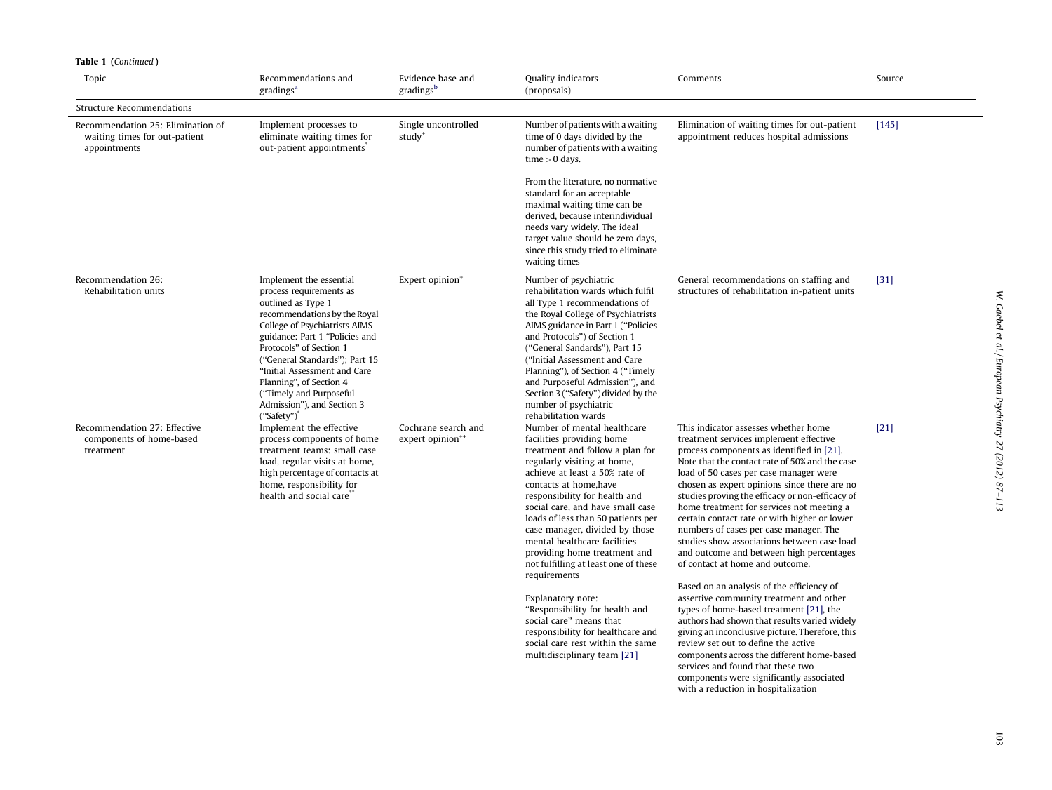| <b>Table 1 (Continued)</b>                                                                                                                                                                                                                                                              |                                                                                                                                                                                                                                                                                                                                                                                         |                                                                                                                                                                                                                                                                                                                                                                                                                                                                                                                                                                                                                                                                           |                                                                                                                                                                                                                                                                                                                                                                                                                                           |                                                                                                                                                                                                                                                                                                                                                                                                                                                 |         |  |
|-----------------------------------------------------------------------------------------------------------------------------------------------------------------------------------------------------------------------------------------------------------------------------------------|-----------------------------------------------------------------------------------------------------------------------------------------------------------------------------------------------------------------------------------------------------------------------------------------------------------------------------------------------------------------------------------------|---------------------------------------------------------------------------------------------------------------------------------------------------------------------------------------------------------------------------------------------------------------------------------------------------------------------------------------------------------------------------------------------------------------------------------------------------------------------------------------------------------------------------------------------------------------------------------------------------------------------------------------------------------------------------|-------------------------------------------------------------------------------------------------------------------------------------------------------------------------------------------------------------------------------------------------------------------------------------------------------------------------------------------------------------------------------------------------------------------------------------------|-------------------------------------------------------------------------------------------------------------------------------------------------------------------------------------------------------------------------------------------------------------------------------------------------------------------------------------------------------------------------------------------------------------------------------------------------|---------|--|
| Topic                                                                                                                                                                                                                                                                                   | Recommendations and<br>gradings <sup>a</sup>                                                                                                                                                                                                                                                                                                                                            | Evidence base and<br>gradings <sup>b</sup>                                                                                                                                                                                                                                                                                                                                                                                                                                                                                                                                                                                                                                | Quality indicators<br>(proposals)                                                                                                                                                                                                                                                                                                                                                                                                         | Comments                                                                                                                                                                                                                                                                                                                                                                                                                                        | Source  |  |
| <b>Structure Recommendations</b>                                                                                                                                                                                                                                                        |                                                                                                                                                                                                                                                                                                                                                                                         |                                                                                                                                                                                                                                                                                                                                                                                                                                                                                                                                                                                                                                                                           |                                                                                                                                                                                                                                                                                                                                                                                                                                           |                                                                                                                                                                                                                                                                                                                                                                                                                                                 |         |  |
| Recommendation 25: Elimination of<br>waiting times for out-patient<br>appointments                                                                                                                                                                                                      | Implement processes to<br>eliminate waiting times for<br>out-patient appointments <sup>®</sup>                                                                                                                                                                                                                                                                                          | Single uncontrolled<br>study <sup>+</sup>                                                                                                                                                                                                                                                                                                                                                                                                                                                                                                                                                                                                                                 | Number of patients with a waiting<br>time of 0 days divided by the<br>number of patients with a waiting<br>$time > 0$ days.                                                                                                                                                                                                                                                                                                               | Elimination of waiting times for out-patient<br>appointment reduces hospital admissions                                                                                                                                                                                                                                                                                                                                                         | $[145]$ |  |
|                                                                                                                                                                                                                                                                                         |                                                                                                                                                                                                                                                                                                                                                                                         |                                                                                                                                                                                                                                                                                                                                                                                                                                                                                                                                                                                                                                                                           | From the literature, no normative<br>standard for an acceptable<br>maximal waiting time can be<br>derived, because interindividual<br>needs vary widely. The ideal<br>target value should be zero days,<br>since this study tried to eliminate<br>waiting times                                                                                                                                                                           |                                                                                                                                                                                                                                                                                                                                                                                                                                                 |         |  |
| Recommendation 26:<br>Rehabilitation units                                                                                                                                                                                                                                              | Implement the essential<br>process requirements as<br>outlined as Type 1<br>recommendations by the Royal<br>College of Psychiatrists AIMS<br>guidance: Part 1 "Policies and<br>Protocols" of Section 1<br>("General Standards"); Part 15<br>"Initial Assessment and Care<br>Planning", of Section 4<br>("Timely and Purposeful<br>Admission"), and Section 3<br>("Safety") <sup>"</sup> | Expert opinion <sup>+</sup>                                                                                                                                                                                                                                                                                                                                                                                                                                                                                                                                                                                                                                               | Number of psychiatric<br>rehabilitation wards which fulfil<br>all Type 1 recommendations of<br>the Royal College of Psychiatrists<br>AIMS guidance in Part 1 ("Policies<br>and Protocols") of Section 1<br>("General Sandards"), Part 15<br>("Initial Assessment and Care<br>Planning"), of Section 4 ("Timely<br>and Purposeful Admission"), and<br>Section 3 ("Safety") divided by the<br>number of psychiatric<br>rehabilitation wards | General recommendations on staffing and<br>structures of rehabilitation in-patient units                                                                                                                                                                                                                                                                                                                                                        | $[31]$  |  |
| Recommendation 27: Effective<br>Implement the effective<br>components of home-based<br>process components of home<br>treatment<br>treatment teams: small case<br>load, regular visits at home,<br>high percentage of contacts at<br>home, responsibility for<br>health and social care" | Cochrane search and<br>expert opinion <sup>++</sup>                                                                                                                                                                                                                                                                                                                                     | Number of mental healthcare<br>facilities providing home<br>treatment services implement effective<br>treatment and follow a plan for<br>process components as identified in [21].<br>regularly visiting at home,<br>achieve at least a 50% rate of<br>load of 50 cases per case manager were<br>contacts at home, have<br>responsibility for health and<br>social care, and have small case<br>loads of less than 50 patients per<br>case manager, divided by those<br>numbers of cases per case manager. The<br>mental healthcare facilities<br>providing home treatment and<br>not fulfilling at least one of these<br>of contact at home and outcome.<br>requirements | This indicator assesses whether home<br>Note that the contact rate of 50% and the case<br>chosen as expert opinions since there are no<br>studies proving the efficacy or non-efficacy of<br>home treatment for services not meeting a<br>certain contact rate or with higher or lower<br>studies show associations between case load<br>and outcome and between high percentages                                                         | $[21]$                                                                                                                                                                                                                                                                                                                                                                                                                                          |         |  |
|                                                                                                                                                                                                                                                                                         |                                                                                                                                                                                                                                                                                                                                                                                         |                                                                                                                                                                                                                                                                                                                                                                                                                                                                                                                                                                                                                                                                           | Explanatory note:<br>"Responsibility for health and<br>social care" means that<br>responsibility for healthcare and<br>social care rest within the same<br>multidisciplinary team [21]                                                                                                                                                                                                                                                    | Based on an analysis of the efficiency of<br>assertive community treatment and other<br>types of home-based treatment [21], the<br>authors had shown that results varied widely<br>giving an inconclusive picture. Therefore, this<br>review set out to define the active<br>components across the different home-based<br>services and found that these two<br>components were significantly associated<br>with a reduction in hospitalization |         |  |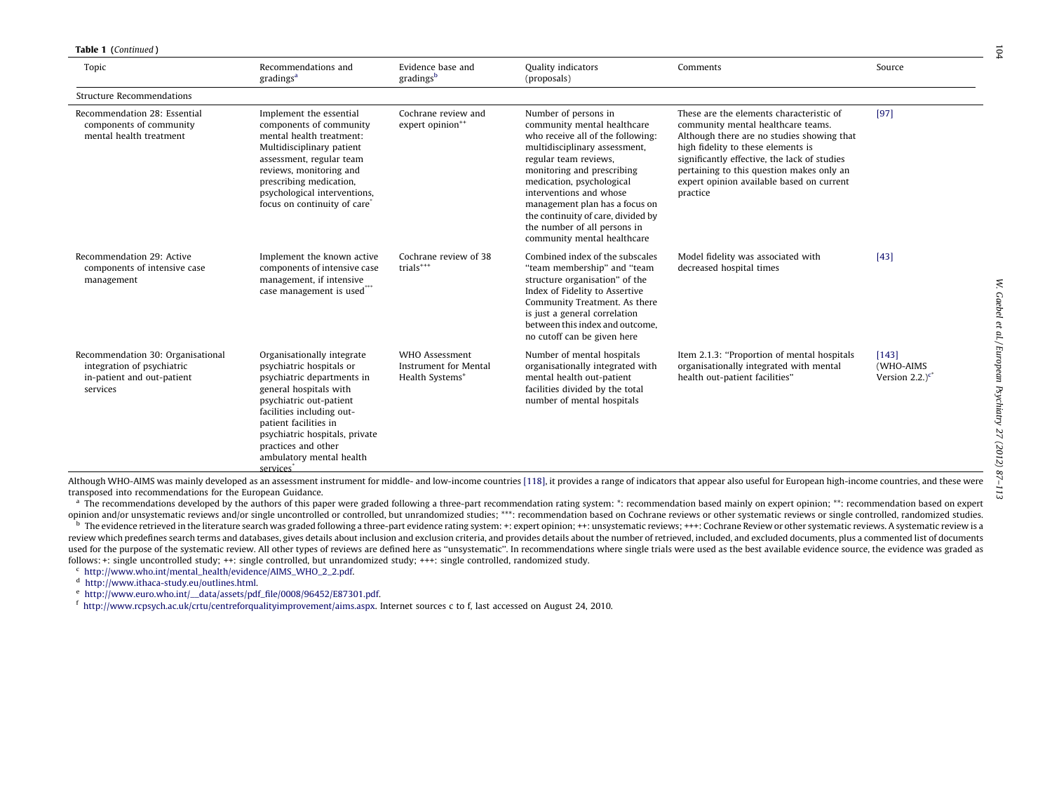<span id="page-17-0"></span>Table 1 (Continued )

| Topic                                                                                                     | Recommendations and<br>gradings <sup>a</sup>                                                                                                                                                                                                                                                                  | Evidence base and<br>gradingsb                                         | Quality indicators<br>(proposals)                                                                                                                                                                                                                                                                                                                                               | Comments                                                                                                                                                                                                                                                                                                                 | Source                                                |
|-----------------------------------------------------------------------------------------------------------|---------------------------------------------------------------------------------------------------------------------------------------------------------------------------------------------------------------------------------------------------------------------------------------------------------------|------------------------------------------------------------------------|---------------------------------------------------------------------------------------------------------------------------------------------------------------------------------------------------------------------------------------------------------------------------------------------------------------------------------------------------------------------------------|--------------------------------------------------------------------------------------------------------------------------------------------------------------------------------------------------------------------------------------------------------------------------------------------------------------------------|-------------------------------------------------------|
| <b>Structure Recommendations</b>                                                                          |                                                                                                                                                                                                                                                                                                               |                                                                        |                                                                                                                                                                                                                                                                                                                                                                                 |                                                                                                                                                                                                                                                                                                                          |                                                       |
| Recommendation 28: Essential<br>components of community<br>mental health treatment                        | Implement the essential<br>components of community<br>mental health treatment:<br>Multidisciplinary patient<br>assessment, regular team<br>reviews, monitoring and<br>prescribing medication,<br>psychological interventions,<br>focus on continuity of care                                                  | Cochrane review and<br>expert opinion <sup>++</sup>                    | Number of persons in<br>community mental healthcare<br>who receive all of the following:<br>multidisciplinary assessment,<br>regular team reviews,<br>monitoring and prescribing<br>medication, psychological<br>interventions and whose<br>management plan has a focus on<br>the continuity of care, divided by<br>the number of all persons in<br>community mental healthcare | These are the elements characteristic of<br>community mental healthcare teams.<br>Although there are no studies showing that<br>high fidelity to these elements is<br>significantly effective, the lack of studies<br>pertaining to this question makes only an<br>expert opinion available based on current<br>practice | $[97]$                                                |
| Recommendation 29: Active<br>components of intensive case<br>management                                   | Implement the known active<br>components of intensive case<br>management, if intensive<br>case management is used"                                                                                                                                                                                            | Cochrane review of 38<br>trials <sup>+++</sup>                         | Combined index of the subscales<br>"team membership" and "team<br>structure organisation" of the<br>Index of Fidelity to Assertive<br>Community Treatment. As there<br>is just a general correlation<br>between this index and outcome.<br>no cutoff can be given here                                                                                                          | Model fidelity was associated with<br>decreased hospital times                                                                                                                                                                                                                                                           | $[43]$                                                |
| Recommendation 30: Organisational<br>integration of psychiatric<br>in-patient and out-patient<br>services | Organisationally integrate<br>psychiatric hospitals or<br>psychiatric departments in<br>general hospitals with<br>psychiatric out-patient<br>facilities including out-<br>patient facilities in<br>psychiatric hospitals, private<br>practices and other<br>ambulatory mental health<br>services <sup>*</sup> | WHO Assessment<br>Instrument for Mental<br>Health Systems <sup>+</sup> | Number of mental hospitals<br>organisationally integrated with<br>mental health out-patient<br>facilities divided by the total<br>number of mental hospitals                                                                                                                                                                                                                    | Item 2.1.3: "Proportion of mental hospitals<br>organisationally integrated with mental<br>health out-patient facilities"                                                                                                                                                                                                 | [143]<br>(WHO-AIMS)<br>Version $2.2$ .) <sup>c*</sup> |

Although WHO-AIMS was mainly developed as an assessment instrument for middle- and low-income countries [\[118\]](#page-26-0), it provides a range of indicators that appear also useful for European high-income countries, and these were transposed into recommendations for the European Guidance.

<sup>a</sup> The recommendations developed by the authors of this paper were graded following a three-part recommendation rating system: \*: recommendation based mainly on expert opinion; \*\*: recommendation based on expert opinion and/or unsystematic reviews and/or single uncontrolled or controlled, but unrandomized studies; \*\*\*: recommendation based on Cochrane reviews or other systematic reviews or single controlled, randomized studies.

<sup>b</sup> The evidence retrieved in the literature search was graded following a three-part evidence rating system: +: expert opinion; ++: unsystematic reviews; +++: Cochrane Review or other systematic reviews. A systematic revi review which predefines search terms and databases, gives details about inclusion and exclusion criteria, and provides details about the number of retrieved, included, and excluded documents, plus a commented list of docum used for the purpose of the systematic review. All other types of reviews are defined here as "unsystematic". In recommendations where single trials were used as the best available evidence source, the evidence was graded follows: +: single uncontrolled study; ++: single controlled, but unrandomized study; +++: single controlled, randomized study.

c [http://www.who.int/mental\\_health/evidence/AIMS\\_WHO\\_2\\_2.pdf](http://www.who.int/mental_health/evidence/AIMS_WHO_2_2.pdf).

<sup>d</sup> <http://www.ithaca-study.eu/outlines.html>.

e [http://www.euro.who.int/\\_\\_data/assets/pdf\\_file/0008/96452/E87301.pdf](http://www.euro.who.int/__data/assets/pdf_file/0008/96452/E87301.pdf).

f <http://www.rcpsych.ac.uk/crtu/centreforqualityimprovement/aims.aspx>. Internet sources <sup>c</sup> to f, last accessed on August 24, 2010.

ÎЙ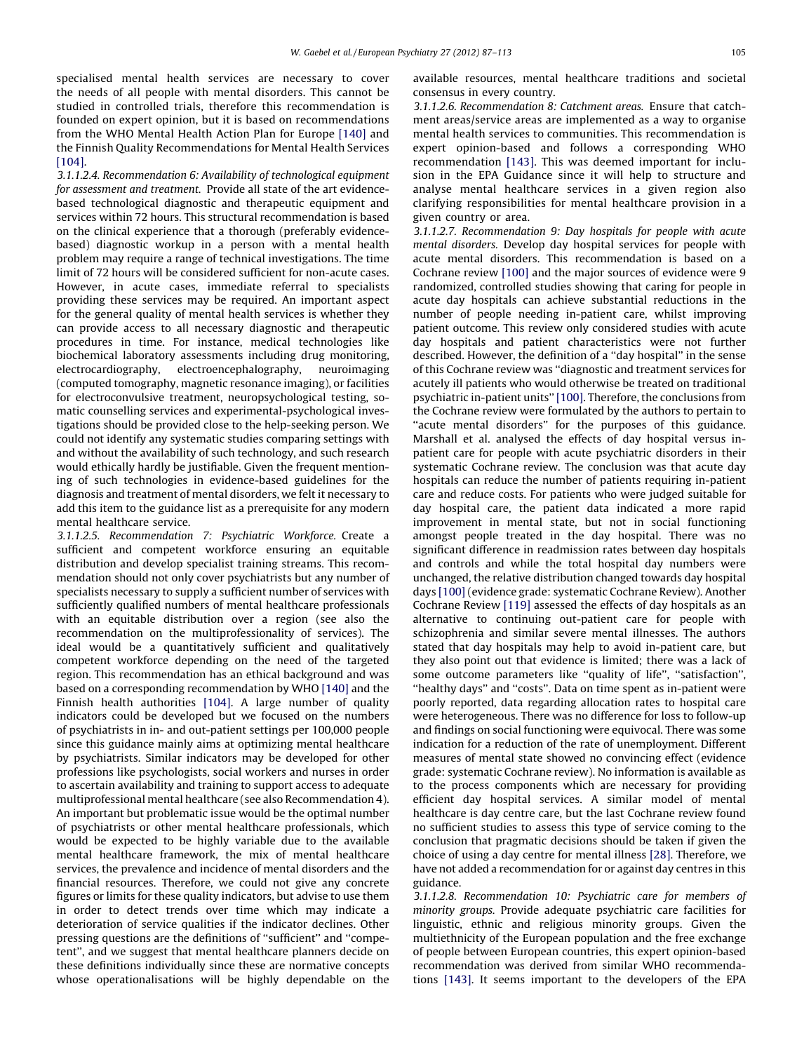specialised mental health services are necessary to cover the needs of all people with mental disorders. This cannot be studied in controlled trials, therefore this recommendation is founded on expert opinion, but it is based on recommendations from the WHO Mental Health Action Plan for Europe [\[140\]](#page-26-0) and the Finnish Quality Recommendations for Mental Health Services [\[104\]](#page-26-0).

3.1.1.2.4. Recommendation 6: Availability of technological equipment for assessment and treatment. Provide all state of the art evidencebased technological diagnostic and therapeutic equipment and services within 72 hours. This structural recommendation is based on the clinical experience that a thorough (preferably evidencebased) diagnostic workup in a person with a mental health problem may require a range of technical investigations. The time limit of 72 hours will be considered sufficient for non-acute cases. However, in acute cases, immediate referral to specialists providing these services may be required. An important aspect for the general quality of mental health services is whether they can provide access to all necessary diagnostic and therapeutic procedures in time. For instance, medical technologies like biochemical laboratory assessments including drug monitoring, electrocardiography, electroencephalography, neuroimaging (computed tomography, magnetic resonance imaging), or facilities for electroconvulsive treatment, neuropsychological testing, somatic counselling services and experimental-psychological investigations should be provided close to the help-seeking person. We could not identify any systematic studies comparing settings with and without the availability of such technology, and such research would ethically hardly be justifiable. Given the frequent mentioning of such technologies in evidence-based guidelines for the diagnosis and treatment of mental disorders, we felt it necessary to add this item to the guidance list as a prerequisite for any modern mental healthcare service.

3.1.1.2.5. Recommendation 7: Psychiatric Workforce. Create a sufficient and competent workforce ensuring an equitable distribution and develop specialist training streams. This recommendation should not only cover psychiatrists but any number of specialists necessary to supply a sufficient number of services with sufficiently qualified numbers of mental healthcare professionals with an equitable distribution over a region (see also the recommendation on the multiprofessionality of services). The ideal would be a quantitatively sufficient and qualitatively competent workforce depending on the need of the targeted region. This recommendation has an ethical background and was based on a corresponding recommendation by WHO [\[140\]](#page-26-0) and the Finnish health authorities [\[104\].](#page-26-0) A large number of quality indicators could be developed but we focused on the numbers of psychiatrists in in- and out-patient settings per 100,000 people since this guidance mainly aims at optimizing mental healthcare by psychiatrists. Similar indicators may be developed for other professions like psychologists, social workers and nurses in order to ascertain availability and training to support access to adequate multiprofessional mental healthcare (see also Recommendation 4). An important but problematic issue would be the optimal number of psychiatrists or other mental healthcare professionals, which would be expected to be highly variable due to the available mental healthcare framework, the mix of mental healthcare services, the prevalence and incidence of mental disorders and the financial resources. Therefore, we could not give any concrete figures or limits for these quality indicators, but advise to use them in order to detect trends over time which may indicate a deterioration of service qualities if the indicator declines. Other pressing questions are the definitions of ''sufficient'' and ''competent'', and we suggest that mental healthcare planners decide on these definitions individually since these are normative concepts whose operationalisations will be highly dependable on the available resources, mental healthcare traditions and societal consensus in every country.

3.1.1.2.6. Recommendation 8: Catchment areas. Ensure that catchment areas/service areas are implemented as a way to organise mental health services to communities. This recommendation is expert opinion-based and follows a corresponding WHO recommendation [\[143\].](#page-26-0) This was deemed important for inclusion in the EPA Guidance since it will help to structure and analyse mental healthcare services in a given region also clarifying responsibilities for mental healthcare provision in a given country or area.

3.1.1.2.7. Recommendation 9: Day hospitals for people with acute mental disorders. Develop day hospital services for people with acute mental disorders. This recommendation is based on a Cochrane review [\[100\]](#page-26-0) and the major sources of evidence were 9 randomized, controlled studies showing that caring for people in acute day hospitals can achieve substantial reductions in the number of people needing in-patient care, whilst improving patient outcome. This review only considered studies with acute day hospitals and patient characteristics were not further described. However, the definition of a ''day hospital'' in the sense of this Cochrane review was ''diagnostic and treatment services for acutely ill patients who would otherwise be treated on traditional psychiatric in-patient units'' [\[100\].](#page-26-0) Therefore, the conclusions from the Cochrane review were formulated by the authors to pertain to "acute mental disorders" for the purposes of this guidance. Marshall et al. analysed the effects of day hospital versus inpatient care for people with acute psychiatric disorders in their systematic Cochrane review. The conclusion was that acute day hospitals can reduce the number of patients requiring in-patient care and reduce costs. For patients who were judged suitable for day hospital care, the patient data indicated a more rapid improvement in mental state, but not in social functioning amongst people treated in the day hospital. There was no significant difference in readmission rates between day hospitals and controls and while the total hospital day numbers were unchanged, the relative distribution changed towards day hospital days [\[100\]](#page-26-0) (evidence grade: systematic Cochrane Review). Another Cochrane Review [\[119\]](#page-26-0) assessed the effects of day hospitals as an alternative to continuing out-patient care for people with schizophrenia and similar severe mental illnesses. The authors stated that day hospitals may help to avoid in-patient care, but they also point out that evidence is limited; there was a lack of some outcome parameters like ''quality of life'', ''satisfaction'', ''healthy days'' and ''costs''. Data on time spent as in-patient were poorly reported, data regarding allocation rates to hospital care were heterogeneous. There was no difference for loss to follow-up and findings on social functioning were equivocal. There was some indication for a reduction of the rate of unemployment. Different measures of mental state showed no convincing effect (evidence grade: systematic Cochrane review). No information is available as to the process components which are necessary for providing efficient day hospital services. A similar model of mental healthcare is day centre care, but the last Cochrane review found no sufficient studies to assess this type of service coming to the conclusion that pragmatic decisions should be taken if given the choice of using a day centre for mental illness [\[28\].](#page-24-0) Therefore, we have not added a recommendation for or against day centres in this guidance.

3.1.1.2.8. Recommendation 10: Psychiatric care for members of minority groups. Provide adequate psychiatric care facilities for linguistic, ethnic and religious minority groups. Given the multiethnicity of the European population and the free exchange of people between European countries, this expert opinion-based recommendation was derived from similar WHO recommendations [\[143\].](#page-26-0) It seems important to the developers of the EPA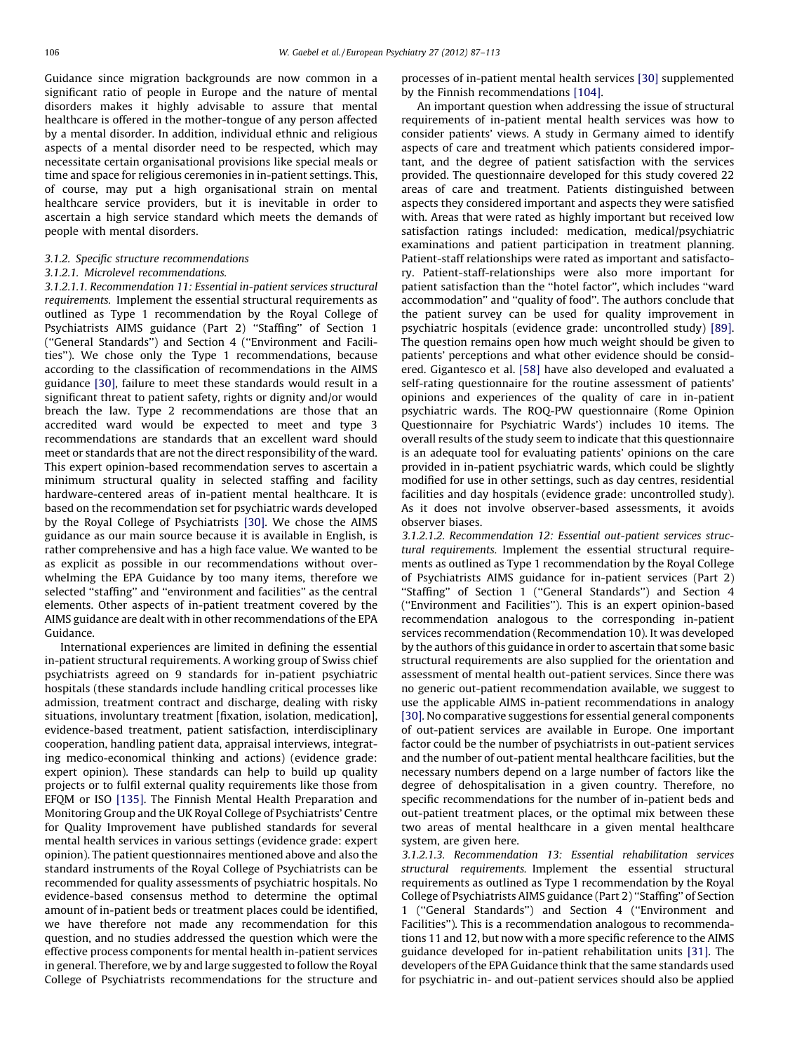Guidance since migration backgrounds are now common in a significant ratio of people in Europe and the nature of mental disorders makes it highly advisable to assure that mental healthcare is offered in the mother-tongue of any person affected by a mental disorder. In addition, individual ethnic and religious aspects of a mental disorder need to be respected, which may necessitate certain organisational provisions like special meals or time and space for religious ceremonies in in-patient settings. This, of course, may put a high organisational strain on mental healthcare service providers, but it is inevitable in order to ascertain a high service standard which meets the demands of people with mental disorders.

# 3.1.2. Specific structure recommendations

## 3.1.2.1. Microlevel recommendations.

3.1.2.1.1. Recommendation 11: Essential in-patient services structural requirements. Implement the essential structural requirements as outlined as Type 1 recommendation by the Royal College of Psychiatrists AIMS guidance (Part 2) ''Staffing'' of Section 1 (''General Standards'') and Section 4 (''Environment and Facilities''). We chose only the Type 1 recommendations, because according to the classification of recommendations in the AIMS guidance [\[30\],](#page-24-0) failure to meet these standards would result in a significant threat to patient safety, rights or dignity and/or would breach the law. Type 2 recommendations are those that an accredited ward would be expected to meet and type 3 recommendations are standards that an excellent ward should meet or standards that are not the direct responsibility of the ward. This expert opinion-based recommendation serves to ascertain a minimum structural quality in selected staffing and facility hardware-centered areas of in-patient mental healthcare. It is based on the recommendation set for psychiatric wards developed by the Royal College of Psychiatrists [\[30\].](#page-24-0) We chose the AIMS guidance as our main source because it is available in English, is rather comprehensive and has a high face value. We wanted to be as explicit as possible in our recommendations without overwhelming the EPA Guidance by too many items, therefore we selected ''staffing'' and ''environment and facilities'' as the central elements. Other aspects of in-patient treatment covered by the AIMS guidance are dealt with in other recommendations of the EPA Guidance.

International experiences are limited in defining the essential in-patient structural requirements. A working group of Swiss chief psychiatrists agreed on 9 standards for in-patient psychiatric hospitals (these standards include handling critical processes like admission, treatment contract and discharge, dealing with risky situations, involuntary treatment [fixation, isolation, medication], evidence-based treatment, patient satisfaction, interdisciplinary cooperation, handling patient data, appraisal interviews, integrating medico-economical thinking and actions) (evidence grade: expert opinion). These standards can help to build up quality projects or to fulfil external quality requirements like those from EFQM or ISO [\[135\]](#page-26-0). The Finnish Mental Health Preparation and Monitoring Group and the UK Royal College of Psychiatrists' Centre for Quality Improvement have published standards for several mental health services in various settings (evidence grade: expert opinion). The patient questionnaires mentioned above and also the standard instruments of the Royal College of Psychiatrists can be recommended for quality assessments of psychiatric hospitals. No evidence-based consensus method to determine the optimal amount of in-patient beds or treatment places could be identified, we have therefore not made any recommendation for this question, and no studies addressed the question which were the effective process components for mental health in-patient services in general. Therefore, we by and large suggested to follow the Royal College of Psychiatrists recommendations for the structure and

processes of in-patient mental health services [\[30\]](#page-24-0) supplemented by the Finnish recommendations [\[104\]](#page-26-0).

An important question when addressing the issue of structural requirements of in-patient mental health services was how to consider patients' views. A study in Germany aimed to identify aspects of care and treatment which patients considered important, and the degree of patient satisfaction with the services provided. The questionnaire developed for this study covered 22 areas of care and treatment. Patients distinguished between aspects they considered important and aspects they were satisfied with. Areas that were rated as highly important but received low satisfaction ratings included: medication, medical/psychiatric examinations and patient participation in treatment planning. Patient-staff relationships were rated as important and satisfactory. Patient-staff-relationships were also more important for patient satisfaction than the ''hotel factor'', which includes ''ward accommodation'' and ''quality of food''. The authors conclude that the patient survey can be used for quality improvement in psychiatric hospitals (evidence grade: uncontrolled study) [\[89\].](#page-25-0) The question remains open how much weight should be given to patients' perceptions and what other evidence should be considered. Gigantesco et al. [\[58\]](#page-25-0) have also developed and evaluated a self-rating questionnaire for the routine assessment of patients' opinions and experiences of the quality of care in in-patient psychiatric wards. The ROQ-PW questionnaire (Rome Opinion Questionnaire for Psychiatric Wards') includes 10 items. The overall results of the study seem to indicate that this questionnaire is an adequate tool for evaluating patients' opinions on the care provided in in-patient psychiatric wards, which could be slightly modified for use in other settings, such as day centres, residential facilities and day hospitals (evidence grade: uncontrolled study). As it does not involve observer-based assessments, it avoids observer biases.

3.1.2.1.2. Recommendation 12: Essential out-patient services structural requirements. Implement the essential structural requirements as outlined as Type 1 recommendation by the Royal College of Psychiatrists AIMS guidance for in-patient services (Part 2) ''Staffing'' of Section 1 (''General Standards'') and Section 4 (''Environment and Facilities''). This is an expert opinion-based recommendation analogous to the corresponding in-patient services recommendation (Recommendation 10). It was developed by the authors of this guidance in order to ascertain that some basic structural requirements are also supplied for the orientation and assessment of mental health out-patient services. Since there was no generic out-patient recommendation available, we suggest to use the applicable AIMS in-patient recommendations in analogy [\[30\]](#page-24-0). No comparative suggestions for essential general components of out-patient services are available in Europe. One important factor could be the number of psychiatrists in out-patient services and the number of out-patient mental healthcare facilities, but the necessary numbers depend on a large number of factors like the degree of dehospitalisation in a given country. Therefore, no specific recommendations for the number of in-patient beds and out-patient treatment places, or the optimal mix between these two areas of mental healthcare in a given mental healthcare system, are given here.

3.1.2.1.3. Recommendation 13: Essential rehabilitation services structural requirements. Implement the essential structural requirements as outlined as Type 1 recommendation by the Royal College of Psychiatrists AIMS guidance (Part 2) ''Staffing'' of Section 1 (''General Standards'') and Section 4 (''Environment and Facilities''). This is a recommendation analogous to recommendations 11 and 12, but now with a more specific reference to the AIMS guidance developed for in-patient rehabilitation units [\[31\]](#page-24-0). The developers of the EPA Guidance think that the same standards used for psychiatric in- and out-patient services should also be applied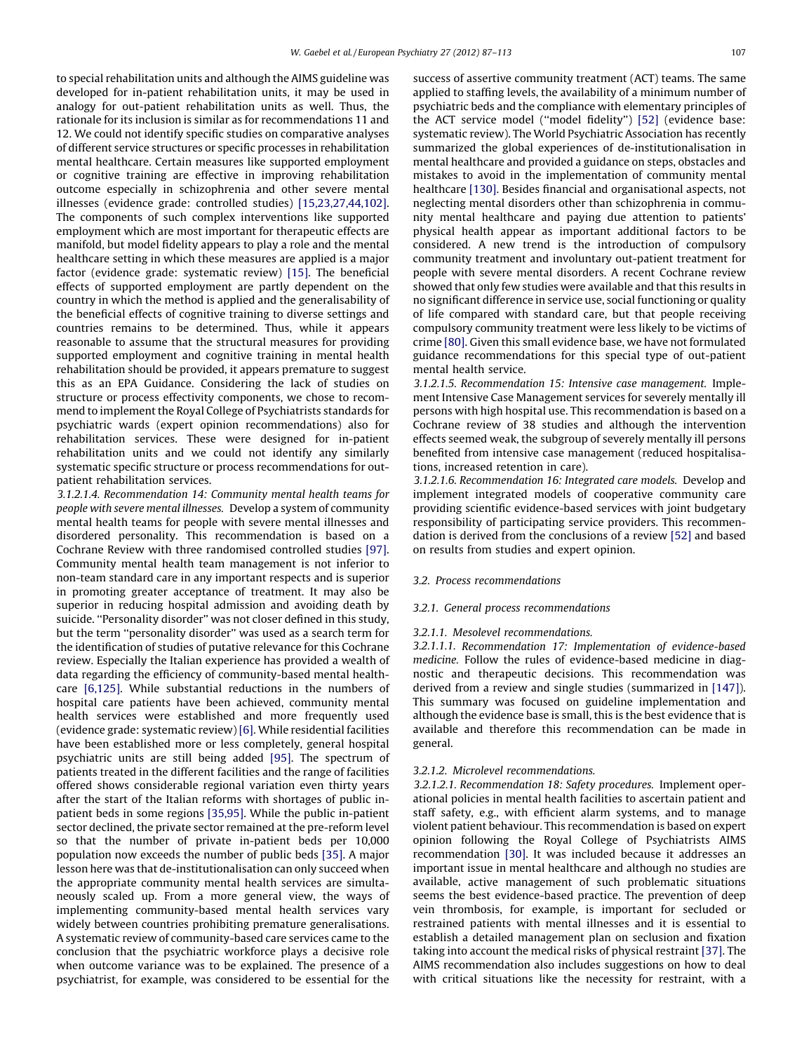to special rehabilitation units and although the AIMS guideline was developed for in-patient rehabilitation units, it may be used in analogy for out-patient rehabilitation units as well. Thus, the rationale for its inclusion is similar as for recommendations 11 and 12. We could not identify specific studies on comparative analyses of different service structures or specific processes in rehabilitation mental healthcare. Certain measures like supported employment or cognitive training are effective in improving rehabilitation outcome especially in schizophrenia and other severe mental illnesses (evidence grade: controlled studies) [\[15,23,27,44,102\].](#page-24-0) The components of such complex interventions like supported employment which are most important for therapeutic effects are manifold, but model fidelity appears to play a role and the mental healthcare setting in which these measures are applied is a major factor (evidence grade: systematic review) [\[15\]](#page-24-0). The beneficial effects of supported employment are partly dependent on the country in which the method is applied and the generalisability of the beneficial effects of cognitive training to diverse settings and countries remains to be determined. Thus, while it appears reasonable to assume that the structural measures for providing supported employment and cognitive training in mental health rehabilitation should be provided, it appears premature to suggest this as an EPA Guidance. Considering the lack of studies on structure or process effectivity components, we chose to recommend to implement the Royal College of Psychiatrists standards for psychiatric wards (expert opinion recommendations) also for rehabilitation services. These were designed for in-patient rehabilitation units and we could not identify any similarly systematic specific structure or process recommendations for outpatient rehabilitation services.

3.1.2.1.4. Recommendation 14: Community mental health teams for people with severe mental illnesses. Develop a system of community mental health teams for people with severe mental illnesses and disordered personality. This recommendation is based on a Cochrane Review with three randomised controlled studies [\[97\].](#page-26-0) Community mental health team management is not inferior to non-team standard care in any important respects and is superior in promoting greater acceptance of treatment. It may also be superior in reducing hospital admission and avoiding death by suicide. ''Personality disorder'' was not closer defined in this study, but the term ''personality disorder'' was used as a search term for the identification of studies of putative relevance for this Cochrane review. Especially the Italian experience has provided a wealth of data regarding the efficiency of community-based mental healthcare [\[6,125\].](#page-24-0) While substantial reductions in the numbers of hospital care patients have been achieved, community mental health services were established and more frequently used (evidence grade: systematic review) [\[6\]](#page-24-0). While residential facilities have been established more or less completely, general hospital psychiatric units are still being added [\[95\].](#page-26-0) The spectrum of patients treated in the different facilities and the range of facilities offered shows considerable regional variation even thirty years after the start of the Italian reforms with shortages of public inpatient beds in some regions [\[35,95\].](#page-24-0) While the public in-patient sector declined, the private sector remained at the pre-reform level so that the number of private in-patient beds per 10,000 population now exceeds the number of public beds [\[35\].](#page-24-0) A major lesson here was that de-institutionalisation can only succeed when the appropriate community mental health services are simultaneously scaled up. From a more general view, the ways of implementing community-based mental health services vary widely between countries prohibiting premature generalisations. A systematic review of community-based care services came to the conclusion that the psychiatric workforce plays a decisive role when outcome variance was to be explained. The presence of a psychiatrist, for example, was considered to be essential for the

success of assertive community treatment (ACT) teams. The same applied to staffing levels, the availability of a minimum number of psychiatric beds and the compliance with elementary principles of the ACT service model (''model fidelity'') [\[52\]](#page-25-0) (evidence base: systematic review). The World Psychiatric Association has recently summarized the global experiences of de-institutionalisation in mental healthcare and provided a guidance on steps, obstacles and mistakes to avoid in the implementation of community mental healthcare [\[130\]](#page-26-0). Besides financial and organisational aspects, not neglecting mental disorders other than schizophrenia in community mental healthcare and paying due attention to patients' physical health appear as important additional factors to be considered. A new trend is the introduction of compulsory community treatment and involuntary out-patient treatment for people with severe mental disorders. A recent Cochrane review showed that only few studies were available and that this results in no significant difference in service use, social functioning or quality of life compared with standard care, but that people receiving compulsory community treatment were less likely to be victims of crime [\[80\].](#page-25-0) Given this small evidence base, we have not formulated guidance recommendations for this special type of out-patient mental health service.

3.1.2.1.5. Recommendation 15: Intensive case management. Implement Intensive Case Management services for severely mentally ill persons with high hospital use. This recommendation is based on a Cochrane review of 38 studies and although the intervention effects seemed weak, the subgroup of severely mentally ill persons benefited from intensive case management (reduced hospitalisations, increased retention in care).

3.1.2.1.6. Recommendation 16: Integrated care models. Develop and implement integrated models of cooperative community care providing scientific evidence-based services with joint budgetary responsibility of participating service providers. This recommendation is derived from the conclusions of a review [\[52\]](#page-25-0) and based on results from studies and expert opinion.

#### 3.2. Process recommendations

### 3.2.1. General process recommendations

## 3.2.1.1. Mesolevel recommendations.

3.2.1.1.1. Recommendation 17: Implementation of evidence-based medicine. Follow the rules of evidence-based medicine in diagnostic and therapeutic decisions. This recommendation was derived from a review and single studies (summarized in [\[147\]\)](#page-26-0). This summary was focused on guideline implementation and although the evidence base is small, this is the best evidence that is available and therefore this recommendation can be made in general.

## 3.2.1.2. Microlevel recommendations.

3.2.1.2.1. Recommendation 18: Safety procedures. Implement operational policies in mental health facilities to ascertain patient and staff safety, e.g., with efficient alarm systems, and to manage violent patient behaviour. This recommendation is based on expert opinion following the Royal College of Psychiatrists AIMS recommendation [\[30\].](#page-24-0) It was included because it addresses an important issue in mental healthcare and although no studies are available, active management of such problematic situations seems the best evidence-based practice. The prevention of deep vein thrombosis, for example, is important for secluded or restrained patients with mental illnesses and it is essential to establish a detailed management plan on seclusion and fixation taking into account the medical risks of physical restraint [\[37\].](#page-24-0) The AIMS recommendation also includes suggestions on how to deal with critical situations like the necessity for restraint, with a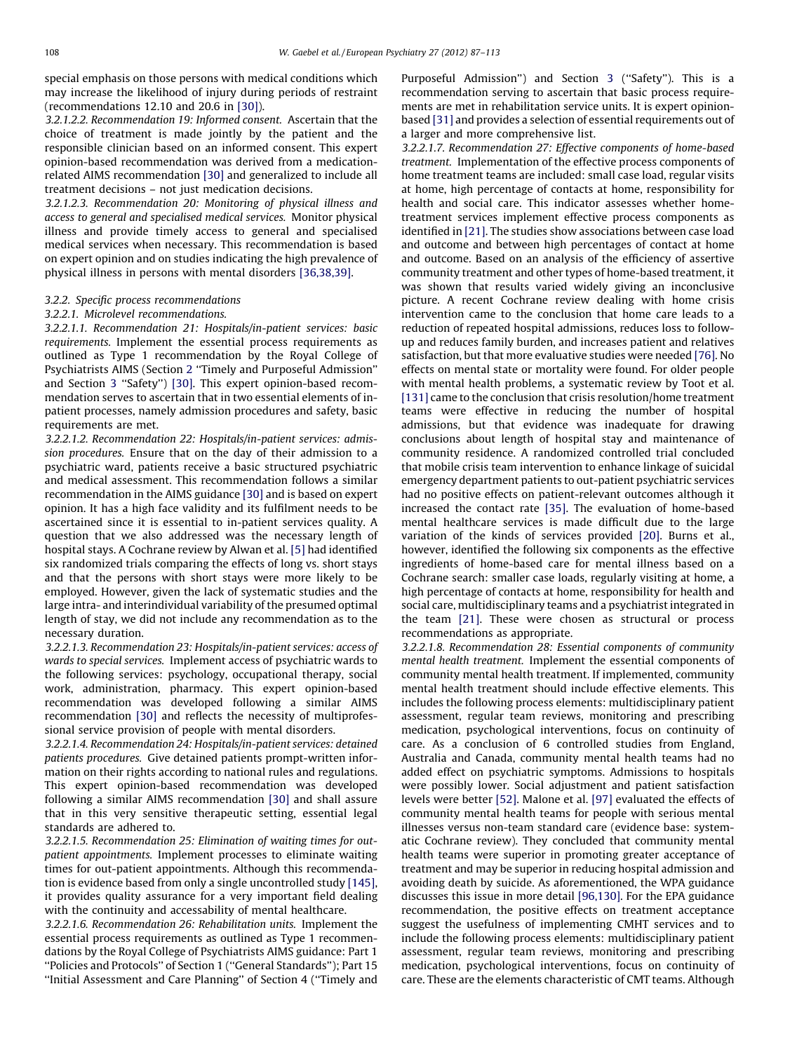special emphasis on those persons with medical conditions which may increase the likelihood of injury during periods of restraint (recommendations 12.10 and 20.6 in [\[30\]\)](#page-24-0).

3.2.1.2.2. Recommendation 19: Informed consent. Ascertain that the choice of treatment is made jointly by the patient and the responsible clinician based on an informed consent. This expert opinion-based recommendation was derived from a medicationrelated AIMS recommendation [\[30\]](#page-24-0) and generalized to include all treatment decisions – not just medication decisions.

3.2.1.2.3. Recommendation 20: Monitoring of physical illness and access to general and specialised medical services. Monitor physical illness and provide timely access to general and specialised medical services when necessary. This recommendation is based on expert opinion and on studies indicating the high prevalence of physical illness in persons with mental disorders [\[36,38,39\].](#page-24-0)

## 3.2.2. Specific process recommendations

## 3.2.2.1. Microlevel recommendations.

3.2.2.1.1. Recommendation 21: Hospitals/in-patient services: basic requirements. Implement the essential process requirements as outlined as Type 1 recommendation by the Royal College of Psychiatrists AIMS (Section [2](#page-1-0) ''Timely and Purposeful Admission'' and Section [3](#page-9-0) ''Safety'') [\[30\]](#page-24-0). This expert opinion-based recommendation serves to ascertain that in two essential elements of inpatient processes, namely admission procedures and safety, basic requirements are met.

3.2.2.1.2. Recommendation 22: Hospitals/in-patient services: admission procedures. Ensure that on the day of their admission to a psychiatric ward, patients receive a basic structured psychiatric and medical assessment. This recommendation follows a similar recommendation in the AIMS guidance [\[30\]](#page-24-0) and is based on expert opinion. It has a high face validity and its fulfilment needs to be ascertained since it is essential to in-patient services quality. A question that we also addressed was the necessary length of hospital stays. A Cochrane review by Alwan et al. [\[5\]](#page-24-0) had identified six randomized trials comparing the effects of long vs. short stays and that the persons with short stays were more likely to be employed. However, given the lack of systematic studies and the large intra- and interindividual variability of the presumed optimal length of stay, we did not include any recommendation as to the necessary duration.

3.2.2.1.3. Recommendation 23: Hospitals/in-patient services: access of wards to special services. Implement access of psychiatric wards to the following services: psychology, occupational therapy, social work, administration, pharmacy. This expert opinion-based recommendation was developed following a similar AIMS recommendation [\[30\]](#page-24-0) and reflects the necessity of multiprofessional service provision of people with mental disorders.

3.2.2.1.4. Recommendation 24: Hospitals/in-patient services: detained patients procedures. Give detained patients prompt-written information on their rights according to national rules and regulations. This expert opinion-based recommendation was developed following a similar AIMS recommendation [\[30\]](#page-24-0) and shall assure that in this very sensitive therapeutic setting, essential legal standards are adhered to.

3.2.2.1.5. Recommendation 25: Elimination of waiting times for outpatient appointments. Implement processes to eliminate waiting times for out-patient appointments. Although this recommendation is evidence based from only a single uncontrolled study [\[145\],](#page-26-0) it provides quality assurance for a very important field dealing with the continuity and accessability of mental healthcare.

3.2.2.1.6. Recommendation 26: Rehabilitation units. Implement the essential process requirements as outlined as Type 1 recommendations by the Royal College of Psychiatrists AIMS guidance: Part 1 ''Policies and Protocols'' of Section 1 (''General Standards''); Part 15 ''Initial Assessment and Care Planning'' of Section 4 (''Timely and Purposeful Admission") and Section [3](#page-9-0) ("Safety"). This is a recommendation serving to ascertain that basic process requirements are met in rehabilitation service units. It is expert opinionbased [\[31\]](#page-24-0) and provides a selection of essential requirements out of a larger and more comprehensive list.

3.2.2.1.7. Recommendation 27: Effective components of home-based treatment. Implementation of the effective process components of home treatment teams are included: small case load, regular visits at home, high percentage of contacts at home, responsibility for health and social care. This indicator assesses whether hometreatment services implement effective process components as identified in [\[21\]](#page-24-0). The studies show associations between case load and outcome and between high percentages of contact at home and outcome. Based on an analysis of the efficiency of assertive community treatment and other types of home-based treatment, it was shown that results varied widely giving an inconclusive picture. A recent Cochrane review dealing with home crisis intervention came to the conclusion that home care leads to a reduction of repeated hospital admissions, reduces loss to followup and reduces family burden, and increases patient and relatives satisfaction, but that more evaluative studies were needed [\[76\]](#page-25-0). No effects on mental state or mortality were found. For older people with mental health problems, a systematic review by Toot et al. [\[131\]](#page-26-0) came to the conclusion that crisis resolution/home treatment teams were effective in reducing the number of hospital admissions, but that evidence was inadequate for drawing conclusions about length of hospital stay and maintenance of community residence. A randomized controlled trial concluded that mobile crisis team intervention to enhance linkage of suicidal emergency department patients to out-patient psychiatric services had no positive effects on patient-relevant outcomes although it increased the contact rate [\[35\].](#page-24-0) The evaluation of home-based mental healthcare services is made difficult due to the large variation of the kinds of services provided [\[20\].](#page-24-0) Burns et al., however, identified the following six components as the effective ingredients of home-based care for mental illness based on a Cochrane search: smaller case loads, regularly visiting at home, a high percentage of contacts at home, responsibility for health and social care, multidisciplinary teams and a psychiatrist integrated in the team [\[21\].](#page-24-0) These were chosen as structural or process recommendations as appropriate.

3.2.2.1.8. Recommendation 28: Essential components of community mental health treatment. Implement the essential components of community mental health treatment. If implemented, community mental health treatment should include effective elements. This includes the following process elements: multidisciplinary patient assessment, regular team reviews, monitoring and prescribing medication, psychological interventions, focus on continuity of care. As a conclusion of 6 controlled studies from England, Australia and Canada, community mental health teams had no added effect on psychiatric symptoms. Admissions to hospitals were possibly lower. Social adjustment and patient satisfaction levels were better [\[52\].](#page-25-0) Malone et al. [\[97\]](#page-26-0) evaluated the effects of community mental health teams for people with serious mental illnesses versus non-team standard care (evidence base: systematic Cochrane review). They concluded that community mental health teams were superior in promoting greater acceptance of treatment and may be superior in reducing hospital admission and avoiding death by suicide. As aforementioned, the WPA guidance discusses this issue in more detail [\[96,130\].](#page-26-0) For the EPA guidance recommendation, the positive effects on treatment acceptance suggest the usefulness of implementing CMHT services and to include the following process elements: multidisciplinary patient assessment, regular team reviews, monitoring and prescribing medication, psychological interventions, focus on continuity of care. These are the elements characteristic of CMT teams. Although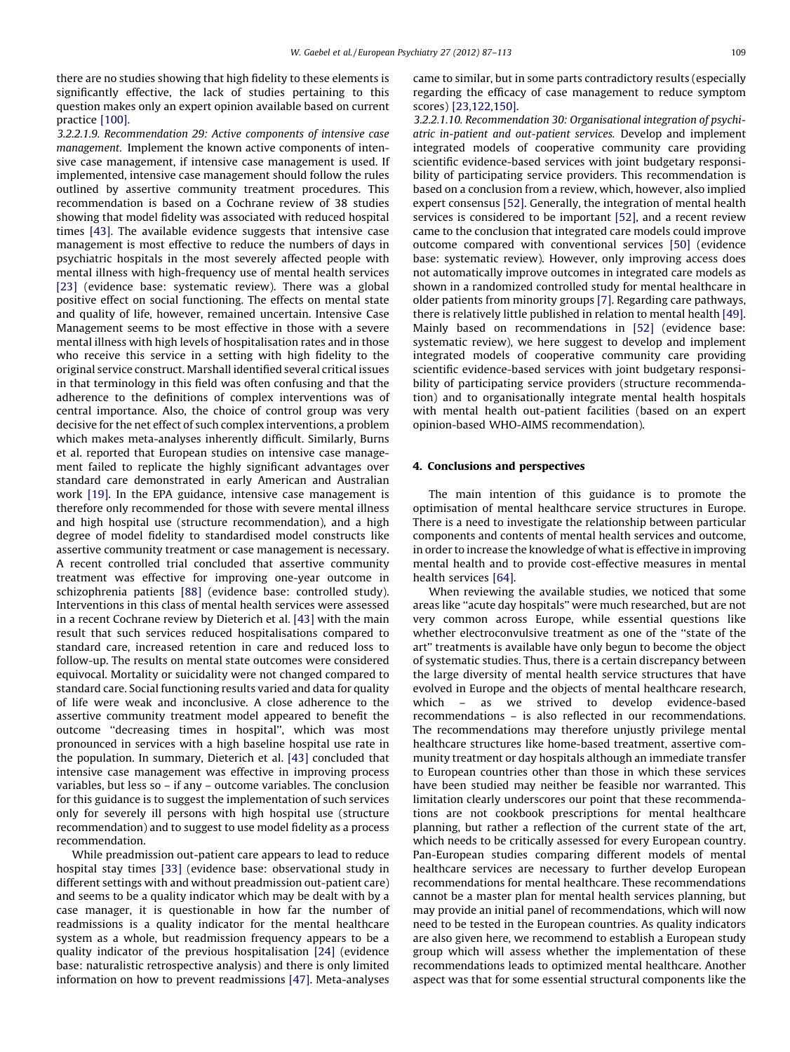there are no studies showing that high fidelity to these elements is significantly effective, the lack of studies pertaining to this question makes only an expert opinion available based on current practice [\[100\]](#page-26-0).

3.2.2.1.9. Recommendation 29: Active components of intensive case management. Implement the known active components of intensive case management, if intensive case management is used. If implemented, intensive case management should follow the rules outlined by assertive community treatment procedures. This recommendation is based on a Cochrane review of 38 studies showing that model fidelity was associated with reduced hospital times [\[43\]](#page-25-0). The available evidence suggests that intensive case management is most effective to reduce the numbers of days in psychiatric hospitals in the most severely affected people with mental illness with high-frequency use of mental health services [\[23\]](#page-24-0) (evidence base: systematic review). There was a global positive effect on social functioning. The effects on mental state and quality of life, however, remained uncertain. Intensive Case Management seems to be most effective in those with a severe mental illness with high levels of hospitalisation rates and in those who receive this service in a setting with high fidelity to the original service construct. Marshall identified several critical issues in that terminology in this field was often confusing and that the adherence to the definitions of complex interventions was of central importance. Also, the choice of control group was very decisive for the net effect of such complex interventions, a problem which makes meta-analyses inherently difficult. Similarly, Burns et al. reported that European studies on intensive case management failed to replicate the highly significant advantages over standard care demonstrated in early American and Australian work [\[19\].](#page-24-0) In the EPA guidance, intensive case management is therefore only recommended for those with severe mental illness and high hospital use (structure recommendation), and a high degree of model fidelity to standardised model constructs like assertive community treatment or case management is necessary. A recent controlled trial concluded that assertive community treatment was effective for improving one-year outcome in schizophrenia patients [\[88\]](#page-25-0) (evidence base: controlled study). Interventions in this class of mental health services were assessed in a recent Cochrane review by Dieterich et al. [\[43\]](#page-25-0) with the main result that such services reduced hospitalisations compared to standard care, increased retention in care and reduced loss to follow-up. The results on mental state outcomes were considered equivocal. Mortality or suicidality were not changed compared to standard care. Social functioning results varied and data for quality of life were weak and inconclusive. A close adherence to the assertive community treatment model appeared to benefit the outcome ''decreasing times in hospital'', which was most pronounced in services with a high baseline hospital use rate in the population. In summary, Dieterich et al. [\[43\]](#page-25-0) concluded that intensive case management was effective in improving process variables, but less so – if any – outcome variables. The conclusion for this guidance is to suggest the implementation of such services only for severely ill persons with high hospital use (structure recommendation) and to suggest to use model fidelity as a process recommendation.

While preadmission out-patient care appears to lead to reduce hospital stay times [\[33\]](#page-24-0) (evidence base: observational study in different settings with and without preadmission out-patient care) and seems to be a quality indicator which may be dealt with by a case manager, it is questionable in how far the number of readmissions is a quality indicator for the mental healthcare system as a whole, but readmission frequency appears to be a quality indicator of the previous hospitalisation [\[24\]](#page-24-0) (evidence base: naturalistic retrospective analysis) and there is only limited information on how to prevent readmissions [\[47\].](#page-25-0) Meta-analyses

came to similar, but in some parts contradictory results (especially regarding the efficacy of case management to reduce symptom scores) [\[23,122,150\]](#page-24-0).

3.2.2.1.10. Recommendation 30: Organisational integration of psychiatric in-patient and out-patient services. Develop and implement integrated models of cooperative community care providing scientific evidence-based services with joint budgetary responsibility of participating service providers. This recommendation is based on a conclusion from a review, which, however, also implied expert consensus [\[52\]](#page-25-0). Generally, the integration of mental health services is considered to be important [\[52\],](#page-25-0) and a recent review came to the conclusion that integrated care models could improve outcome compared with conventional services [\[50\]](#page-25-0) (evidence base: systematic review). However, only improving access does not automatically improve outcomes in integrated care models as shown in a randomized controlled study for mental healthcare in older patients from minority groups [\[7\]](#page-24-0). Regarding care pathways, there is relatively little published in relation to mental health [\[49\].](#page-25-0) Mainly based on recommendations in [\[52\]](#page-25-0) (evidence base: systematic review), we here suggest to develop and implement integrated models of cooperative community care providing scientific evidence-based services with joint budgetary responsibility of participating service providers (structure recommendation) and to organisationally integrate mental health hospitals with mental health out-patient facilities (based on an expert opinion-based WHO-AIMS recommendation).

## 4. Conclusions and perspectives

The main intention of this guidance is to promote the optimisation of mental healthcare service structures in Europe. There is a need to investigate the relationship between particular components and contents of mental health services and outcome, in order to increase the knowledge of what is effective in improving mental health and to provide cost-effective measures in mental health services [\[64\]](#page-25-0).

When reviewing the available studies, we noticed that some areas like ''acute day hospitals'' were much researched, but are not very common across Europe, while essential questions like whether electroconvulsive treatment as one of the ''state of the art'' treatments is available have only begun to become the object of systematic studies. Thus, there is a certain discrepancy between the large diversity of mental health service structures that have evolved in Europe and the objects of mental healthcare research, which – as we strived to develop evidence-based recommendations – is also reflected in our recommendations. The recommendations may therefore unjustly privilege mental healthcare structures like home-based treatment, assertive community treatment or day hospitals although an immediate transfer to European countries other than those in which these services have been studied may neither be feasible nor warranted. This limitation clearly underscores our point that these recommendations are not cookbook prescriptions for mental healthcare planning, but rather a reflection of the current state of the art, which needs to be critically assessed for every European country. Pan-European studies comparing different models of mental healthcare services are necessary to further develop European recommendations for mental healthcare. These recommendations cannot be a master plan for mental health services planning, but may provide an initial panel of recommendations, which will now need to be tested in the European countries. As quality indicators are also given here, we recommend to establish a European study group which will assess whether the implementation of these recommendations leads to optimized mental healthcare. Another aspect was that for some essential structural components like the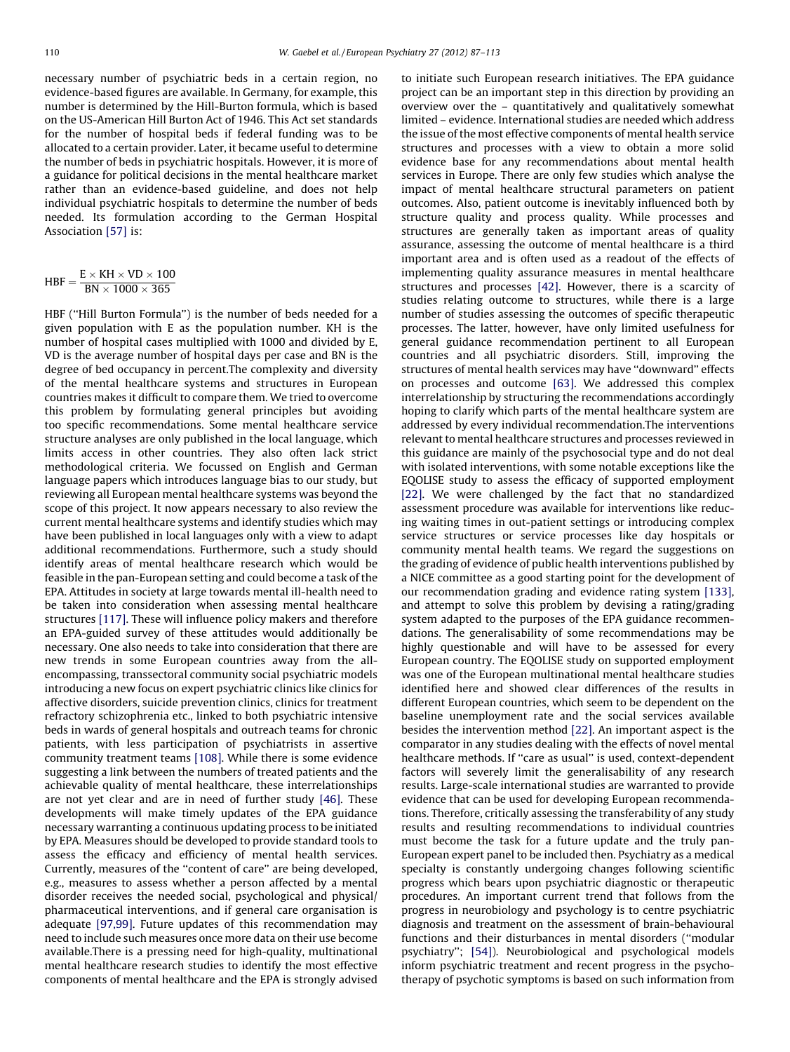necessary number of psychiatric beds in a certain region, no evidence-based figures are available. In Germany, for example, this number is determined by the Hill-Burton formula, which is based on the US-American Hill Burton Act of 1946. This Act set standards for the number of hospital beds if federal funding was to be allocated to a certain provider. Later, it became useful to determine the number of beds in psychiatric hospitals. However, it is more of a guidance for political decisions in the mental healthcare market rather than an evidence-based guideline, and does not help individual psychiatric hospitals to determine the number of beds needed. Its formulation according to the German Hospital Association [\[57\]](#page-25-0) is:

$$
HBF = \frac{E \times KH \times VD \times 100}{BN \times 1000 \times 365}
$$

HBF (''Hill Burton Formula'') is the number of beds needed for a given population with E as the population number. KH is the number of hospital cases multiplied with 1000 and divided by E, VD is the average number of hospital days per case and BN is the degree of bed occupancy in percent.The complexity and diversity of the mental healthcare systems and structures in European countries makes it difficult to compare them. We tried to overcome this problem by formulating general principles but avoiding too specific recommendations. Some mental healthcare service structure analyses are only published in the local language, which limits access in other countries. They also often lack strict methodological criteria. We focussed on English and German language papers which introduces language bias to our study, but reviewing all European mental healthcare systems was beyond the scope of this project. It now appears necessary to also review the current mental healthcare systems and identify studies which may have been published in local languages only with a view to adapt additional recommendations. Furthermore, such a study should identify areas of mental healthcare research which would be feasible in the pan-European setting and could become a task of the EPA. Attitudes in society at large towards mental ill-health need to be taken into consideration when assessing mental healthcare structures [\[117\]](#page-26-0). These will influence policy makers and therefore an EPA-guided survey of these attitudes would additionally be necessary. One also needs to take into consideration that there are new trends in some European countries away from the allencompassing, transsectoral community social psychiatric models introducing a new focus on expert psychiatric clinics like clinics for affective disorders, suicide prevention clinics, clinics for treatment refractory schizophrenia etc., linked to both psychiatric intensive beds in wards of general hospitals and outreach teams for chronic patients, with less participation of psychiatrists in assertive community treatment teams [\[108\]](#page-26-0). While there is some evidence suggesting a link between the numbers of treated patients and the achievable quality of mental healthcare, these interrelationships are not yet clear and are in need of further study [\[46\].](#page-25-0) These developments will make timely updates of the EPA guidance necessary warranting a continuous updating process to be initiated by EPA. Measures should be developed to provide standard tools to assess the efficacy and efficiency of mental health services. Currently, measures of the ''content of care'' are being developed, e.g., measures to assess whether a person affected by a mental disorder receives the needed social, psychological and physical/ pharmaceutical interventions, and if general care organisation is adequate [\[97,99\]](#page-26-0). Future updates of this recommendation may need to include such measures once more data on their use become available.There is a pressing need for high-quality, multinational mental healthcare research studies to identify the most effective components of mental healthcare and the EPA is strongly advised to initiate such European research initiatives. The EPA guidance project can be an important step in this direction by providing an overview over the – quantitatively and qualitatively somewhat limited – evidence. International studies are needed which address the issue of the most effective components of mental health service structures and processes with a view to obtain a more solid evidence base for any recommendations about mental health services in Europe. There are only few studies which analyse the impact of mental healthcare structural parameters on patient outcomes. Also, patient outcome is inevitably influenced both by structure quality and process quality. While processes and structures are generally taken as important areas of quality assurance, assessing the outcome of mental healthcare is a third important area and is often used as a readout of the effects of implementing quality assurance measures in mental healthcare structures and processes [\[42\]](#page-25-0). However, there is a scarcity of studies relating outcome to structures, while there is a large number of studies assessing the outcomes of specific therapeutic processes. The latter, however, have only limited usefulness for general guidance recommendation pertinent to all European countries and all psychiatric disorders. Still, improving the structures of mental health services may have ''downward'' effects on processes and outcome [\[63\].](#page-25-0) We addressed this complex interrelationship by structuring the recommendations accordingly hoping to clarify which parts of the mental healthcare system are addressed by every individual recommendation.The interventions relevant to mental healthcare structures and processes reviewed in this guidance are mainly of the psychosocial type and do not deal with isolated interventions, with some notable exceptions like the EQOLISE study to assess the efficacy of supported employment [\[22\]](#page-24-0). We were challenged by the fact that no standardized assessment procedure was available for interventions like reducing waiting times in out-patient settings or introducing complex service structures or service processes like day hospitals or community mental health teams. We regard the suggestions on the grading of evidence of public health interventions published by a NICE committee as a good starting point for the development of our recommendation grading and evidence rating system [\[133\],](#page-26-0) and attempt to solve this problem by devising a rating/grading system adapted to the purposes of the EPA guidance recommendations. The generalisability of some recommendations may be highly questionable and will have to be assessed for every European country. The EQOLISE study on supported employment was one of the European multinational mental healthcare studies identified here and showed clear differences of the results in different European countries, which seem to be dependent on the baseline unemployment rate and the social services available besides the intervention method [\[22\].](#page-24-0) An important aspect is the comparator in any studies dealing with the effects of novel mental healthcare methods. If "care as usual" is used, context-dependent factors will severely limit the generalisability of any research results. Large-scale international studies are warranted to provide evidence that can be used for developing European recommendations. Therefore, critically assessing the transferability of any study results and resulting recommendations to individual countries must become the task for a future update and the truly pan-European expert panel to be included then. Psychiatry as a medical specialty is constantly undergoing changes following scientific progress which bears upon psychiatric diagnostic or therapeutic procedures. An important current trend that follows from the progress in neurobiology and psychology is to centre psychiatric diagnosis and treatment on the assessment of brain-behavioural functions and their disturbances in mental disorders (''modular psychiatry''; [\[54\]](#page-25-0)). Neurobiological and psychological models inform psychiatric treatment and recent progress in the psychotherapy of psychotic symptoms is based on such information from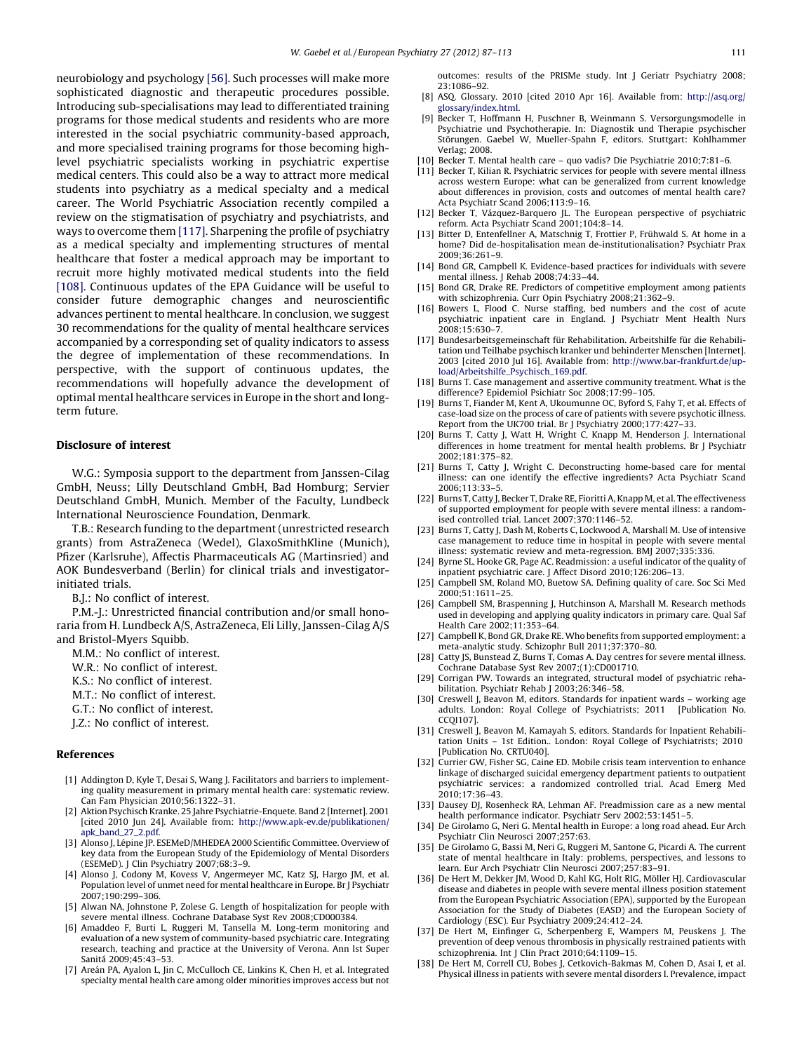<span id="page-24-0"></span>neurobiology and psychology [\[56\].](#page-25-0) Such processes will make more sophisticated diagnostic and therapeutic procedures possible. Introducing sub-specialisations may lead to differentiated training programs for those medical students and residents who are more interested in the social psychiatric community-based approach, and more specialised training programs for those becoming highlevel psychiatric specialists working in psychiatric expertise medical centers. This could also be a way to attract more medical students into psychiatry as a medical specialty and a medical career. The World Psychiatric Association recently compiled a review on the stigmatisation of psychiatry and psychiatrists, and ways to overcome them [\[117\].](#page-26-0) Sharpening the profile of psychiatry as a medical specialty and implementing structures of mental healthcare that foster a medical approach may be important to recruit more highly motivated medical students into the field [\[108\].](#page-26-0) Continuous updates of the EPA Guidance will be useful to consider future demographic changes and neuroscientific advances pertinent to mental healthcare. In conclusion, we suggest 30 recommendations for the quality of mental healthcare services accompanied by a corresponding set of quality indicators to assess the degree of implementation of these recommendations. In perspective, with the support of continuous updates, the recommendations will hopefully advance the development of optimal mental healthcare services in Europe in the short and longterm future.

## Disclosure of interest

W.G.: Symposia support to the department from Janssen-Cilag GmbH, Neuss; Lilly Deutschland GmbH, Bad Homburg; Servier Deutschland GmbH, Munich. Member of the Faculty, Lundbeck International Neuroscience Foundation, Denmark.

T.B.: Research funding to the department (unrestricted research grants) from AstraZeneca (Wedel), GlaxoSmithKline (Munich), Pfizer (Karlsruhe), Affectis Pharmaceuticals AG (Martinsried) and AOK Bundesverband (Berlin) for clinical trials and investigatorinitiated trials.

B.J.: No conflict of interest.

P.M.-J.: Unrestricted financial contribution and/or small honoraria from H. Lundbeck A/S, AstraZeneca, Eli Lilly, Janssen-Cilag A/S and Bristol-Myers Squibb.

M.M.: No conflict of interest.

W.R.: No conflict of interest.

K.S.: No conflict of interest.

M.T.: No conflict of interest.

G.T.: No conflict of interest.

J.Z.: No conflict of interest.

#### References

- [1] Addington D, Kyle T, Desai S, Wang J. Facilitators and barriers to implementing quality measurement in primary mental health care: systematic review. Can Fam Physician 2010;56:1322–31.
- [2] Aktion Psychisch Kranke. 25 Jahre Psychiatrie-Enquete. Band 2 [Internet]. 2001 [cited 2010 Jun 24]. Available from: [http://www.apk-ev.de/publikationen/](http://www.apk-ev.de/publikationen/apk_band_27_2.pdf) [apk\\_band\\_27\\_2.pdf.](http://www.apk-ev.de/publikationen/apk_band_27_2.pdf)
- [3] Alonso J, Lépine JP. ESEMeD/MHEDEA 2000 Scientific Committee. Overview of key data from the European Study of the Epidemiology of Mental Disorders (ESEMeD). J Clin Psychiatry 2007;68:3–9.
- Alonso J, Codony M, Kovess V, Angermeyer MC, Katz SJ, Hargo JM, et al. Population level of unmet need for mental healthcare in Europe. Br J Psychiatr 2007;190:299–306.
- [5] Alwan NA, Johnstone P, Zolese G. Length of hospitalization for people with severe mental illness. Cochrane Database Syst Rev 2008;CD000384.
- [6] Amaddeo F, Burti L, Ruggeri M, Tansella M. Long-term monitoring and evaluation of a new system of community-based psychiatric care. Integrating research, teaching and practice at the University of Verona. Ann Ist Super Sanita´ 2009;45:43–53.
- [7] Areán PA, Ayalon L, Jin C, McCulloch CE, Linkins K, Chen H, et al. Integrated specialty mental health care among older minorities improves access but not

outcomes: results of the PRISMe study. Int J Geriatr Psychiatry 2008; 23:1086–92.

- [8] ASQ. Glossary. 2010 [cited 2010 Apr 16]. Available from: [http://asq.org/](http://asq.org/glossary/index.html) [glossary/index.html.](http://asq.org/glossary/index.html)
- [9] Becker T, Hoffmann H, Puschner B, Weinmann S. Versorgungsmodelle in Psychiatrie und Psychotherapie. In: Diagnostik und Therapie psychischer Störungen. Gaebel W, Mueller-Spahn F, editors. Stuttgart: Kohlhammer Verlag; 2008.
- [10] Becker T. Mental health care quo vadis? Die Psychiatrie 2010;7:81–6.
- [11] Becker T, Kilian R. Psychiatric services for people with severe mental illness across western Europe: what can be generalized from current knowledge about differences in provision, costs and outcomes of mental health care? Acta Psychiatr Scand 2006;113:9–16.
- [12] Becker T, Vázquez-Barquero JL. The European perspective of psychiatric reform. Acta Psychiatr Scand 2001;104:8–14.
- [13] Bitter D, Entenfellner A, Matschnig T, Frottier P, Frühwald S. At home in a home? Did de-hospitalisation mean de-institutionalisation? Psychiatr Prax 2009;36:261–9.
- [14] Bond GR, Campbell K. Evidence-based practices for individuals with severe mental illness. J Rehab 2008;74:33–44.
- [15] Bond GR, Drake RE. Predictors of competitive employment among patients with schizophrenia. Curr Opin Psychiatry 2008;21:362–9.
- [16] Bowers L, Flood C. Nurse staffing, bed numbers and the cost of acute psychiatric inpatient care in England. J Psychiatr Ment Health Nurs 2008;15:630–7.
- [17] Bundesarbeitsgemeinschaft für Rehabilitation. Arbeitshilfe für die Rehabilitation und Teilhabe psychisch kranker und behinderter Menschen [Internet]. 2003 [cited 2010 Jul 16]. Available from: [http://www.bar-frankfurt.de/up](http://www.bar-frankfurt.de/upload/Arbeitshilfe_Psychisch_169.pdf)[load/Arbeitshilfe\\_Psychisch\\_169.pdf.](http://www.bar-frankfurt.de/upload/Arbeitshilfe_Psychisch_169.pdf)
- [18] Burns T. Case management and assertive community treatment. What is the difference? Epidemiol Psichiatr Soc 2008;17:99–105.
- [19] Burns T, Fiander M, Kent A, Ukoumunne OC, Byford S, Fahy T, et al. Effects of case-load size on the process of care of patients with severe psychotic illness. Report from the UK700 trial. Br J Psychiatry 2000;177:427-33.
- [20] Burns T, Catty J, Watt H, Wright C, Knapp M, Henderson J. International differences in home treatment for mental health problems. Br J Psychiatr 2002;181:375–82.
- [21] Burns T, Catty J, Wright C. Deconstructing home-based care for mental illness: can one identify the effective ingredients? Acta Psychiatr Scand 2006;113:33–5.
- [22] Burns T, Catty J, Becker T, Drake RE, Fioritti A, Knapp M, et al. The effectiveness of supported employment for people with severe mental illness: a randomised controlled trial. Lancet 2007;370:1146–52.
- [23] Burns T, Catty J, Dash M, Roberts C, Lockwood A, Marshall M. Use of intensive case management to reduce time in hospital in people with severe mental illness: systematic review and meta-regression. BMJ 2007;335:336.
- [24] Byrne SL, Hooke GR, Page AC. Readmission: a useful indicator of the quality of inpatient psychiatric care. J Affect Disord 2010;126:206–13.
- [25] Campbell SM, Roland MO, Buetow SA. Defining quality of care. Soc Sci Med 2000;51:1611–25.
- [26] Campbell SM, Braspenning J, Hutchinson A, Marshall M. Research methods used in developing and applying quality indicators in primary care. Qual Saf Health Care 2002;11:353–64.
- [27] Campbell K, Bond GR, Drake RE. Who benefits from supported employment: a meta-analytic study. Schizophr Bull 2011;37:370–80.
- [28] Catty JS, Bunstead Z, Burns T, Comas A. Day centres for severe mental illness. Cochrane Database Syst Rev 2007;(1):CD001710.
- [29] Corrigan PW. Towards an integrated, structural model of psychiatric rehabilitation. Psychiatr Rehab | 2003;26:346-58.
- [30] Creswell J, Beavon M, editors. Standards for inpatient wards working age adults. London: Royal College of Psychiatrists; 2011 [Publication No. CCQI107].
- [31] Creswell J, Beavon M, Kamayah S, editors. Standards for Inpatient Rehabilitation Units – 1st Edition.. London: Royal College of Psychiatrists; 2010 [Publication No. CRTU040].
- [32] Currier GW, Fisher SG, Caine ED. Mobile crisis team intervention to enhance linkage of discharged suicidal emergency department patients to outpatient psychiatric services: a randomized controlled trial. Acad Emerg Med 2010;17:36–43.
- [33] Dausey DJ, Rosenheck RA, Lehman AF. Preadmission care as a new mental health performance indicator. Psychiatr Serv 2002;53:1451–5.
- [34] De Girolamo G, Neri G. Mental health in Europe: a long road ahead. Eur Arch Psychiatr Clin Neurosci 2007;257:63.
- [35] De Girolamo G, Bassi M, Neri G, Ruggeri M, Santone G, Picardi A. The current state of mental healthcare in Italy: problems, perspectives, and lessons to learn. Eur Arch Psychiatr Clin Neurosci 2007;257:83–91.
- [36] De Hert M, Dekker JM, Wood D, Kahl KG, Holt RIG, Möller HJ. Cardiovascular disease and diabetes in people with severe mental illness position statement from the European Psychiatric Association (EPA), supported by the European Association for the Study of Diabetes (EASD) and the European Society of Cardiology (ESC). Eur Psychiatry 2009;24:412–24.
- [37] De Hert M, Einfinger G, Scherpenberg E, Wampers M, Peuskens J. The prevention of deep venous thrombosis in physically restrained patients with schizophrenia. Int J Clin Pract 2010;64:1109–15.
- [38] De Hert M, Correll CU, Bobes J, Cetkovich-Bakmas M, Cohen D, Asai I, et al. Physical illness in patients with severe mental disorders I. Prevalence, impact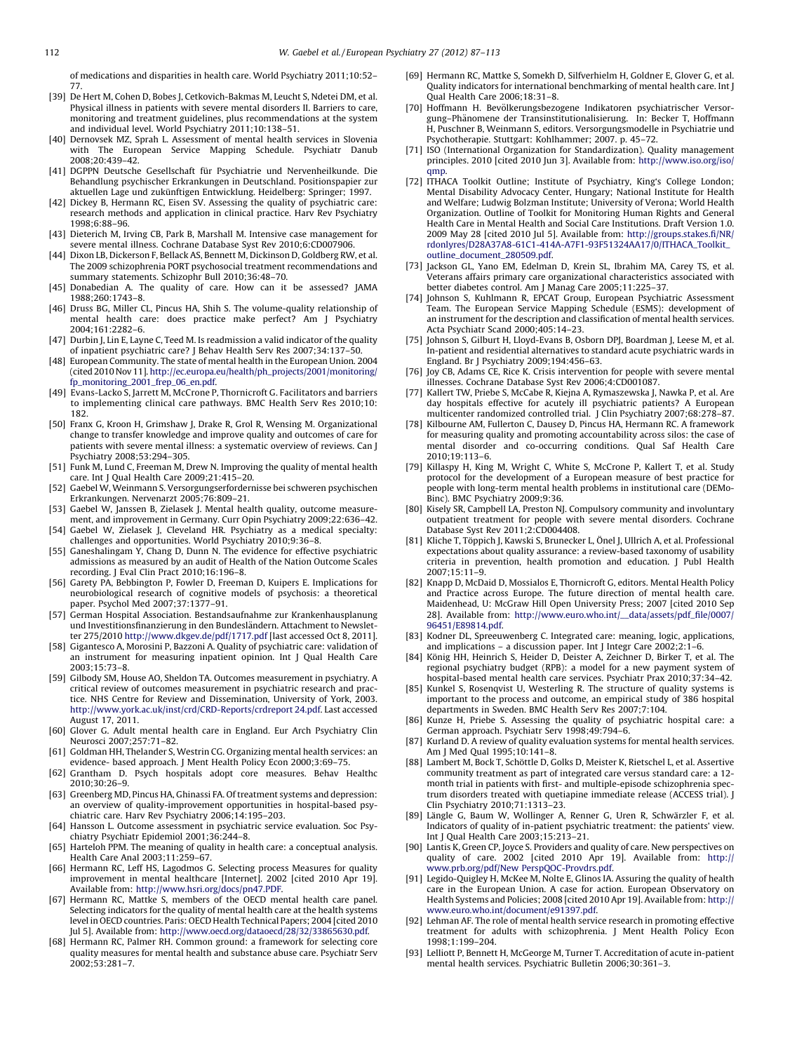<span id="page-25-0"></span>of medications and disparities in health care. World Psychiatry 2011;10:52– 77.

- [39] De Hert M, Cohen D, Bobes J, Cetkovich-Bakmas M, Leucht S, Ndetei DM, et al. Physical illness in patients with severe mental disorders II. Barriers to care, monitoring and treatment guidelines, plus recommendations at the system and individual level. World Psychiatry 2011;10:138–51.
- [40] Dernovsek MZ, Sprah L. Assessment of mental health services in Slovenia with The European Service Mapping Schedule. Psychiatr Danub 2008;20:439–42.
- [41] DGPPN Deutsche Gesellschaft für Psychiatrie und Nervenheilkunde. Die Behandlung psychischer Erkrankungen in Deutschland. Positionspapier zur aktuellen Lage und zukünftigen Entwicklung. Heidelberg: Springer; 1997.
- [42] Dickey B, Hermann RC, Eisen SV. Assessing the quality of psychiatric care: research methods and application in clinical practice. Harv Rev Psychiatry 1998;6:88–96.
- [43] Dieterich M, Irving CB, Park B, Marshall M. Intensive case management for severe mental illness. Cochrane Database Syst Rev 2010;6:CD007906.
- [44] Dixon LB, Dickerson F, Bellack AS, Bennett M, Dickinson D, Goldberg RW, et al. The 2009 schizophrenia PORT psychosocial treatment recommendations and summary statements. Schizophr Bull 2010;36:48–70.
- [45] Donabedian A. The quality of care. How can it be assessed? JAMA 1988;260:1743–8.
- [46] Druss BG, Miller CL, Pincus HA, Shih S. The volume-quality relationship of mental health care: does practice make perfect? Am J Psychiatry 2004;161:2282–6.
- [47] Durbin J, Lin E, Layne C, Teed M. Is readmission a valid indicator of the quality of inpatient psychiatric care? J Behav Health Serv Res 2007;34:137–50.
- [48] European Community. The state of mental health in the European Union. 2004 (cited 2010 Nov 11]. [http://ec.europa.eu/health/ph\\_projects/2001/monitoring/](http://ec.europa.eu/health/ph_projects/2001/monitoring/fp_monitoring_2001_frep_06_en.pdf) [fp\\_monitoring\\_2001\\_frep\\_06\\_en.pdf.](http://ec.europa.eu/health/ph_projects/2001/monitoring/fp_monitoring_2001_frep_06_en.pdf)
- [49] Evans-Lacko S, Jarrett M, McCrone P, Thornicroft G. Facilitators and barriers to implementing clinical care pathways. BMC Health Serv Res 2010;10: 182.
- [50] Franx G, Kroon H, Grimshaw J, Drake R, Grol R, Wensing M. Organizational change to transfer knowledge and improve quality and outcomes of care for patients with severe mental illness: a systematic overview of reviews. Can J .<br>Psychiatry 2008;53:294–305.
- [51] Funk M, Lund C, Freeman M, Drew N. Improving the quality of mental health care. Int J Qual Health Care 2009;21:415–20.
- [52] Gaebel W, Weinmann S. Versorgungserfordernisse bei schweren psychischen Erkrankungen. Nervenarzt 2005;76:809–21.
- [53] Gaebel W, Janssen B, Zielasek J. Mental health quality, outcome measurement, and improvement in Germany. Curr Opin Psychiatry 2009;22:636–42.
- [54] Gaebel W, Zielasek J, Cleveland HR. Psychiatry as a medical specialty: challenges and opportunities. World Psychiatry 2010;9:36–8.
- [55] Ganeshalingam Y, Chang D, Dunn N. The evidence for effective psychiatric admissions as measured by an audit of Health of the Nation Outcome Scales recording. J Eval Clin Pract 2010;16:196–8.
- [56] Garety PA, Bebbington P, Fowler D, Freeman D, Kuipers E. Implications for neurobiological research of cognitive models of psychosis: a theoretical paper. Psychol Med 2007;37:1377–91.
- [57] German Hospital Association. Bestandsaufnahme zur Krankenhausplanung und Investitionsfinanzierung in den Bundesländern. Attachment to Newsletter 275/2010 <http://www.dkgev.de/pdf/1717.pdf> [last accessed Oct 8, 2011].
- [58] Gigantesco A, Morosini P, Bazzoni A. Quality of psychiatric care: validation of an instrument for measuring inpatient opinion. Int J Qual Health Care 2003;15:73–8.
- [59] Gilbody SM, House AO, Sheldon TA. Outcomes measurement in psychiatry. A critical review of outcomes measurement in psychiatric research and practice. NHS Centre for Review and Dissemination, University of York, 2003. [http://www.york.ac.uk/inst/crd/CRD-Reports/crdreport](http://www.york.ac.uk/inst/crd/CRD-Reports/crdreport%2024.pdf) 24.pdf. Last accessed [August](http://www.york.ac.uk/inst/crd/CRD-Reports/crdreport%2024.pdf) 17, 2011.
- [60] Glover G. Adult mental health care in England. Eur Arch Psychiatry Clin Neurosci 2007;257:71–82.
- [61] Goldman HH, Thelander S, Westrin CG. Organizing mental health services: an evidence- based approach. J Ment Health Policy Econ 2000;3:69–75.
- [62] Grantham D. Psych hospitals adopt core measures. Behav Healthc 2010;30:26–9.
- [63] Greenberg MD, Pincus HA, Ghinassi FA. Of treatment systems and depression: an overview of quality-improvement opportunities in hospital-based psychiatric care. Harv Rev Psychiatry 2006;14:195–203.
- [64] Hansson L. Outcome assessment in psychiatric service evaluation. Soc Psychiatry Psychiatr Epidemiol 2001;36:244–8.
- [65] Harteloh PPM. The meaning of quality in health care: a conceptual analysis. Health Care Anal 2003;11:259–67.
- [66] Hermann RC, Leff HS, Lagodmos G. Selecting process Measures for quality improvement in mental healthcare [Internet]. 2002 [cited 2010 Apr 19]. Available from: [http://www.hsri.org/docs/pn47.PDF.](http://www.hsri.org/docs/pn47.PDF)
- [67] Hermann RC, Mattke S, members of the OECD mental health care panel. Selecting indicators for the quality of mental health care at the health systems level in OECD countries. Paris: OECD Health Technical Papers; 2004 [cited 2010 Jul 5]. Available from: [http://www.oecd.org/dataoecd/28/32/33865630.pdf.](http://www.oecd.org/dataoecd/28/32/33865630.pdf)
- [68] Hermann RC, Palmer RH. Common ground: a framework for selecting core quality measures for mental health and substance abuse care. Psychiatr Serv 2002;53:281–7.
- [69] Hermann RC, Mattke S, Somekh D, Silfverhielm H, Goldner E, Glover G, et al. Quality indicators for international benchmarking of mental health care. Int J Qual Health Care 2006;18:31–8.
- [70] Hoffmann H. Bevölkerungsbezogene Indikatoren psychiatrischer Versorgung–Phänomene der Transinstitutionalisierung. In: Becker T, Hoffmann H, Puschner B, Weinmann S, editors. Versorgungsmodelle in Psychiatrie und Psychotherapie. Stuttgart: Kohlhammer; 2007. p. 45–72.
- [71] ISO (International Organization for Standardization). Quality management principles. 2010 [cited 2010 Jun 3]. Available from: [http://www.iso.org/iso/](http://www.iso.org/iso/qmp) [qmp.](http://www.iso.org/iso/qmp)
- [72] ITHACA Toolkit Outline; Institute of Psychiatry, King's College London; Mental Disability Advocacy Center, Hungary; National Institute for Health and Welfare; Ludwig Bolzman Institute; University of Verona; World Health Organization. Outline of Toolkit for Monitoring Human Rights and General Health Care in Mental Health and Social Care Institutions. Draft Version 1.0. 2009 May 28 [cited 2010 Jul 5]. Available from: [http://groups.stakes.fi/NR/](http://groups.stakes.fi/NR/rdonlyres/D28A37A8-61C1-414A-A7F1-93F51324AA17/0/ITHACA_Toolkit_outline_document_280509.pdf) [rdonlyres/D28A37A8-61C1-414A-A7F1-93F51324AA17/0/ITHACA\\_Toolkit\\_](http://groups.stakes.fi/NR/rdonlyres/D28A37A8-61C1-414A-A7F1-93F51324AA17/0/ITHACA_Toolkit_outline_document_280509.pdf) [outline\\_document\\_280509.pdf.](http://groups.stakes.fi/NR/rdonlyres/D28A37A8-61C1-414A-A7F1-93F51324AA17/0/ITHACA_Toolkit_outline_document_280509.pdf)
- [73] Jackson GL, Yano EM, Edelman D, Krein SL, Ibrahim MA, Carey TS, et al. Veterans affairs primary care organizational characteristics associated with better diabetes control. Am J Manag Care 2005;11:225–37.
- [74] Johnson S, Kuhlmann R, EPCAT Group, European Psychiatric Assessment Team. The European Service Mapping Schedule (ESMS): development of an instrument for the description and classification of mental health services. Acta Psychiatr Scand 2000;405:14–23.
- [75] Johnson S, Gilburt H, Lloyd-Evans B, Osborn DPJ, Boardman J, Leese M, et al. In-patient and residential alternatives to standard acute psychiatric wards in England. Br J Psychiatry 2009;194:456–63.
- [76] Joy CB, Adams CE, Rice K. Crisis intervention for people with severe mental illnesses. Cochrane Database Syst Rev 2006;4:CD001087.
- [77] Kallert TW, Priebe S, McCabe R, Kiejna A, Rymaszewska J, Nawka P, et al. Are day hospitals effective for acutely ill psychiatric patients? A European multicenter randomized controlled trial. J Clin Psychiatry 2007;68:278–87.
- [78] Kilbourne AM, Fullerton C, Dausey D, Pincus HA, Hermann RC. A framework for measuring quality and promoting accountability across silos: the case of mental disorder and co-occurring conditions. Qual Saf Health Care 2010;19:113–6.
- [79] Killaspy H, King M, Wright C, White S, McCrone P, Kallert T, et al. Study protocol for the development of a European measure of best practice for people with long-term mental health problems in institutional care (DEMo-Binc). BMC Psychiatry 2009;9:36.
- [80] Kisely SR, Campbell LA, Preston NJ. Compulsory community and involuntary outpatient treatment for people with severe mental disorders. Cochrane Database Syst Rev 2011;2:CD004408.
- [81] Kliche T, Töppich J, Kawski S, Brunecker L, Önel J, Ullrich A, et al. Professional<br>expectations about quality assurance: a review-based taxonomy of usability criteria in prevention, health promotion and education. J Publ Health 2007;15:11–9.
- [82] Knapp D, McDaid D, Mossialos E, Thornicroft G, editors. Mental Health Policy and Practice across Europe. The future direction of mental health care. Maidenhead, U: McGraw Hill Open University Press; 2007 [cited 2010 Sep 28]. Available from: [http://www.euro.who.int/\\_\\_data/assets/pdf\\_file/0007/](http://www.euro.who.int/__data/assets/pdf_file/0007/96451/E89814.pdf) [96451/E89814.pdf.](http://www.euro.who.int/__data/assets/pdf_file/0007/96451/E89814.pdf)
- [83] Kodner DL, Spreeuwenberg C. Integrated care: meaning, logic, applications, and implications – a discussion paper. Int J Integr Care 2002;2:1–6.
- [84] König HH, Heinrich S, Heider D, Deister A, Zeichner D, Birker T, et al. The regional psychiatry budget (RPB): a model for a new payment system of hospital-based mental health care services. Psychiatr Prax 2010;37:34–42.
- [85] Kunkel S, Rosenqvist U, Westerling R. The structure of quality systems is important to the process and outcome, an empirical study of 386 hospital departments in Sweden. BMC Health Serv Res 2007;7:104.
- [86] Kunze H, Priebe S. Assessing the quality of psychiatric hospital care: a German approach. Psychiatr Serv 1998;49:794–6.
- [87] Kurland D. A review of quality evaluation systems for mental health services. Am J Med Qual 1995;10:141–8.
- [88] Lambert M, Bock T, Schöttle D, Golks D, Meister K, Rietschel L, et al. Assertive community treatment as part of integrated care versus standard care: a 12 month trial in patients with first- and multiple-episode schizophrenia spectrum disorders treated with quetiapine immediate release (ACCESS trial). J Clin Psychiatry 2010;71:1313–23.
- [89] Längle G, Baum W, Wollinger A, Renner G, Uren R, Schwärzler F, et al. Indicators of quality of in-patient psychiatric treatment: the patients' view. Int J Qual Health Care 2003;15:213–21.
- [90] Lantis K, Green CP, Joyce S. Providers and quality of care. New perspectives on quality of care. 2002 [cited 2010 Apr 19]. Available from: [http://](http://www.prb.org/pdf/New%20PerspQOC-Provdrs.pdf) www.prb.org/pdf/New [PerspQOC-Provdrs.pdf.](http://www.prb.org/pdf/New%20PerspQOC-Provdrs.pdf)
- [91] Legido-Quigley H, McKee M, Nolte E, Glinos IA. Assuring the quality of health care in the European Union. A case for action. European Observatory on Health Systems and Policies; 2008 [cited 2010 Apr 19]. Available from: [http://](http://www.euro.who.int/document/e91397.pdf) [www.euro.who.int/document/e91397.pdf.](http://www.euro.who.int/document/e91397.pdf)
- [92] Lehman AF. The role of mental health service research in promoting effective treatment for adults with schizophrenia. J Ment Health Policy Econ 1998;1:199–204.
- [93] Lelliott P, Bennett H, McGeorge M, Turner T. Accreditation of acute in-patient mental health services. Psychiatric Bulletin 2006;30:361–3.